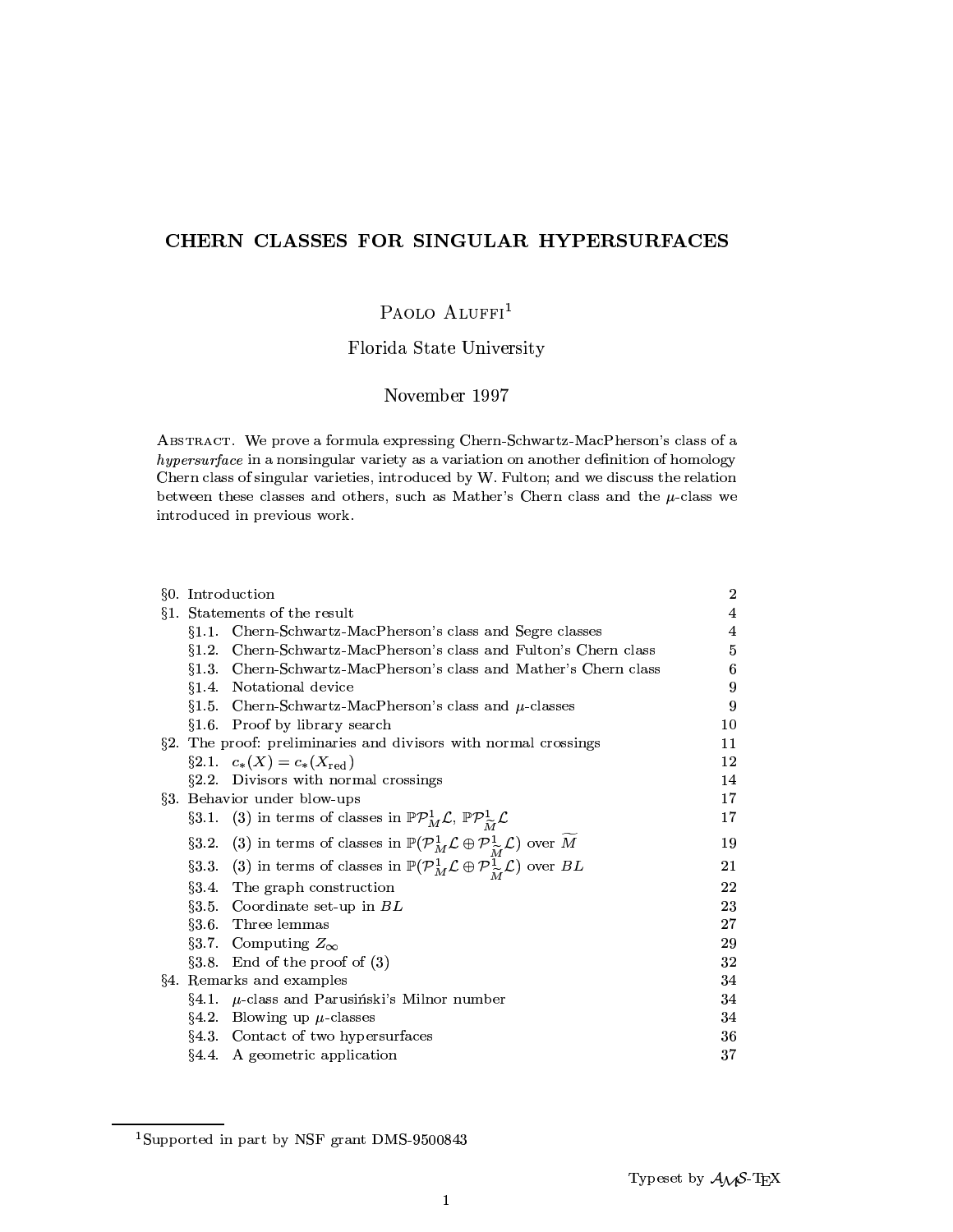# CHERN CLASSES FOR SINGULAR HYPERSURFACES

# PAOLO ALUFFI<sup>1</sup>

# Florida State University

## November 1997

ABSTRACT. We prove a formula expressing Chern-Schwartz-MacPherson's class of a hypersurface in a nonsingular variety as a variation on another definition of homology Chern class of singular varieties, introduced by W. Fulton; and we discuss the relation between these classes and others, such as Mather's Chern class and the  $\mu$ -class we introduced in previous work.

|           | §0. Introduction                                                                                                                                 | $\overline{2}$ |
|-----------|--------------------------------------------------------------------------------------------------------------------------------------------------|----------------|
|           | §1. Statements of the result                                                                                                                     | 4              |
|           | §1.1. Chern-Schwartz-MacPherson's class and Segre classes                                                                                        | 4              |
| 81.2.     | Chern-Schwartz-MacPherson's class and Fulton's Chern class                                                                                       | 5              |
| §1.3.     | Chern-Schwartz-MacPherson's class and Mather's Chern class                                                                                       | 6              |
|           | §1.4. Notational device                                                                                                                          | 9              |
|           | §1.5. Chern-Schwartz-MacPherson's class and $\mu$ -classes                                                                                       | 9              |
|           | §1.6. Proof by library search                                                                                                                    | 10             |
|           | §2. The proof: preliminaries and divisors with normal crossings                                                                                  | 11             |
|           | $\S 2.1. \quad c_*(X) = c_*(X_{\text{red}})$                                                                                                     | 12             |
|           | $\S2.2.$ Divisors with normal crossings                                                                                                          | 14             |
|           | §3. Behavior under blow-ups                                                                                                                      | 17             |
|           | §3.1. (3) in terms of classes in $\mathbb{P} \mathcal{P}_M^1 \mathcal{L}$ , $\mathbb{P} \mathcal{P}_M^1 \mathcal{L}$                             | 17             |
| $\S 3.2.$ | (3) in terms of classes in $\mathbb{P}(\mathcal{P}_{M}^{1} \mathcal{L} \oplus \mathcal{P}_{\widetilde{M}}^{1} \mathcal{L})$ over $\widetilde{M}$ | 19             |
|           | §3.3. (3) in terms of classes in $\mathbb{P}(\mathcal{P}_{M}^{1} \mathcal{L} \oplus \mathcal{P}_{\widetilde{M}}^{1} \mathcal{L})$ over BL        | 21             |
|           | §3.4. The graph construction                                                                                                                     | 22             |
|           | §3.5. Coordinate set-up in $BL$                                                                                                                  | 23             |
|           | §3.6. Three lemmas                                                                                                                               | 27             |
|           | §3.7. Computing $Z_{\infty}$                                                                                                                     | 29             |
|           | $§3.8.$ End of the proof of $(3)$                                                                                                                | 32             |
|           | §4. Remarks and examples                                                                                                                         | 34             |
|           | $\S4.1.$ $\mu$ -class and Parusiński's Milnor number                                                                                             | 34             |
|           | §4.2. Blowing up $\mu$ classes                                                                                                                   | 34             |
|           | §4.3. Contact of two hypersurfaces                                                                                                               | 36             |
|           | §4.4. A geometric application                                                                                                                    | 37             |

<sup>&</sup>lt;sup>1</sup>Supported in part by NSF grant DMS-9500843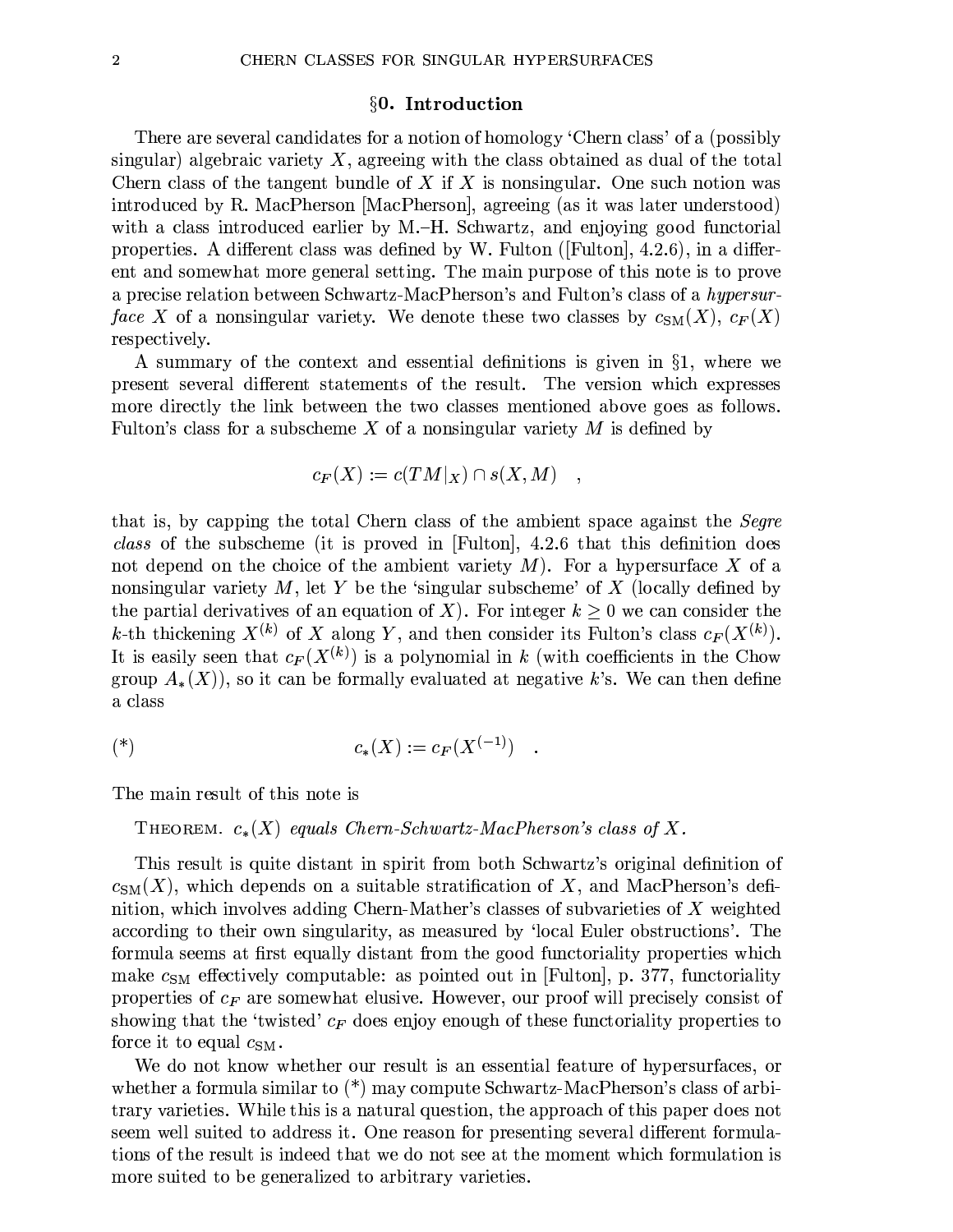#### §0. Introduction

There are several candidates for a notion of homology 'Chern class' of a (possibly singular) algebraic variety  $X$ , agreeing with the class obtained as dual of the total Chern class of the tangent bundle of X if X is nonsingular. One such notion was introduced by R. MacPherson [MacPherson], agreeing (as it was later understood) with a class introduced earlier by M.-H. Schwartz, and enjoying good functorial properties. A different class was defined by W. Fulton ([Fulton],  $4.2.6$ ), in a different and somewhat more general setting. The main purpose of this note is to prove a precise relation between Schwartz-MacPherson's and Fulton's class of a hypersurface X of a nonsingular variety. We denote these two classes by  $c_{SM}(X), c_F(X)$ respectively.

A summary of the context and essential definitions is given in  $\S1$ , where we present several different statements of the result. The version which expresses more directly the link between the two classes mentioned above goes as follows. Fulton's class for a subscheme X of a nonsingular variety  $M$  is defined by

$$
c_F(X) := c(TM|_X) \cap s(X, M) \quad ,
$$

that is, by capping the total Chern class of the ambient space against the *Segre* class of the subscheme (it is proved in [Fulton], 4.2.6 that this definition does not depend on the choice of the ambient variety  $M$ ). For a hypersurface X of a nonsingular variety  $M$ , let Y be the 'singular subscheme' of X (locally defined by the partial derivatives of an equation of X). For integer  $k > 0$  we can consider the k-th thickening  $X^{(k)}$  of X along Y, and then consider its Fulton's class  $c_F(X^{(k)})$ . It is easily seen that  $c_F(X^{(k)})$  is a polynomial in k (with coefficients in the Chow group  $A_*(X)$ , so it can be formally evaluated at negative k's. We can then define a class

$$
(\ast) \qquad \qquad c_*(X) := c_F(X^{(-1)})
$$

The main result of this note is

THEOREM.  $c_*(X)$  equals Chern-Schwartz-MacPherson's class of X.

This result is quite distant in spirit from both Schwartz's original definition of  $c_{\text{SM}}(X)$ , which depends on a suitable stratification of X, and MacPherson's definition, which involves adding Chern-Mather's classes of subvarieties of X weighted according to their own singularity, as measured by 'local Euler obstructions'. The formula seems at first equally distant from the good functoriality properties which make  $c_{SM}$  effectively computable: as pointed out in [Fulton], p. 377, functoriality properties of  $c_F$  are somewhat elusive. However, our proof will precisely consist of showing that the 'twisted'  $c_F$  does enjoy enough of these functoriality properties to force it to equal  $c_{SM}$ .

We do not know whether our result is an essential feature of hypersurfaces, or whether a formula similar to  $(*)$  may compute Schwartz-MacPherson's class of arbitrary varieties. While this is a natural question, the approach of this paper does not seem well suited to address it. One reason for presenting several different formulations of the result is indeed that we do not see at the moment which formulation is more suited to be generalized to arbitrary varieties.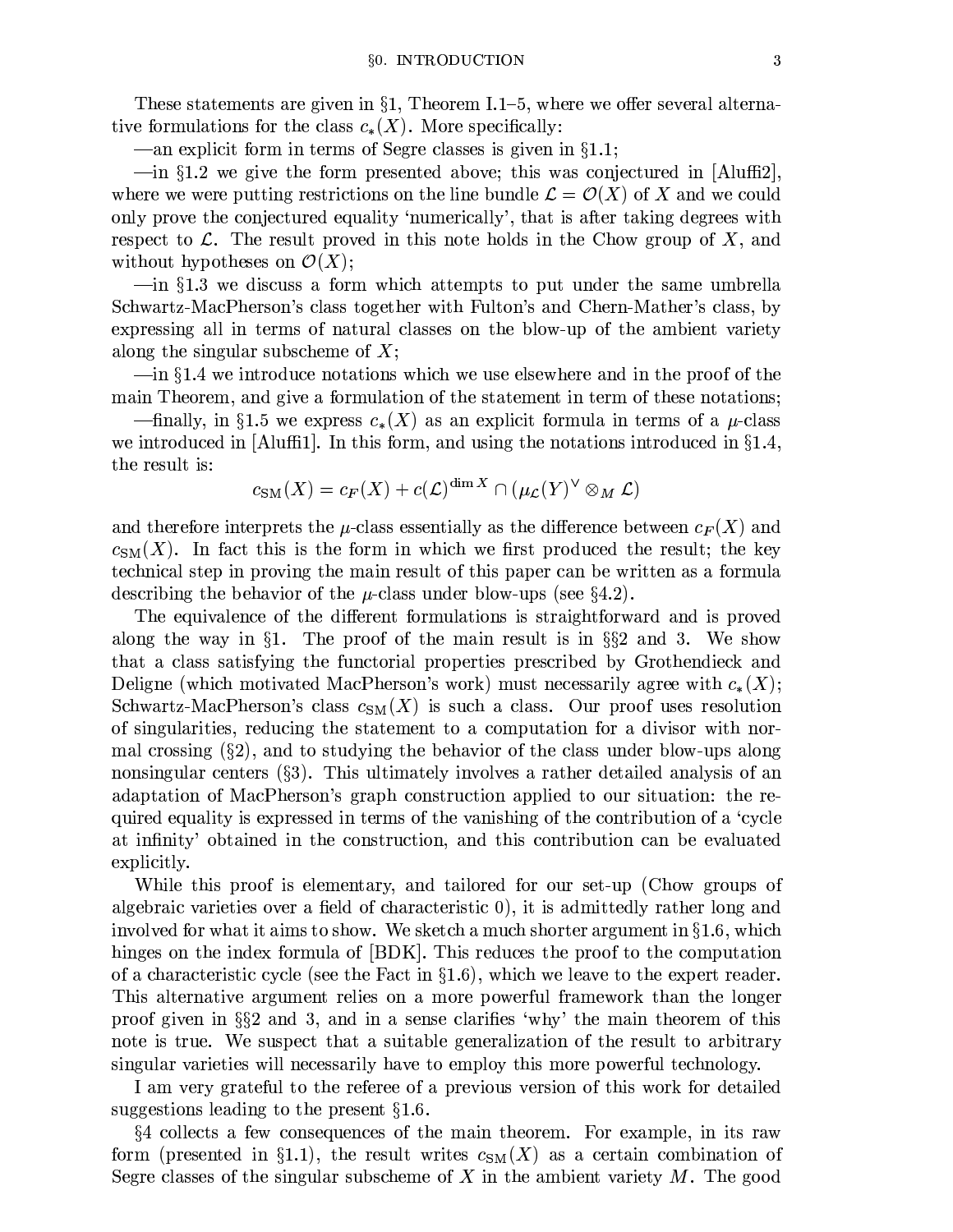These statements are given in §1, Theorem I.1–5, where we offer several alternative formulations for the class  $c_*(X)$ . More specifically:

—an explicit form in terms of Segre classes is given in  $\S 1.1$ ;

 $-\text{in }$  \$1.2 we give the form presented above; this was conjectured in [Aluffi2], where we were putting restrictions on the line bundle  $\mathcal{L} = \mathcal{O}(X)$  of X and we could only prove the conjectured equality 'numerically', that is after taking degrees with respect to  $\mathcal L$ . The result proved in this note holds in the Chow group of X, and without hypotheses on  $\mathcal{O}(X)$ ;

 $\frac{1}{2}$  = in §1.3 we discuss a form which attempts to put under the same umbrella Schwartz-MacPherson's class together with Fulton's and Chern-Mather's class, by expressing all in terms of natural classes on the blow-up of the ambient variety along the singular subscheme of  $X$ ;

 $-\text{in }$  \$1.4 we introduce notations which we use elsewhere and in the proof of the main Theorem, and give a formulation of the statement in term of these notations;

—finally, in §1.5 we express  $c_*(X)$  as an explicit formula in terms of a  $\mu$ -class we introduced in [Aluffi1]. In this form, and using the notations introduced in  $\S1.4$ , the result is:

$$
c_{\text{SM}}(X) = c_F(X) + c(\mathcal{L})^{\dim X} \cap (\mu_{\mathcal{L}}(Y)^{\vee} \otimes_M \mathcal{L})
$$

and therefore interprets the  $\mu$ -class essentially as the difference between  $c_F(X)$  and  $c_{SM}(X)$ . In fact this is the form in which we first produced the result; the key technical step in proving the main result of this paper can be written as a formula describing the behavior of the  $\mu$ -class under blow-ups (see §4.2).

The equivalence of the different formulations is straightforward and is proved along the way in §1. The proof of the main result is in §§2 and 3. We show that a class satisfying the functorial properties prescribed by Grothendieck and Deligne (which motivated MacPherson's work) must necessarily agree with  $c_*(X)$ ; Schwartz-MacPherson's class  $c_{SM}(X)$  is such a class. Our proof uses resolution of singularities, reducing the statement to a computation for a divisor with normal crossing  $(\S_2)$ , and to studying the behavior of the class under blow-ups along nonsingular centers  $(\S3)$ . This ultimately involves a rather detailed analysis of an adaptation of MacPherson's graph construction applied to our situation: the required equality is expressed in terms of the vanishing of the contribution of a 'cycle at infinity' obtained in the construction, and this contribution can be evaluated explicitly.

While this proof is elementary, and tailored for our set-up (Chow groups of algebraic varieties over a field of characteristic  $0$ , it is admittedly rather long and involved for what it aims to show. We sketch a much shorter argument in  $\S1.6$ , which hinges on the index formula of [BDK]. This reduces the proof to the computation of a characteristic cycle (see the Fact in  $\S1.6$ ), which we leave to the expert reader. This alternative argument relies on a more powerful framework than the longer proof given in  $\S$ ? and 3, and in a sense clarifies 'why' the main theorem of this note is true. We suspect that a suitable generalization of the result to arbitrary singular varieties will necessarily have to employ this more powerful technology.

I am very grateful to the referee of a previous version of this work for detailed suggestions leading to the present  $§1.6$ .

§4 collects a few consequences of the main theorem. For example, in its raw form (presented in §1.1), the result writes  $c_{\text{SM}}(X)$  as a certain combination of Segre classes of the singular subscheme of X in the ambient variety  $M$ . The good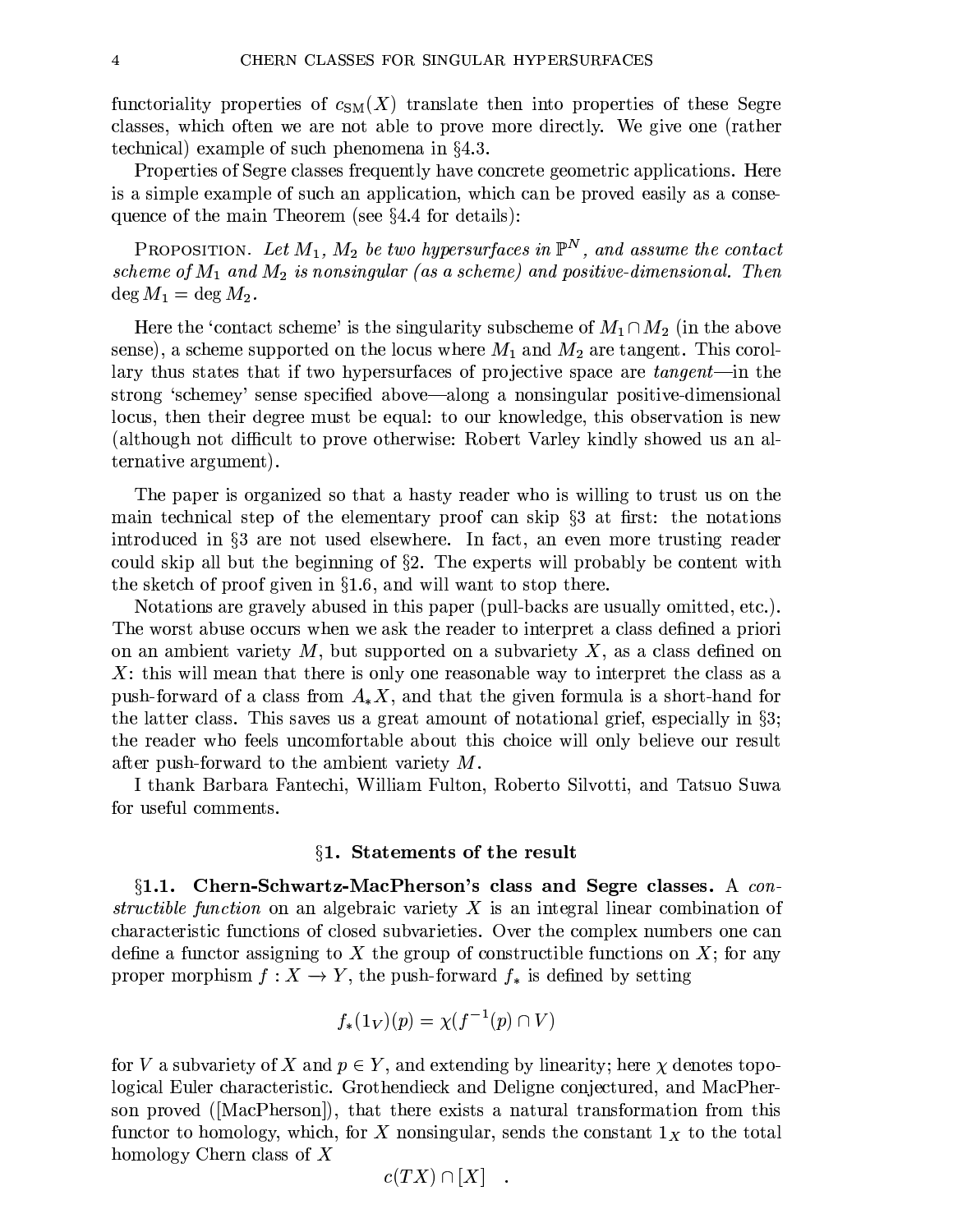functoriality properties of  $c_{SM}(X)$  translate then into properties of these Segre classes, which often we are not able to prove more directly. We give one (rather technical) example of such phenomena in  $\S 4.3$ .

Properties of Segre classes frequently have concrete geometric applications. Here is a simple example of such an application, which can be proved easily as a consequence of the main Theorem (see  $\S 4.4$  for details):

**PROPOSITION.** Let  $M_1$ ,  $M_2$  be two hypersurfaces in  $\mathbb{P}^N$ , and assume the contact scheme of  $M_1$  and  $M_2$  is nonsingular (as a scheme) and positive-dimensional. Then  $\deg M_1 = \deg M_2.$ 

Here the 'contact scheme' is the singularity subscheme of  $M_1 \cap M_2$  (in the above sense), a scheme supported on the locus where  $M_1$  and  $M_2$  are tangent. This corollary thus states that if two hypersurfaces of projective space are *tangent*—in the strong 'schemey' sense specified above—along a nonsingular positive-dimensional locus, then their degree must be equal: to our knowledge, this observation is new (although not difficult to prove otherwise: Robert Varley kindly showed us an alternative argument).

The paper is organized so that a hasty reader who is willing to trust us on the main technical step of the elementary proof can skip  $\S$  at first: the notations introduced in §3 are not used elsewhere. In fact, an even more trusting reader could skip all but the beginning of  $\S$ 2. The experts will probably be content with the sketch of proof given in  $\S1.6$ , and will want to stop there.

Notations are gravely abused in this paper (pull-backs are usually omitted, etc.). The worst abuse occurs when we ask the reader to interpret a class defined a priori on an ambient variety  $M$ , but supported on a subvariety  $X$ , as a class defined on  $X$ : this will mean that there is only one reasonable way to interpret the class as a push-forward of a class from  $A_{*}X$ , and that the given formula is a short-hand for the latter class. This saves us a great amount of notational grief, especially in  $\S3$ ; the reader who feels uncomfortable about this choice will only believe our result after push-forward to the ambient variety  $M$ .

I thank Barbara Fantechi, William Fulton, Roberto Silvotti, and Tatsuo Suwa for useful comments.

### §1. Statements of the result

 $\S1.1.$  Chern-Schwartz-MacPherson's class and Segre classes. A constructible function on an algebraic variety  $X$  is an integral linear combination of characteristic functions of closed subvarieties. Over the complex numbers one can define a functor assigning to X the group of constructible functions on  $X$ ; for any proper morphism  $f: X \to Y$ , the push-forward  $f_*$  is defined by setting

$$
f_*(1_V)(p) = \chi(f^{-1}(p) \cap V)
$$

for V a subvariety of X and  $p \in Y$ , and extending by linearity; here  $\chi$  denotes topological Euler characteristic. Grothendieck and Deligne conjectured, and MacPherson proved ([MacPherson]), that there exists a natural transformation from this functor to homology, which, for X nonsingular, sends the constant  $1_X$  to the total homology Chern class of  $X$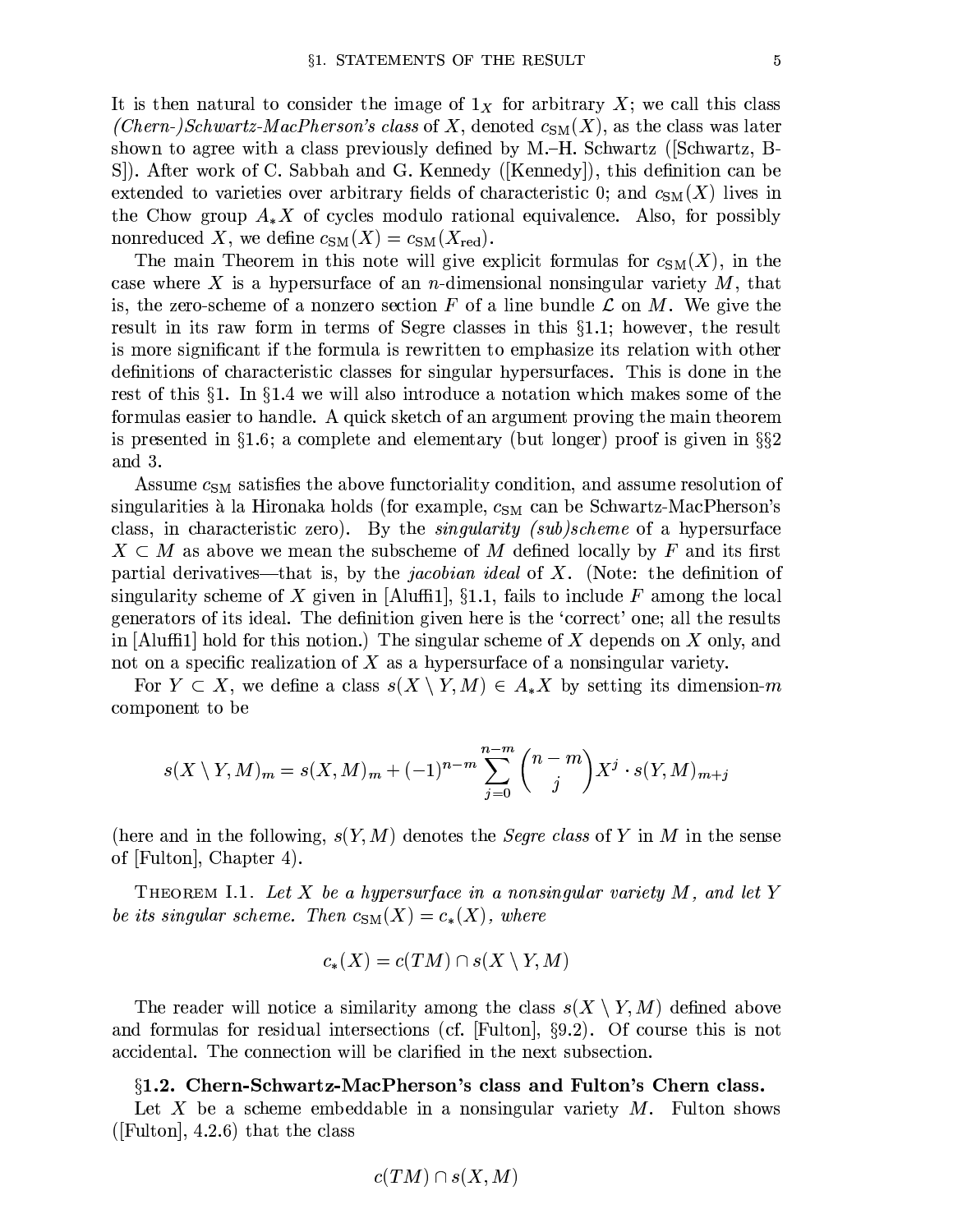It is then natural to consider the image of  $1_X$  for arbitrary X; we call this class *(Chern-)Schwartz-MacPherson's class of X, denoted*  $c_{SM}(X)$ , as the class was later shown to agree with a class previously defined by M.–H. Schwartz (Schwartz, B-S. S. After work of C. Sabbah and G. Kennedy ([Kennedy]), this definition can be extended to varieties over arbitrary fields of characteristic 0; and  $c_{\text{SM}}(X)$  lives in the Chow group  $A_{*}X$  of cycles modulo rational equivalence. Also, for possibly nonreduced X, we define  $c_{SM}(X) = c_{SM}(X_{\text{red}})$ .

The main Theorem in this note will give explicit formulas for  $c_{SM}(X)$ , in the case where X is a hypersurface of an *n*-dimensional nonsingular variety  $M$ , that is, the zero-scheme of a nonzero section F of a line bundle  $\mathcal L$  on M. We give the result in its raw form in terms of Segre classes in this  $\S 1.1$ ; however, the result is more significant if the formula is rewritten to emphasize its relation with other definitions of characteristic classes for singular hypersurfaces. This is done in the rest of this  $\S1$ . In  $\S1.4$  we will also introduce a notation which makes some of the formulas easier to handle. A quick sketch of an argument proving the main theorem is presented in  $\S1.6$ ; a complete and elementary (but longer) proof is given in  $\S\S2$ and 3.

Assume  $c_{SM}$  satisfies the above functoriality condition, and assume resolution of singularities à la Hironaka holds (for example,  $c_{SM}$  can be Schwartz-MacPherson's class, in characteristic zero). By the *singularity (sub)scheme* of a hypersurface  $X \subset M$  as above we mean the subscheme of M defined locally by F and its first partial derivatives—that is, by the *jacobian ideal* of  $X$ . (Note: the definition of singularity scheme of X given in [Aluffi1],  $\S1.1$ , fails to include F among the local generators of its ideal. The definition given here is the 'correct' one; all the results in [Aluffi1] hold for this notion.) The singular scheme of X depends on X only, and not on a specific realization of  $X$  as a hypersurface of a nonsingular variety.

For  $Y \subset X$ , we define a class  $s(X \setminus Y, M) \in A_*X$  by setting its dimension-m component to be

$$
s(X \setminus Y, M)_m = s(X, M)_m + (-1)^{n-m} \sum_{j=0}^{n-m} {n-m \choose j} X^j \cdot s(Y, M)_{m+j}
$$

(here and in the following,  $s(Y, M)$  denotes the *Segre class* of Y in M in the sense of [Fulton], Chapter 4.

THEOREM I.1. Let X be a hypersurface in a nonsingular variety  $M$ , and let Y be its singular scheme. Then  $c_{\text{SM}}(X) = c_*(X)$ , where

$$
c_*(X) = c(TM) \cap s(X \setminus Y, M)
$$

The reader will notice a similarity among the class  $s(X \setminus Y, M)$  defined above and formulas for residual intersections (cf.  $|F$ ulton, §9.2). Of course this is not accidental. The connection will be clarified in the next subsection.

### §1.2. Chern-Schwartz-MacPherson's class and Fulton's Chern class.

Let X be a scheme embeddable in a nonsingular variety  $M$ . Fulton shows ([Fulton],  $4.2.6$ ) that the class

$$
c(TM)\cap s(X,M)
$$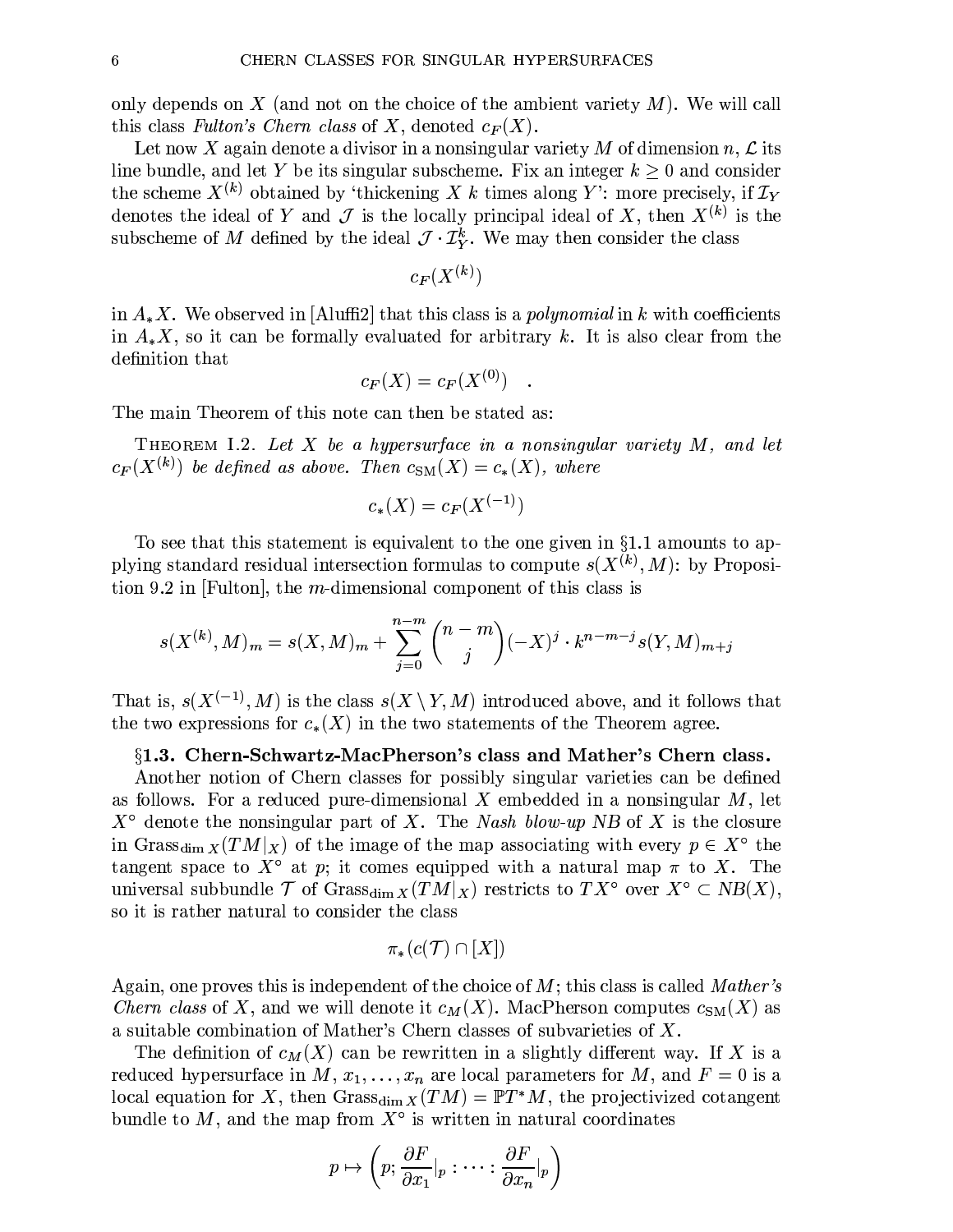only depends on X (and not on the choice of the ambient variety  $M$ ). We will call this class Fulton's Chern class of X, denoted  $c_F(X)$ .

Let now X again denote a divisor in a nonsingular variety M of dimension n,  $\mathcal L$  its line bundle, and let Y be its singular subscheme. Fix an integer  $k > 0$  and consider the scheme  $X^{(k)}$  obtained by 'thickening X k times along Y': more precisely, if  $\mathcal{I}_Y$ denotes the ideal of Y and J is the locally principal ideal of X, then  $X^{(k)}$  is the subscheme of M defined by the ideal  $\mathcal{J} \cdot \mathcal{I}_{Y}^{k}$ . We may then consider the class

$$
c_F(X^{(k)}) \,
$$

in  $A_*X$ . We observed in [Aluffi2] that this class is a *polynomial* in k with coefficients in  $A_{*}X$ , so it can be formally evaluated for arbitrary k. It is also clear from the definition that

$$
c_F(X) = c_F(X^{(0)})
$$

The main Theorem of this note can then be stated as:

THEOREM I.2. Let X be a hypersurface in a nonsingular variety  $M$ , and let  $c_F(X^{(k)})$  be defined as above. Then  $c_{\text{SM}}(X) = c_*(X)$ , where

$$
c_*(X) = c_F(X^{(-1)})
$$

To see that this statement is equivalent to the one given in  $\S 1.1$  amounts to applying standard residual intersection formulas to compute  $s(X^{(k)}, M)$ : by Proposition 9.2 in [Fulton], the  $m$ -dimensional component of this class is

$$
s(X^{(k)}, M)_m = s(X, M)_m + \sum_{j=0}^{n-m} \binom{n-m}{j} (-X)^j \cdot k^{n-m-j} s(Y, M)_{m+j}
$$

That is,  $s(X^{(-1)}, M)$  is the class  $s(X \setminus Y, M)$  introduced above, and it follows that the two expressions for  $c_*(X)$  in the two statements of the Theorem agree.

#### §1.3. Chern-Schwartz-MacPherson's class and Mather's Chern class.

Another notion of Chern classes for possibly singular varieties can be defined as follows. For a reduced pure-dimensional X embedded in a nonsingular  $M$ , let  $X^{\circ}$  denote the nonsingular part of X. The Nash blow-up NB of X is the closure in Grass<sub>dim X</sub> $(TM|_X)$  of the image of the map associating with every  $p \in X^{\circ}$  the tangent space to  $X^{\circ}$  at p; it comes equipped with a natural map  $\pi$  to X. The universal subbundle  $\mathcal T$  of Grass<sub>dim X</sub> $(TM|_X)$  restricts to  $TX^{\circ}$  over  $X^{\circ} \subset NB(X)$ , so it is rather natural to consider the class

$$
\pi_*(c(\mathcal{T}) \cap [X])
$$

Again, one proves this is independent of the choice of  $M$ ; this class is called Mather's *Chern class* of X, and we will denote it  $c_M(X)$ . MacPherson computes  $c_{SM}(X)$  as a suitable combination of Mather's Chern classes of subvarieties of X.

The definition of  $c_M(X)$  can be rewritten in a slightly different way. If X is a reduced hypersurface in  $M, x_1, \ldots, x_n$  are local parameters for  $M$ , and  $F = 0$  is a local equation for X, then Grass<sub>dim X</sub> $(TM) = \mathbb{P}T^*M$ , the projectivized cotangent bundle to  $M$ , and the map from  $X^{\circ}$  is written in natural coordinates

$$
p \mapsto \left(p; \frac{\partial F}{\partial x_1}|_p : \cdots : \frac{\partial F}{\partial x_n}|_p\right)
$$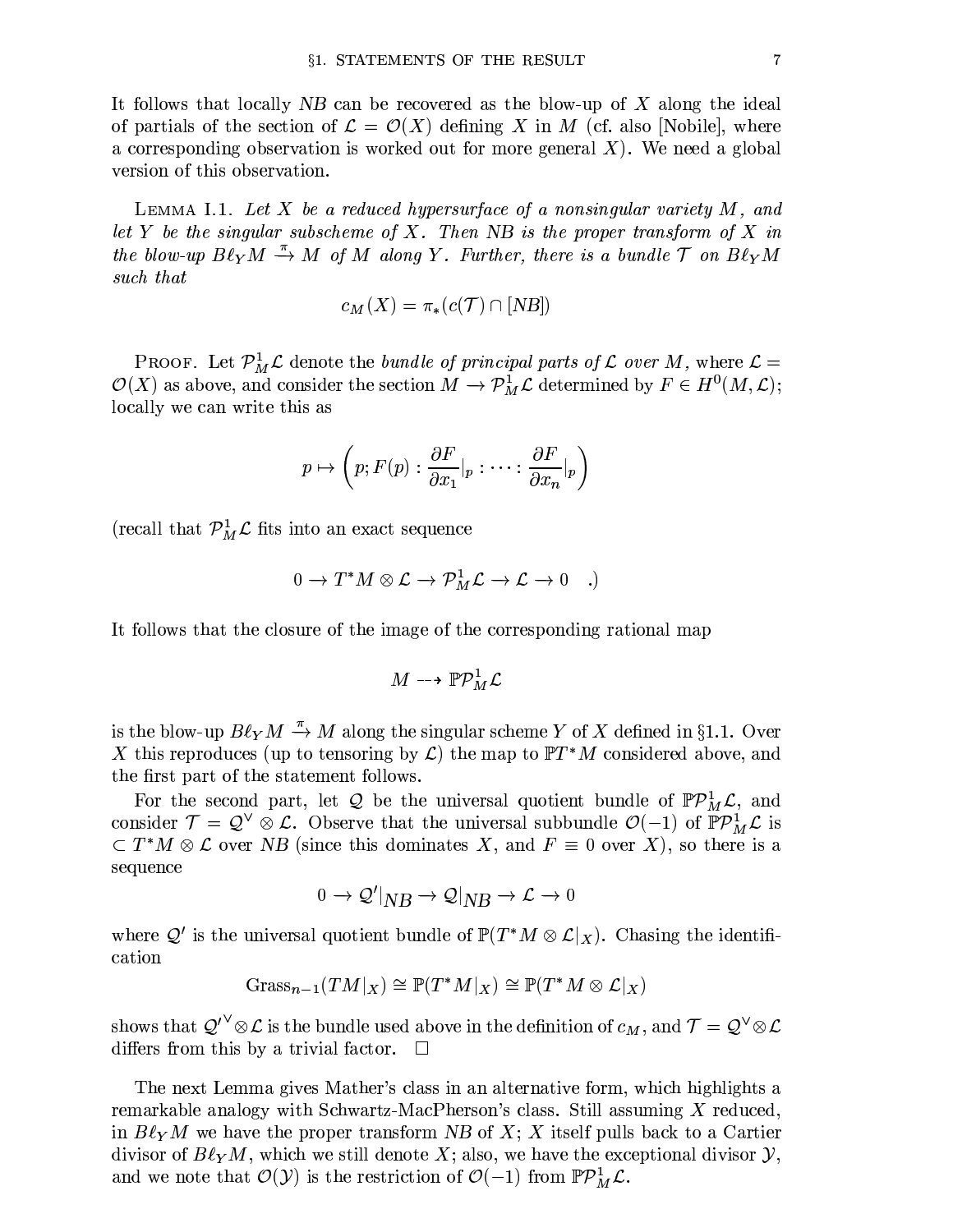It follows that locally  $NB$  can be recovered as the blow-up of X along the ideal of partials of the section of  $\mathcal{L} = \mathcal{O}(X)$  defining X in M (cf. also [Nobile], where a corresponding observation is worked out for more general  $X$ ). We need a global version of this observation.

LEMMA I.1. Let X be a reduced hypersurface of a nonsingular variety  $M$ , and let Y be the singular subscheme of X. Then NB is the proper transform of X in the blow-up  $B\ell_Y M \stackrel{\pi}{\rightarrow} M$  of M along Y. Further, there is a bundle  $\mathcal T$  on  $B\ell_Y M$ such that

$$
c_M(X) = \pi_*(c(\mathcal{T}) \cap [NB])
$$

PROOF. Let  $\mathcal{P}_{M}^{1}\mathcal{L}$  denote the *bundle of principal parts of*  $\mathcal{L}$  *over*  $M$ , where  $\mathcal{L} =$  $\mathcal{O}(X)$  as above, and consider the section  $M \to \mathcal{P}_{M}^{\bar{1}} \mathcal{L}$  determined by  $F \in H^{0}(M, \mathcal{L});$ locally we can write this as

$$
p \mapsto \left(p; F(p) : \frac{\partial F}{\partial x_1}|_p : \cdots : \frac{\partial F}{\partial x_n}|_p\right)
$$

(recall that  $\mathcal{P}_{M}^{1}\mathcal{L}$  fits into an exact sequence

$$
0 \to T^*M \otimes \mathcal{L} \to \mathcal{P}_M^1 \mathcal{L} \to \mathcal{L} \to 0 \quad .
$$

It follows that the closure of the image of the corresponding rational map

$$
M \dashrightarrow \mathbb{P} \mathcal{P}_M^1 \mathcal{L}
$$

is the blow-up  $B\ell_Y M \stackrel{\pi}{\rightarrow} M$  along the singular scheme Y of X defined in §1.1. Over X this reproduces (up to tensoring by  $\mathcal{L}$ ) the map to  $\mathbb{P}T^*M$  considered above, and the first part of the statement follows.

For the second part, let Q be the universal quotient bundle of  $\mathbb{P}P^1_M\mathcal{L}$ , and consider  $\mathcal{T} = \mathcal{Q}^{\vee} \otimes \mathcal{L}$ . Observe that the universal subbundle  $\mathcal{O}(-1)$  of  $\mathbb{P}P^1_M\mathcal{L}$  is  $\subset T^*M \otimes \mathcal{L}$  over NB (since this dominates X, and  $F \equiv 0$  over X), so there is a sequence

$$
0\to \mathcal{Q}'\vert_{NB}\to \mathcal{Q}\vert_{NB}\to \mathcal{L}\to 0
$$

where  $Q'$  is the universal quotient bundle of  $\mathbb{P}(T^*M\otimes\mathcal{L}|_X)$ . Chasing the identification

$$
\mathrm{Grass}_{n-1}(TM|_X)\cong \mathbb{P}(T^*M|_X)\cong \mathbb{P}(T^*M\otimes \mathcal{L}|_X)
$$

shows that  $Q'^{\vee}\otimes \mathcal{L}$  is the bundle used above in the definition of  $c_M$ , and  $\mathcal{T} = Q^{\vee}\otimes \mathcal{L}$ differs from this by a trivial factor.

The next Lemma gives Mather's class in an alternative form, which highlights a remarkable analogy with Schwartz-MacPherson's class. Still assuming X reduced, in  $B\ell_Y M$  we have the proper transform NB of X; X itself pulls back to a Cartier divisor of  $B\ell_Y M$ , which we still denote X; also, we have the exceptional divisor  $\mathcal{Y}$ , and we note that  $\mathcal{O}(\mathcal{Y})$  is the restriction of  $\mathcal{O}(-1)$  from  $\mathbb{P}P^1_M\mathcal{L}$ .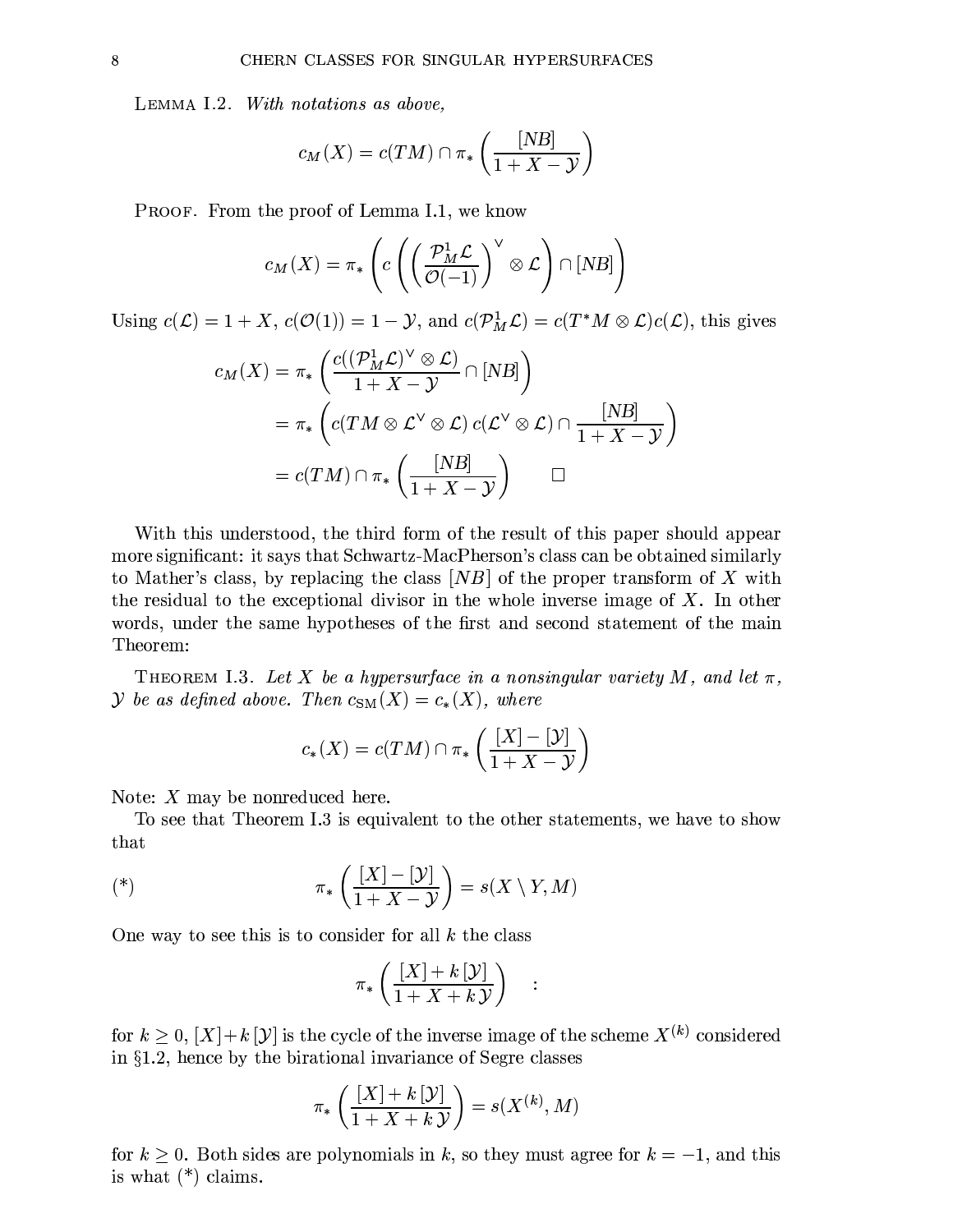LEMMA I.2. With notations as above,

$$
c_M(X) = c(TM) \cap \pi_* \left( \frac{[NB]}{1+X-\mathcal{Y}} \right)
$$

PROOF. From the proof of Lemma I.1, we know

$$
c_M(X) = \pi_*\left(c\left(\left(\frac{\mathcal{P}_M^1 \mathcal{L}}{\mathcal{O}(-1)}\right)^\vee \otimes \mathcal{L}\right) \cap [NB]\right)
$$

Using  $c(\mathcal{L}) = 1 + X$ ,  $c(\mathcal{O}(1)) = 1 - \mathcal{Y}$ , and  $c(\mathcal{P}_{M}^{1}\mathcal{L}) = c(T^{*}M \otimes \mathcal{L})c(\mathcal{L})$ , this gives

$$
c_M(X) = \pi_* \left( \frac{c((\mathcal{P}_M^1 \mathcal{L})^{\vee} \otimes \mathcal{L})}{1 + X - \mathcal{Y}} \cap [NB] \right)
$$
  
=  $\pi_* \left( c(TM \otimes \mathcal{L}^{\vee} \otimes \mathcal{L}) c(\mathcal{L}^{\vee} \otimes \mathcal{L}) \cap \frac{[NB]}{1 + X - \mathcal{Y}} \right)$   
=  $c(TM) \cap \pi_* \left( \frac{[NB]}{1 + X - \mathcal{Y}} \right) \qquad \Box$ 

With this understood, the third form of the result of this paper should appear more significant: it says that Schwartz-MacPherson's class can be obtained similarly to Mather's class, by replacing the class  $[NB]$  of the proper transform of X with the residual to the exceptional divisor in the whole inverse image of  $X$ . In other words, under the same hypotheses of the first and second statement of the main Theorem:

THEOREM I.3. Let X be a hypersurface in a nonsingular variety M, and let  $\pi$ , y be as defined above. Then  $c_{\text{SM}}(X) = c_*(X)$ , where

$$
c_*(X) = c(TM) \cap \pi_*\left(\frac{[X] - [\mathcal{Y}]}{1 + X - \mathcal{Y}}\right)
$$

Note:  $X$  may be nonreduced here.

To see that Theorem I.3 is equivalent to the other statements, we have to show that

$$
(\ast) \qquad \qquad \pi_*\left(\frac{[X]-[{\cal Y}]}{1+X-{\cal Y}}\right)=s(X\setminus Y,M)
$$

One way to see this is to consider for all  $k$  the class

$$
\pi_*\left(\frac{[X]+k\left[\mathcal{Y}\right]}{1+X+k\left[\mathcal{Y}\right]}\right)
$$

 $\ddot{\cdot}$ 

for  $k \geq 0$ ,  $[X] + k[\mathcal{Y}]$  is the cycle of the inverse image of the scheme  $X^{(k)}$  considered in  $\S1.2$ , hence by the birational invariance of Segre classes

$$
\pi_*\left(\frac{[X]+k\,[\mathcal{Y}]}{1+X+k\,\mathcal{Y}}\right)=s(X^{(k)},M)
$$

for  $k \geq 0$ . Both sides are polynomials in k, so they must agree for  $k = -1$ , and this is what  $(*)$  claims.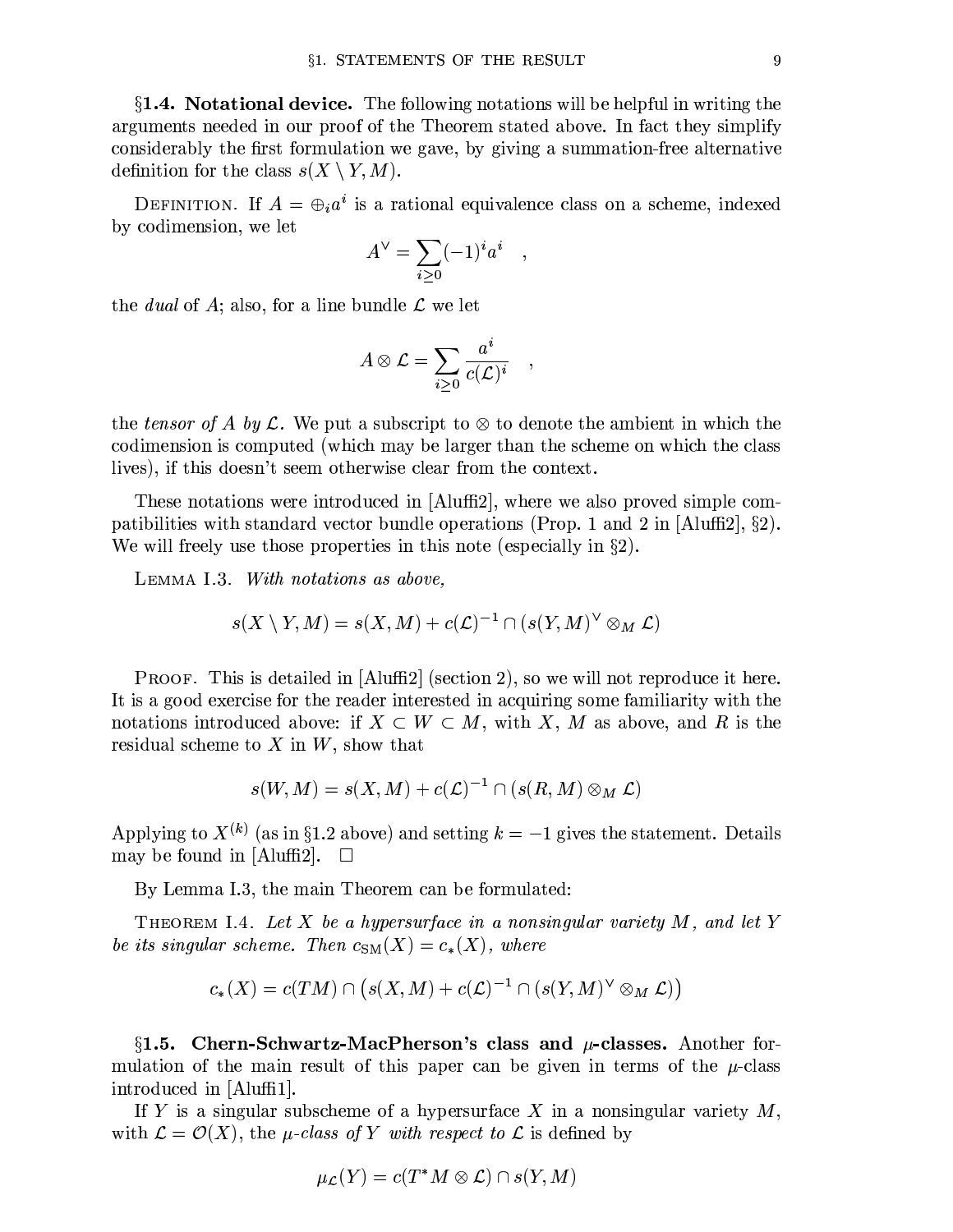$\S$ 1.4. Notational device. The following notations will be helpful in writing the arguments needed in our proof of the Theorem stated above. In fact they simplify considerably the first formulation we gave, by giving a summation-free alternative definition for the class  $s(X \setminus Y, M)$ .

DEFINITION. If  $A = \bigoplus_i a^i$  is a rational equivalence class on a scheme, indexed by codimension, we let

$$
A^{\vee} = \sum_{i \geq 0} (-1)^{i} a^{i} ,
$$

the *dual* of A; also, for a line bundle  $\mathcal{L}$  we let

$$
A\otimes\mathcal{L}=\sum_{i\geq 0}\frac{a^i}{c(\mathcal{L})^i}\quad,
$$

the tensor of A by L. We put a subscript to  $\otimes$  to denote the ambient in which the codimension is computed (which may be larger than the scheme on which the class lives), if this doesn't seem otherwise clear from the context.

These notations were introduced in  $[A\text{luff12}]$ , where we also proved simple compatibilities with standard vector bundle operations (Prop. 1 and 2 in [Aluffi2],  $\S$ 2). We will freely use those properties in this note (especially in  $\S 2$ ).

LEMMA I.3. With notations as above,

$$
s(X \setminus Y, M) = s(X, M) + c(\mathcal{L})^{-1} \cap (s(Y, M)^{\vee} \otimes_M \mathcal{L})
$$

PROOF. This is detailed in [Aluffi2] (section 2), so we will not reproduce it here. It is a good exercise for the reader interested in acquiring some familiarity with the notations introduced above: if  $X \subset W \subset M$ , with X, M as above, and R is the residual scheme to  $X$  in  $W$ , show that

$$
s(W, M) = s(X, M) + c(\mathcal{L})^{-1} \cap (s(R, M) \otimes_M \mathcal{L})
$$

Applying to  $X^{(k)}$  (as in §1.2 above) and setting  $k = -1$  gives the statement. Details may be found in [Aluffi2].  $\square$ 

By Lemma I.3, the main Theorem can be formulated:

THEOREM I.4. Let X be a hypersurface in a nonsingular variety  $M$ , and let Y be its singular scheme. Then  $c_{\text{SM}}(X) = c_*(X)$ , where

$$
c_*(X) = c(TM) \cap (s(X, M) + c(\mathcal{L})^{-1} \cap (s(Y, M)^{\vee} \otimes_M \mathcal{L}))
$$

§1.5. Chern-Schwartz-MacPherson's class and  $\mu$ -classes. Another formulation of the main result of this paper can be given in terms of the  $\mu$ -class introduced in [Aluffi1].

If Y is a singular subscheme of a hypersurface X in a nonsingular variety  $M$ , with  $\mathcal{L} = \mathcal{O}(X)$ , the *µ*-class of Y with respect to  $\mathcal{L}$  is defined by

$$
\mu_{\mathcal{L}}(Y) = c(T^*M \otimes \mathcal{L}) \cap s(Y, M)
$$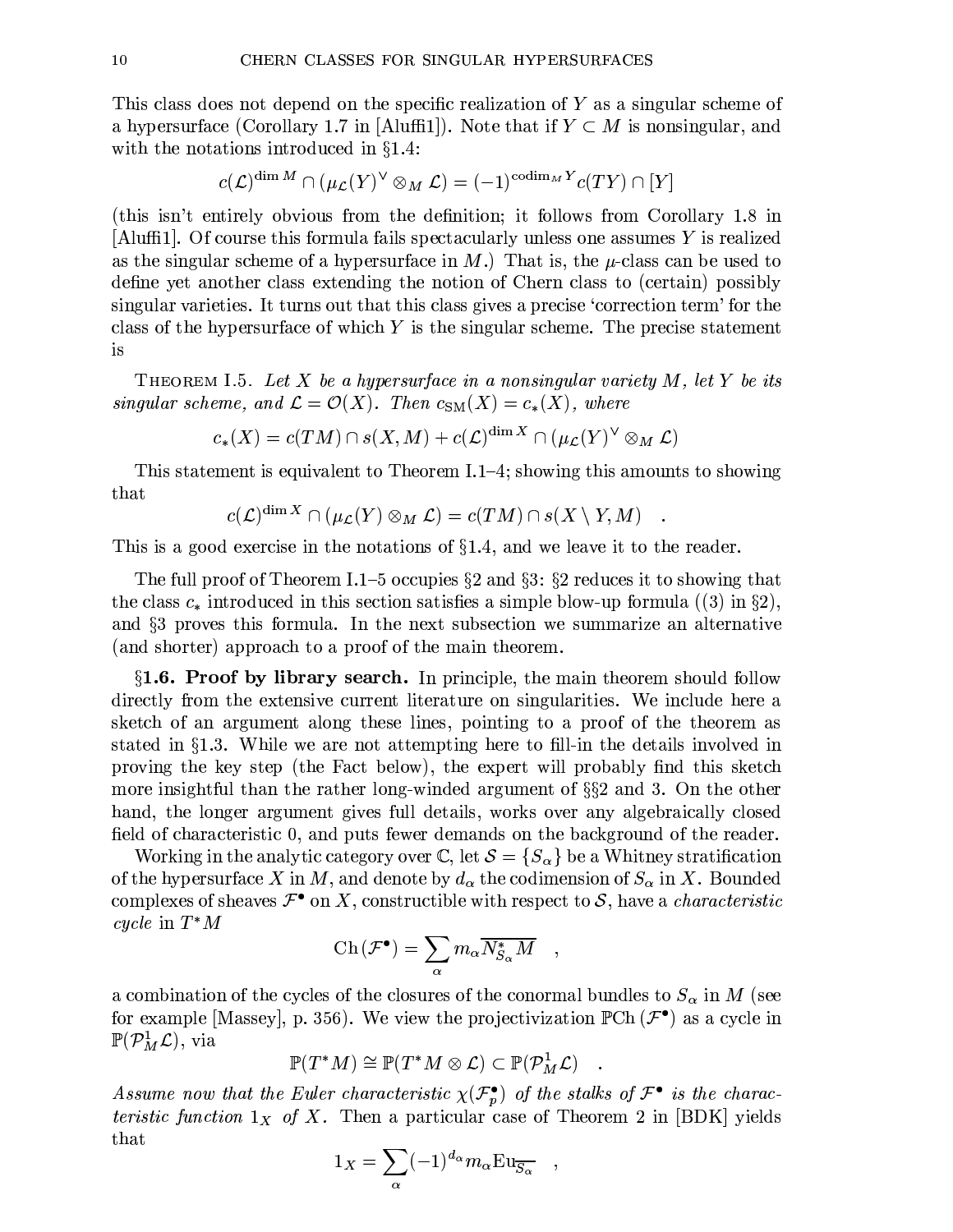This class does not depend on the specific realization of Y as a singular scheme of a hypersurface (Corollary 1.7 in [Aluffi1]). Note that if  $Y \subset M$  is nonsingular, and with the notations introduced in  $\S 1.4$ :

$$
c({\mathcal L})^{\dim M} \cap (\mu_{\mathcal L}(Y)^\vee \otimes_M {\mathcal L}) = (-1)^{\operatorname{codim}_M Y} c(TY) \cap [Y]
$$

(this isn't entirely obvious from the definition; it follows from Corollary 1.8 in  $\lceil \text{Aluff1} \rceil$ . Of course this formula fails spectacularly unless one assumes Y is realized as the singular scheme of a hypersurface in M.) That is, the  $\mu$ -class can be used to define yet another class extending the notion of Chern class to (certain) possibly singular varieties. It turns out that this class gives a precise 'correction term' for the class of the hypersurface of which  $Y$  is the singular scheme. The precise statement is

**THEOREM** 1.5. Let X be a hypersurface in a nonsingular variety M, let Y be its singular scheme, and  $\mathcal{L} = \mathcal{O}(X)$ . Then  $c_{\text{SM}}(X) = c_*(X)$ , where

$$
c_*(X) = c(TM) \cap s(X,M) + c(\mathcal{L})^{\dim X} \cap (\mu_{\mathcal{L}}(Y)^{\vee} \otimes_M \mathcal{L})
$$

This statement is equivalent to Theorem I.1–4; showing this amounts to showing that

$$
c(\mathcal{L})^{\dim X} \cap (\mu_{\mathcal{L}}(Y) \otimes_M \mathcal{L}) = c(TM) \cap s(X \setminus Y, M)
$$

This is a good exercise in the notations of  $\S1.4$ , and we leave it to the reader.

The full proof of Theorem I.1–5 occupies  $\S 2$  and  $\S 3$ :  $\S 2$  reduces it to showing that the class  $c_*$  introduced in this section satisfies a simple blow-up formula (3) in §2), and  $\S3$  proves this formula. In the next subsection we summarize an alternative (and shorter) approach to a proof of the main theorem.

 $\S1.6$ . Proof by library search. In principle, the main theorem should follow directly from the extensive current literature on singularities. We include here a sketch of an argument along these lines, pointing to a proof of the theorem as stated in  $\S1.3$ . While we are not attempting here to fill-in the details involved in proving the key step (the Fact below), the expert will probably find this sketch more insightful than the rather long-winded argument of  $\S$ 2 and 3. On the other hand, the longer argument gives full details, works over any algebraically closed field of characteristic 0, and puts fewer demands on the background of the reader.

Working in the analytic category over  $\mathbb{C}$ , let  $\mathcal{S} = \{S_{\alpha}\}\$ be a Whitney stratification of the hypersurface X in M, and denote by  $d_{\alpha}$  the codimension of  $S_{\alpha}$  in X. Bounded complexes of sheaves  $\mathcal{F}^{\bullet}$  on X, constructible with respect to S, have a *characteristic* cycle in  $T^*M$ 

$$
\operatorname{Ch}(\mathcal{F}^{\bullet}) = \sum_{\alpha} m_{\alpha} \overline{N_{S_{\alpha}}^* M} ,
$$

a combination of the cycles of the closures of the conormal bundles to  $S_{\alpha}$  in M (see for example [Massey], p. 356). We view the projectivization  $\mathbb{P}Ch(\mathcal{F}^{\bullet})$  as a cycle in  $\mathbb{P}(\mathcal{P}_{M}^{\perp}\mathcal{L}),$  via

$$
\mathbb{P}(T^*M)\cong \mathbb{P}(T^*M\otimes \mathcal{L})\subset \mathbb{P}(\mathcal{P}^1_M\mathcal{L})
$$

Assume now that the Euler characteristic  $\chi(\mathcal{F}_{p}^{\bullet})$  of the stalks of  $\mathcal{F}^{\bullet}$  is the characteristic function  $1_X$  of X. Then a particular case of Theorem 2 in [BDK] yields that

$$
1_X = \sum_{\alpha} (-1)^{d_{\alpha}} m_{\alpha} \mathrm{Eu}_{\overline{S_{\alpha}}}
$$

 $\,$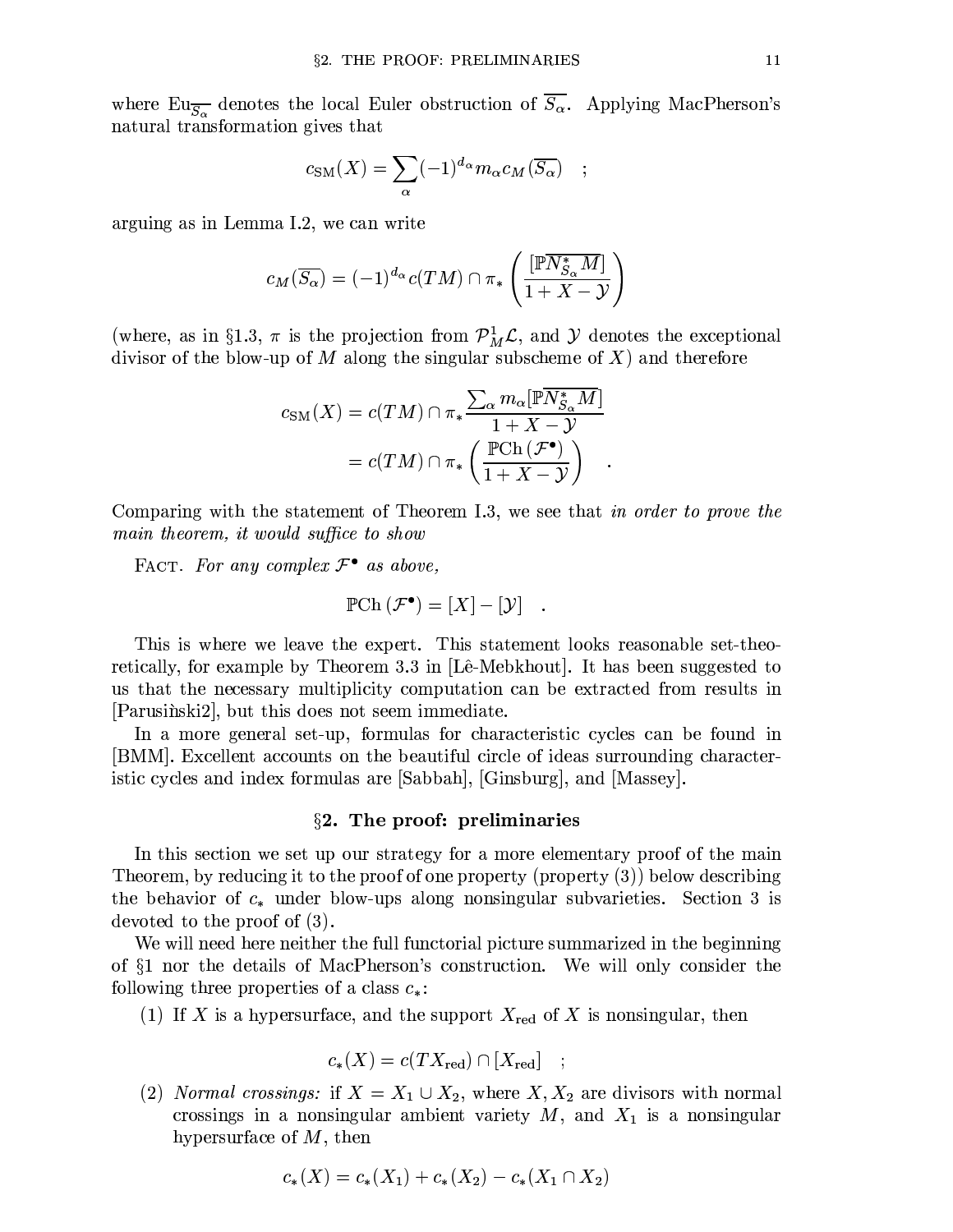where  $Eu_{\overline{S_{\alpha}}}$  denotes the local Euler obstruction of  $\overline{S_{\alpha}}$ . Applying MacPherson's natural transformation gives that

$$
c_{\rm SM}(X) = \sum_{\alpha} (-1)^{d_{\alpha}} m_{\alpha} c_M(\overline{S_{\alpha}})
$$

arguing as in Lemma I.2, we can write

$$
c_M(\overline{S_{\alpha}}) = (-1)^{d_{\alpha}} c(TM) \cap \pi_* \left( \frac{[\mathbb{P} \overline{N_{S_{\alpha}}^* M}]}{1+X-\mathcal{Y}} \right)
$$

(where, as in §1.3,  $\pi$  is the projection from  $\mathcal{P}_{M}^{1}\mathcal{L}$ , and  $\mathcal{Y}$  denotes the exceptional divisor of the blow-up of M along the singular subscheme of X) and therefore

$$
c_{\rm SM}(X) = c(TM) \cap \pi_* \frac{\sum_{\alpha} m_{\alpha} [\overline{\mathbb{P}N_{S_{\alpha}}^* M}]}{1 + X - Y}
$$

$$
= c(TM) \cap \pi_* \left( \frac{\mathbb{P} \text{Ch}\left(\mathcal{F}^{\bullet}\right)}{1 + X - Y} \right) .
$$

Comparing with the statement of Theorem I.3, we see that in order to prove the main theorem, it would suffice to show

FACT. For any complex  $\mathcal{F}^{\bullet}$  as above,

$$
\mathbb{P} \mathrm{Ch}\,(\mathcal{F}^\bullet) = [X] - [\mathcal{Y}] \quad.
$$

This is where we leave the expert. This statement looks reasonable set-theoretically, for example by Theorem 3.3 in [Lê-Mebkhout]. It has been suggested to us that the necessary multiplicity computation can be extracted from results in [Parusing ki2], but this does not seem immediate.

In a more general set-up, formulas for characteristic cycles can be found in [BMM]. Excellent accounts on the beautiful circle of ideas surrounding characteristic cycles and index formulas are [Sabbah], [Ginsburg], and [Massey].

#### $\S$ 2. The proof: preliminaries

In this section we set up our strategy for a more elementary proof of the main Theorem, by reducing it to the proof of one property (property  $(3)$ ) below describing the behavior of  $c_*$  under blow-ups along nonsingular subvarieties. Section 3 is devoted to the proof of  $(3)$ .

We will need here neither the full functorial picture summarized in the beginning of §1 nor the details of MacPherson's construction. We will only consider the following three properties of a class  $c_*$ :

(1) If X is a hypersurface, and the support  $X_{\text{red}}$  of X is nonsingular, then

$$
c_*(X) = c(TX_{\text{red}}) \cap [X_{\text{red}}] \quad ;
$$

(2) Normal crossings: if  $X = X_1 \cup X_2$ , where  $X, X_2$  are divisors with normal crossings in a nonsingular ambient variety  $M$ , and  $X_1$  is a nonsingular hypersurface of  $M$ , then

$$
c_*(X) = c_*(X_1) + c_*(X_2) - c_*(X_1 \cap X_2)
$$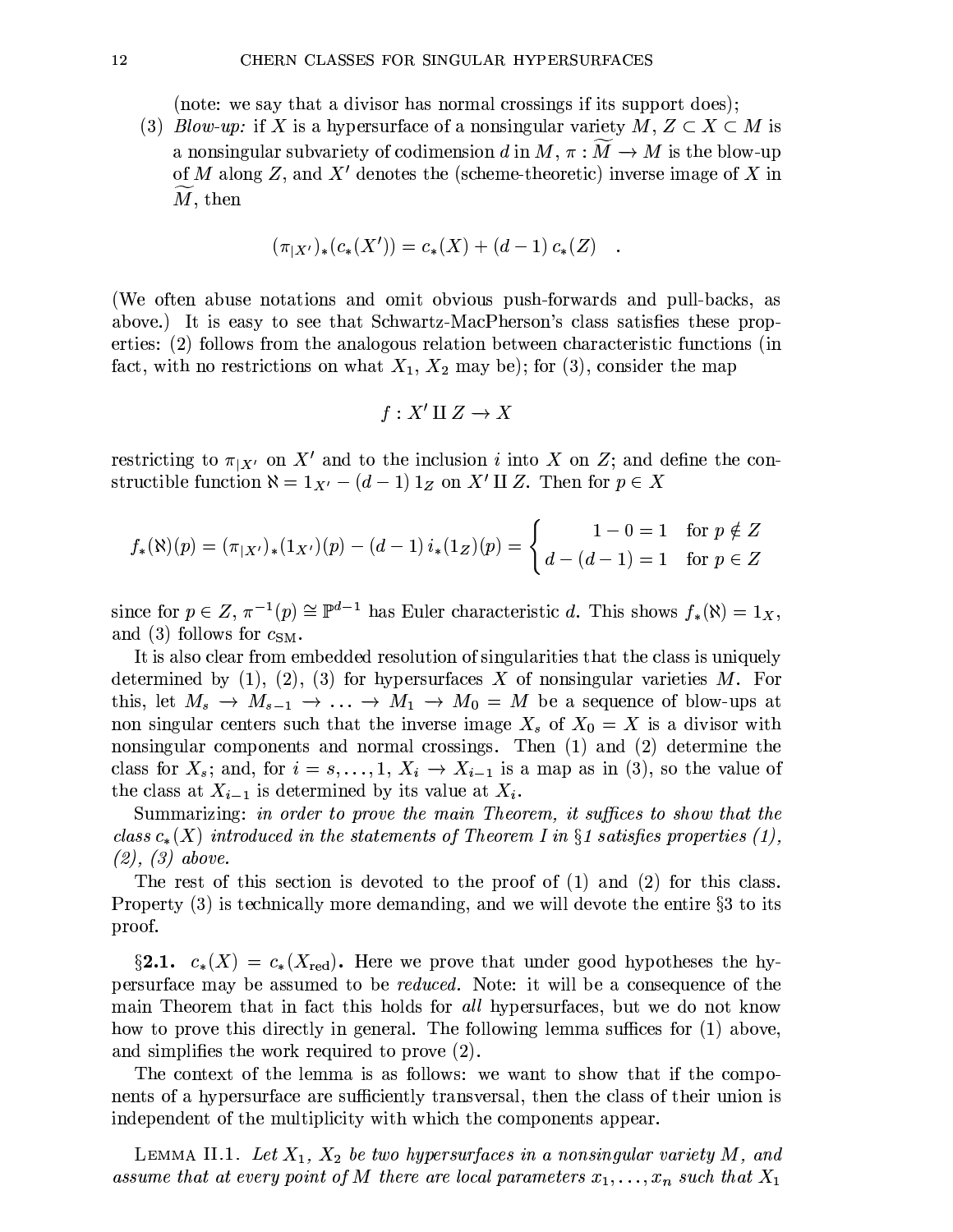(note: we say that a divisor has normal crossings if its support does);

(3) *Blow-up:* if X is a hypersurface of a nonsingular variety  $M, Z \subset X \subset M$  is a nonsingular subvariety of codimension d in  $M, \pi : \overline{M} \to M$  is the blow-up of M along Z, and X' denotes the (scheme-theoretic) inverse image of X in  $M$ , then

$$
(\pi_{|X'})_*(c_*(X')) = c_*(X) + (d-1) c_*(Z)
$$

(We often abuse notations and omit obvious push-forwards and pull-backs, as above.) It is easy to see that Schwartz-MacPherson's class satisfies these properties: (2) follows from the analogous relation between characteristic functions (in fact, with no restrictions on what  $X_1, X_2$  may be); for (3), consider the map

$$
f: X' \amalg Z \to X
$$

restricting to  $\pi_{X'}$  on X' and to the inclusion i into X on Z; and define the constructible function  $\aleph = 1_{X'} - (d-1) 1_Z$  on X' II Z. Then for  $p \in X$ 

$$
f_*(\aleph)(p) = (\pi_{|X'})_*(1_{X'})(p) - (d-1)i_*(1_Z)(p) = \begin{cases} 1 - 0 = 1 & \text{for } p \notin Z \\ d - (d-1) = 1 & \text{for } p \in Z \end{cases}
$$

since for  $p \in Z$ ,  $\pi^{-1}(p) \cong \mathbb{P}^{d-1}$  has Euler characteristic d. This shows  $f_*(\aleph) = 1_X$ , and (3) follows for  $c_{SM}$ .

It is also clear from embedded resolution of singularities that the class is uniquely determined by  $(1)$ ,  $(2)$ ,  $(3)$  for hypersurfaces X of nonsingular varieties M. For this, let  $M_s \to M_{s-1} \to \ldots \to M_1 \to M_0 = M$  be a sequence of blow-ups at non singular centers such that the inverse image  $X_s$  of  $X_0 = X$  is a divisor with nonsingular components and normal crossings. Then (1) and (2) determine the class for  $X_s$ ; and, for  $i = s, \ldots, 1, X_i \rightarrow X_{i-1}$  is a map as in (3), so the value of the class at  $X_{i-1}$  is determined by its value at  $X_i$ .

Summarizing: in order to prove the main Theorem, it suffices to show that the class  $c_*(X)$  introduced in the statements of Theorem I in §1 satisfies properties (1),  $(2), (3)$  above.

The rest of this section is devoted to the proof of  $(1)$  and  $(2)$  for this class. Property  $(3)$  is technically more demanding, and we will devote the entire  $\S 3$  to its proof.

§2.1.  $c_*(X) = c_*(X_{\text{red}})$ . Here we prove that under good hypotheses the hypersurface may be assumed to be *reduced*. Note: it will be a consequence of the main Theorem that in fact this holds for all hypersurfaces, but we do not know how to prove this directly in general. The following lemma suffices for (1) above, and simplifies the work required to prove  $(2)$ .

The context of the lemma is as follows: we want to show that if the components of a hypersurface are sufficiently transversal, then the class of their union is independent of the multiplicity with which the components appear.

LEMMA II.1. Let  $X_1, X_2$  be two hypersurfaces in a nonsingular variety M, and assume that at every point of  $M$  there are local parameters  $x_1,\ldots,x_n$  such that  $X_1$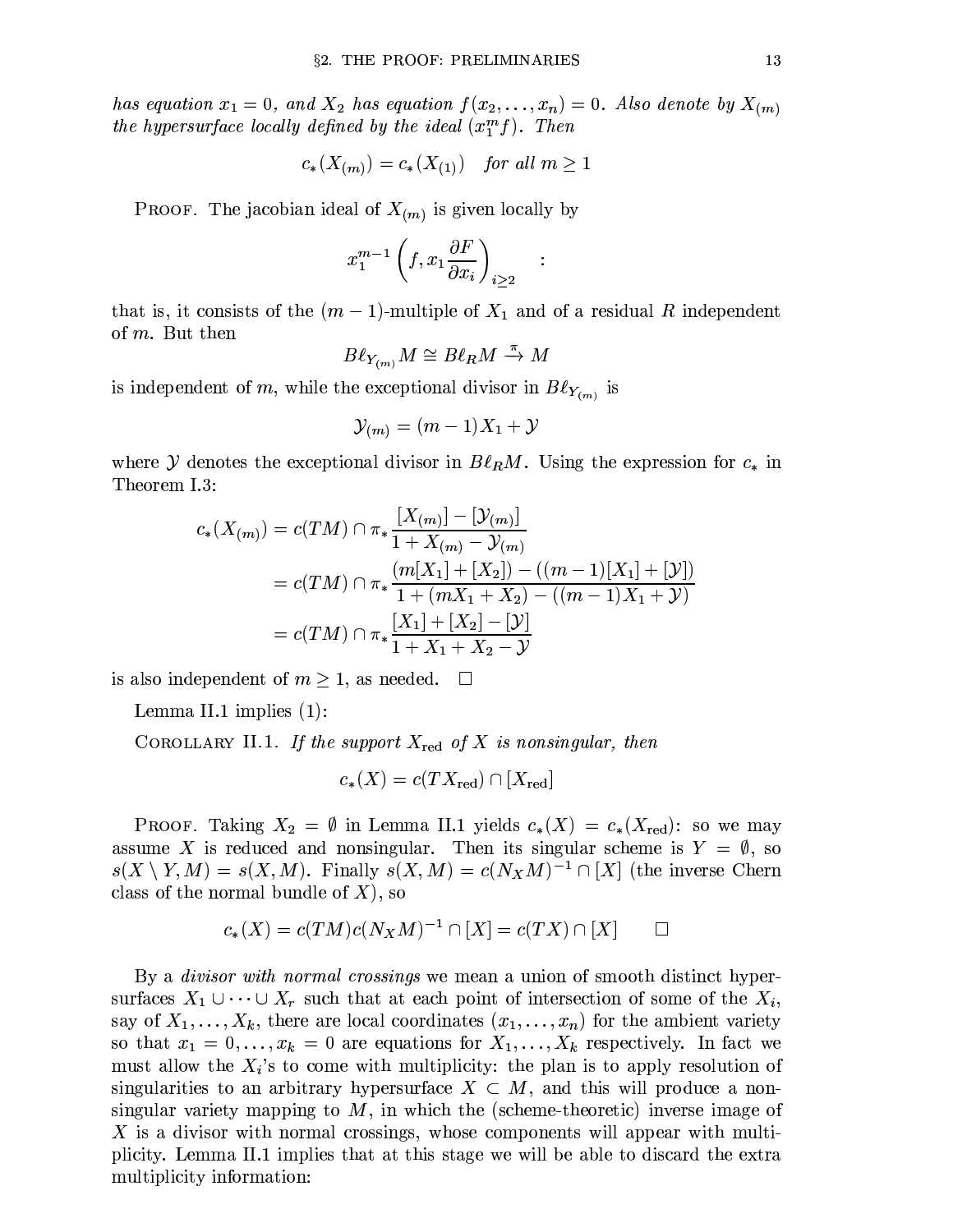has equation  $x_1 = 0$ , and  $X_2$  has equation  $f(x_2, \ldots, x_n) = 0$ . Also denote by  $X_{(m)}$ the hypersurface locally defined by the ideal  $(x_1^m f)$ . Then

$$
c_*(X_{(m)}) = c_*(X_{(1)}) \quad \text{for all } m \ge 1
$$

**PROOF.** The jacobian ideal of  $X_{(m)}$  is given locally by

$$
x_1^{m-1} \left( f, x_1 \frac{\partial F}{\partial x_i} \right)_{i \ge 2}
$$

 $\ddot{\cdot}$ 

that is, it consists of the  $(m-1)$ -multiple of  $X_1$  and of a residual R independent of  $m$ . But then

$$
B\ell_{Y_{(m)}}M\cong B\ell_R M\stackrel{\pi}\to M
$$

is independent of m, while the exceptional divisor in  $B\ell_{Y_{(m)}}$  is

$$
\mathcal{Y}_{(m)} = (m-1)X_1 + \mathcal{Y}
$$

where Y denotes the exceptional divisor in  $B\ell_R M$ . Using the expression for  $c_*$  in Theorem I.3:

$$
c_{*}(X_{(m)}) = c(TM) \cap \pi_{*} \frac{|X_{(m)}| - |\mathcal{Y}_{(m)}|}{1 + X_{(m)} - \mathcal{Y}_{(m)}}
$$
  
= 
$$
c(TM) \cap \pi_{*} \frac{(m[X_{1}] + [X_{2}]) - ((m - 1)[X_{1}] + [\mathcal{Y}])}{1 + (mX_{1} + X_{2}) - ((m - 1)X_{1} + \mathcal{Y})}
$$
  
= 
$$
c(TM) \cap \pi_{*} \frac{|X_{1}| + [X_{2}] - [\mathcal{Y}]}{1 + X_{1} + X_{2} - \mathcal{Y}}
$$

is also independent of  $m \geq 1$ , as needed.  $\square$ 

Lemma II.1 implies  $(1)$ :

COROLLARY II.1. If the support  $X_{\text{red}}$  of X is nonsingular, then

$$
c_*(X) = c(TX_{\text{red}}) \cap [X_{\text{red}}]
$$

**PROOF.** Taking  $X_2 = \emptyset$  in Lemma II.1 yields  $c_*(X) = c_*(X_{\text{red}})$ : so we may assume X is reduced and nonsingular. Then its singular scheme is  $Y = \emptyset$ , so  $s(X \setminus Y, M) = s(X, M)$ . Finally  $s(X, M) = c(N_X M)^{-1} \cap [X]$  (the inverse Chern class of the normal bundle of  $X$ ), so

$$
c_*(X) = c(TM)c(N_XM)^{-1} \cap [X] = c(TX) \cap [X] \qquad \Box
$$

By a *divisor with normal crossings* we mean a union of smooth distinct hypersurfaces  $X_1 \cup \cdots \cup X_r$  such that at each point of intersection of some of the  $X_i$ , say of  $X_1, \ldots, X_k$ , there are local coordinates  $(x_1, \ldots, x_n)$  for the ambient variety so that  $x_1 = 0, \ldots, x_k = 0$  are equations for  $X_1, \ldots, X_k$  respectively. In fact we must allow the  $X_i$ 's to come with multiplicity: the plan is to apply resolution of singularities to an arbitrary hypersurface  $X \subset M$ , and this will produce a nonsingular variety mapping to  $M$ , in which the (scheme-theoretic) inverse image of X is a divisor with normal crossings, whose components will appear with multiplicity. Lemma II.1 implies that at this stage we will be able to discard the extra multiplicity information: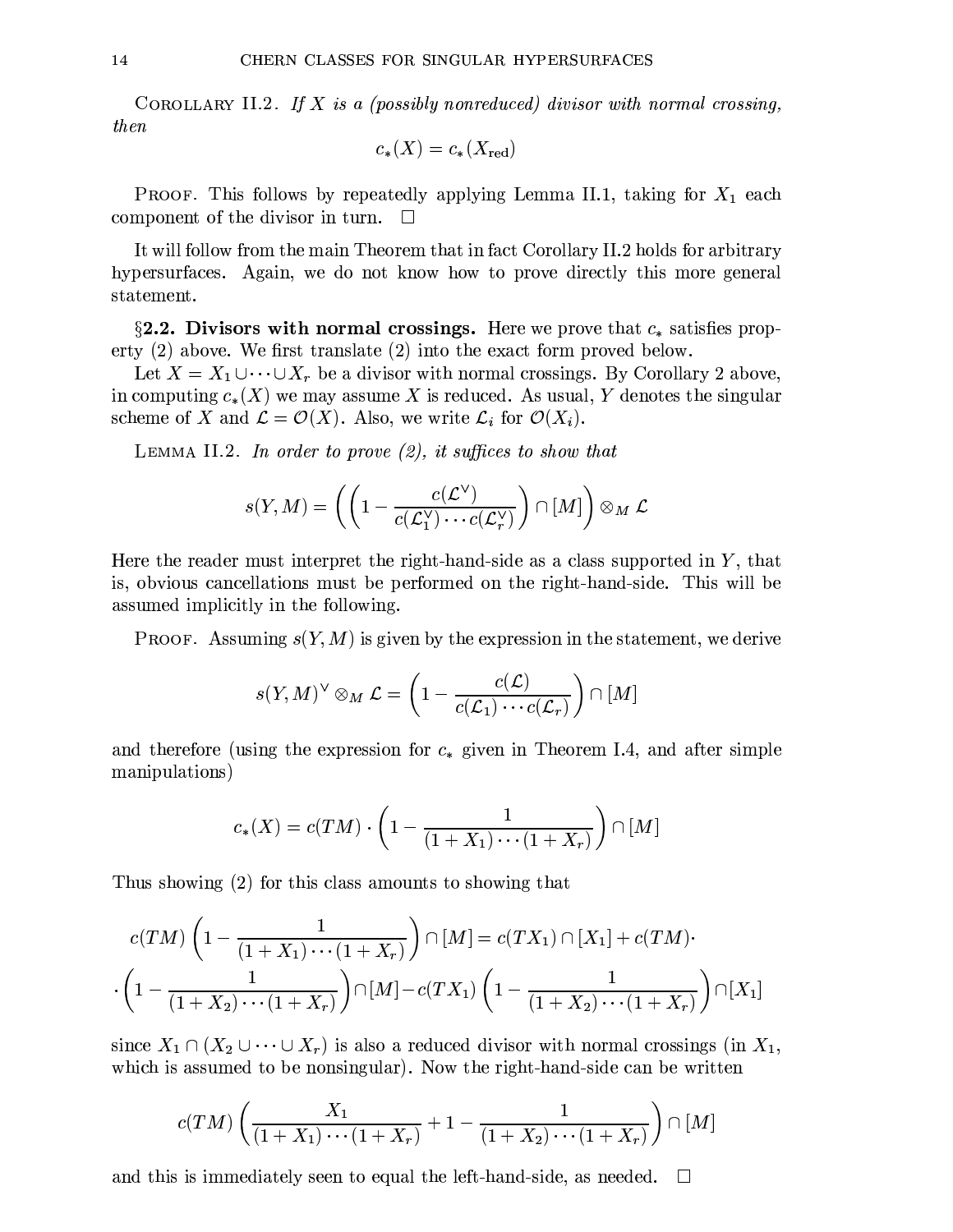COROLLARY II.2. If X is a (possibly nonreduced) divisor with normal crossing, then

$$
c_*(X)=c_*(X_{\rm red})
$$

**PROOF.** This follows by repeatedly applying Lemma II.1, taking for  $X_1$  each component of the divisor in turn.  $\square$ 

It will follow from the main Theorem that in fact Corollary II.2 holds for arbitrary hypersurfaces. Again, we do not know how to prove directly this more general statement.

§2.2. Divisors with normal crossings. Here we prove that  $c_*$  satisfies property  $(2)$  above. We first translate  $(2)$  into the exact form proved below.

Let  $X = X_1 \cup \cdots \cup X_r$  be a divisor with normal crossings. By Corollary 2 above, in computing  $c_*(X)$  we may assume X is reduced. As usual, Y denotes the singular scheme of X and  $\mathcal{L} = \mathcal{O}(X)$ . Also, we write  $\mathcal{L}_i$  for  $\mathcal{O}(X_i)$ .

LEMMA II.2. In order to prove  $(2)$ , it suffices to show that

$$
s(Y, M) = \left( \left( 1 - \frac{c(\mathcal{L}^{\vee})}{c(\mathcal{L}^{\vee}_1) \cdots c(\mathcal{L}^{\vee}_r)} \right) \cap [M] \right) \otimes_M \mathcal{L}
$$

Here the reader must interpret the right-hand-side as a class supported in  $Y$ , that is, obvious cancellations must be performed on the right-hand-side. This will be assumed implicitly in the following.

**PROOF.** Assuming  $s(Y, M)$  is given by the expression in the statement, we derive

$$
s(Y, M)^{\vee} \otimes_M \mathcal{L} = \left(1 - \frac{c(\mathcal{L})}{c(\mathcal{L}_1) \cdots c(\mathcal{L}_r)}\right) \cap [M]
$$

and therefore (using the expression for  $c_*$  given in Theorem I.4, and after simple manipulations)

$$
c_*(X) = c(TM) \cdot \left(1 - \frac{1}{(1+X_1)\cdots(1+X_r)}\right) \cap [M]
$$

Thus showing (2) for this class amounts to showing that

$$
c(TM) \left(1 - \frac{1}{(1+X_1)\cdots(1+X_r)}\right) \cap [M] = c(TX_1) \cap [X_1] + c(TM) \cdot \left(1 - \frac{1}{(1+X_2)\cdots(1+X_r)}\right) \cap [M] - c(TX_1) \left(1 - \frac{1}{(1+X_2)\cdots(1+X_r)}\right) \cap [X_1]
$$

since  $X_1 \cap (X_2 \cup \cdots \cup X_r)$  is also a reduced divisor with normal crossings (in  $X_1$ , which is assumed to be nonsingular). Now the right-hand-side can be written

$$
c(TM)\left(\frac{X_1}{(1+X_1)\cdots(1+X_r)}+1-\frac{1}{(1+X_2)\cdots(1+X_r)}\right)\cap [M]
$$

and this is immediately seen to equal the left-hand-side, as needed.  $\Box$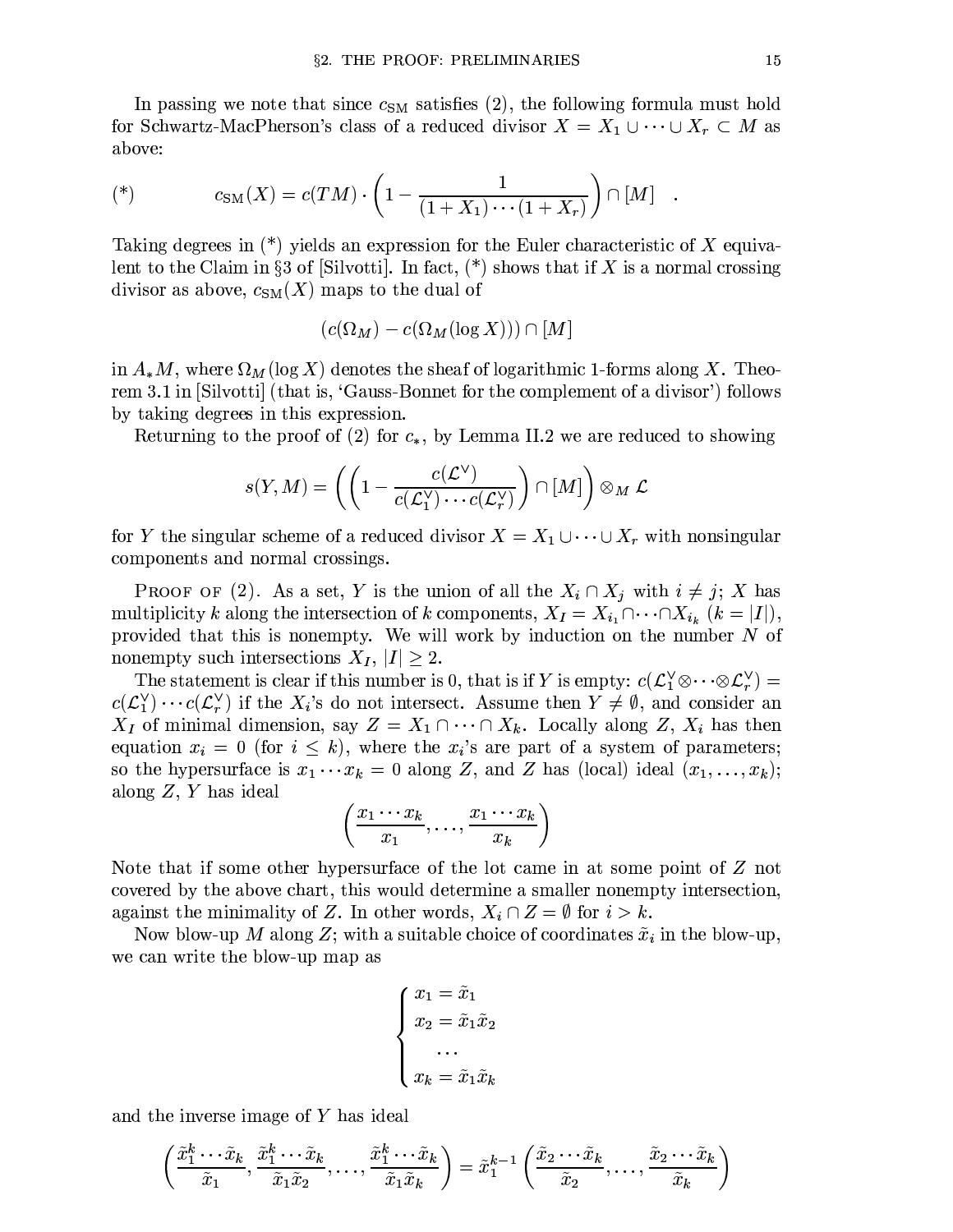In passing we note that since  $c_{SM}$  satisfies (2), the following formula must hold for Schwartz-MacPherson's class of a reduced divisor  $X = X_1 \cup \cdots \cup X_r \subset M$  as above:

(\*) 
$$
c_{\text{SM}}(X) = c(TM) \cdot \left(1 - \frac{1}{(1 + X_1) \cdots (1 + X_r)}\right) \cap [M]
$$

Taking degrees in  $(*)$  yields an expression for the Euler characteristic of X equivalent to the Claim in §3 of [Silvotti]. In fact,  $(*)$  shows that if X is a normal crossing divisor as above,  $c_{SM}(X)$  maps to the dual of

$$
(c(\Omega_M) - c(\Omega_M(\log X))) \cap [M]
$$

in  $A_{*}M$ , where  $\Omega_M(\log X)$  denotes the sheaf of logarithmic 1-forms along X. Theorem 3.1 in [Silvotti] (that is, 'Gauss-Bonnet for the complement of a divisor') follows by taking degrees in this expression.

Returning to the proof of (2) for  $c_*,$  by Lemma II.2 we are reduced to showing

$$
s(Y, M) = \left( \left( 1 - \frac{c(\mathcal{L}^{\vee})}{c(\mathcal{L}^{\vee}_1) \cdots c(\mathcal{L}^{\vee}_r)} \right) \cap [M] \right) \otimes_M \mathcal{L}
$$

for Y the singular scheme of a reduced divisor  $X = X_1 \cup \cdots \cup X_r$  with nonsingular components and normal crossings.

**PROOF** OF (2). As a set, Y is the union of all the  $X_i \cap X_j$  with  $i \neq j$ ; X has multiplicity k along the intersection of k components,  $X_I = X_{i_1} \cap \cdots \cap X_{i_k}$   $(k = |I|)$ , provided that this is nonempty. We will work by induction on the number  $N$  of nonempty such intersections  $X_I, |I| \geq 2$ .

The statement is clear if this number is 0, that is if Y is empty:  $c(\mathcal{L}_1^{\vee} \otimes \cdots \otimes \mathcal{L}_r^{\vee}) =$  $c(\mathcal{L}_1^{\vee})\cdots c(\mathcal{L}_r^{\vee})$  if the  $X_i$ 's do not intersect. Assume then  $Y\neq\emptyset$ , and consider an  $X_I$  of minimal dimension, say  $Z = X_1 \cap \cdots \cap X_k$ . Locally along Z,  $X_i$  has then equation  $x_i = 0$  (for  $i \leq k$ ), where the  $x_i$ 's are part of a system of parameters; so the hypersurface is  $x_1 \cdots x_k = 0$  along Z, and Z has (local) ideal  $(x_1, \ldots, x_k)$ ; along  $Z, Y$  has ideal

$$
\left(\frac{x_1\cdots x_k}{x_1},\ldots,\frac{x_1\cdots x_k}{x_k}\right)
$$

Note that if some other hypersurface of the lot came in at some point of  $Z$  not covered by the above chart, this would determine a smaller nonempty intersection, against the minimality of Z. In other words,  $X_i \cap Z = \emptyset$  for  $i > k$ .

Now blow-up M along Z; with a suitable choice of coordinates  $\tilde{x}_i$  in the blow-up, we can write the blow-up map as

$$
\begin{cases}\nx_1 = \tilde{x}_1 \\
x_2 = \tilde{x}_1 \tilde{x}_2 \\
\dots \\
x_k = \tilde{x}_1 \tilde{x}_k\n\end{cases}
$$

and the inverse image of  $Y$  has ideal

$$
\left(\frac{\tilde{x}_1^k \cdots \tilde{x}_k}{\tilde{x}_1}, \frac{\tilde{x}_1^k \cdots \tilde{x}_k}{\tilde{x}_1 \tilde{x}_2}, \dots, \frac{\tilde{x}_1^k \cdots \tilde{x}_k}{\tilde{x}_1 \tilde{x}_k}\right) = \tilde{x}_1^{k-1}\left(\frac{\tilde{x}_2 \cdots \tilde{x}_k}{\tilde{x}_2}, \dots, \frac{\tilde{x}_2 \cdots \tilde{x}_k}{\tilde{x}_k}\right)
$$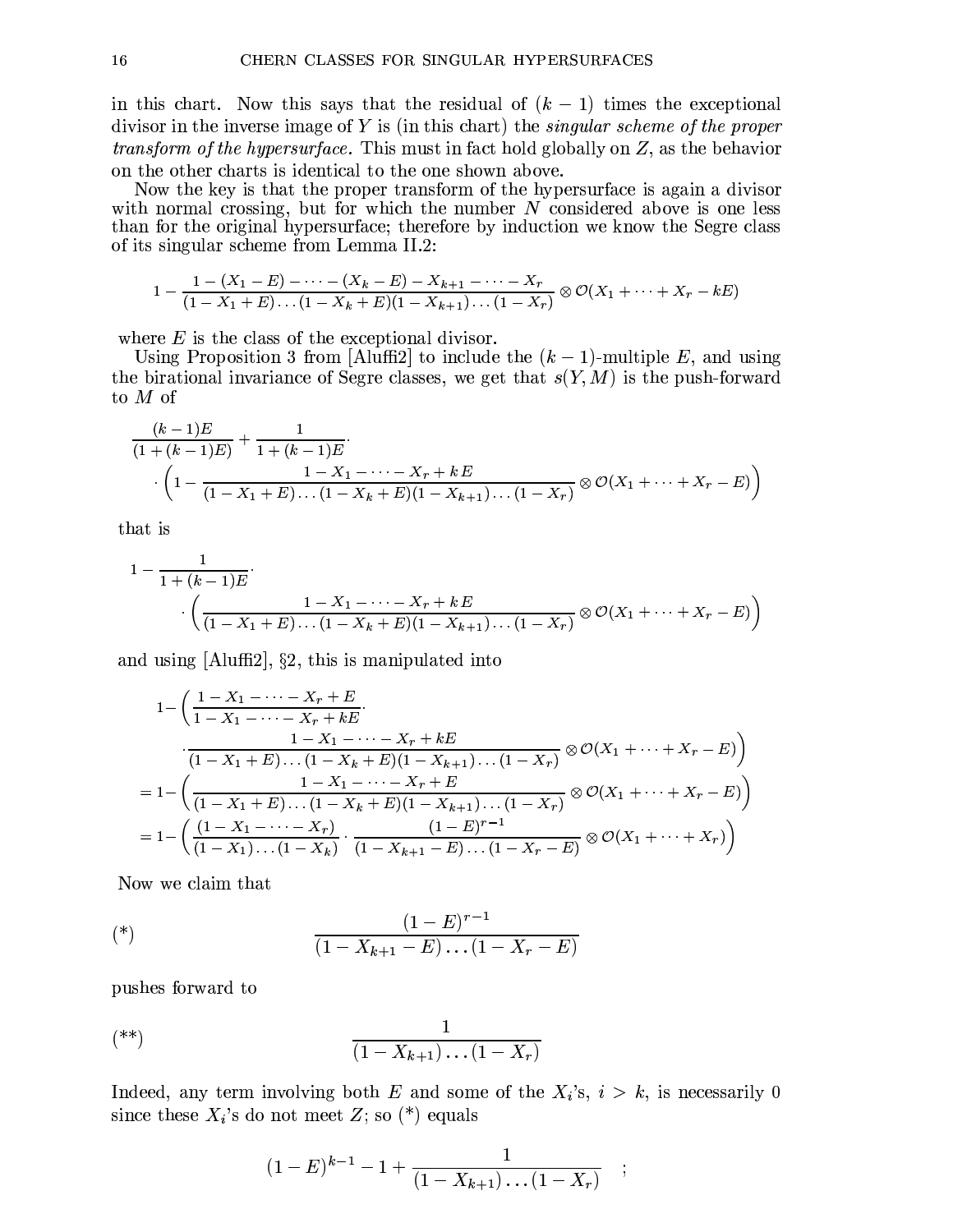in this chart. Now this says that the residual of  $(k-1)$  times the exceptional divisor in the inverse image of  $Y$  is (in this chart) the *singular scheme of the proper transform of the hypersurface.* This must in fact hold globally on  $Z$ , as the behavior on the other charts is identical to the one shown above.

Now the key is that the proper transform of the hypersurface is again a divisor with normal crossing, but for which the number  $N$  considered above is one less than for the original hypersurface; therefore by induction we know the Segre class of its singular scheme from Lemma II.2:

$$
1 - \frac{1 - (X_1 - E) - \cdots - (X_k - E) - X_{k+1} - \cdots - X_r}{(1 - X_1 + E) \cdots (1 - X_k + E)(1 - X_{k+1}) \cdots (1 - X_r)} \otimes \mathcal{O}(X_1 + \cdots + X_r - kE)
$$

where  $E$  is the class of the exceptional divisor.

Using Proposition 3 from [Aluffi2] to include the  $(k-1)$ -multiple E, and using the birational invariance of Segre classes, we get that  $s(Y, M)$  is the push-forward to  $M$  of

$$
\frac{(k-1)E}{(1+(k-1)E)} + \frac{1}{1+(k-1)E} \cdot \left(1 - \frac{1-X_1 - \dots - X_r + kE}{(1-X_1+E)\dots(1-X_k+E)(1-X_{k+1})\dots(1-X_r)} \otimes \mathcal{O}(X_1 + \dots + X_r - E)\right)
$$

that is

$$
1 - \frac{1}{1 + (k-1)E} \cdot \left( \frac{1 - X_1 - \dots - X_r + kE}{(1 - X_1 + E) \dots (1 - X_k + E)(1 - X_{k+1}) \dots (1 - X_r)} \otimes \mathcal{O}(X_1 + \dots + X_r - E) \right)
$$

and using  $[Aluffi2], \S2$ , this is manipulated into

$$
1 - \left(\frac{1 - X_1 - \dots - X_r + E}{1 - X_1 - \dots - X_r + kE} \cdot \frac{1 - X_1 - \dots - X_r + kE}{(1 - X_1 + E) \dots (1 - X_k + E)(1 - X_{k+1}) \dots (1 - X_r)} \otimes \mathcal{O}(X_1 + \dots + X_r - E)\right)
$$
  
= 
$$
1 - \left(\frac{1 - X_1 - \dots - X_r + E}{(1 - X_1 + E) \dots (1 - X_k + E)(1 - X_{k+1}) \dots (1 - X_r)} \otimes \mathcal{O}(X_1 + \dots + X_r - E)\right)
$$
  
= 
$$
1 - \left(\frac{(1 - X_1 - \dots - X_r)}{(1 - X_1) \dots (1 - X_k)} \cdot \frac{(1 - E)^{r-1}}{(1 - X_{k+1} - E) \dots (1 - X_r - E)} \otimes \mathcal{O}(X_1 + \dots + X_r)\right)
$$

Now we claim that

(\*) 
$$
\frac{(1-E)^{r-1}}{(1-X_{k+1}-E)\dots(1-X_r-E)}
$$

pushes forward to

$$
(*)\qquad \qquad \frac{1}{(1-X_{k+1})\dots(1-X_r)}
$$

Indeed, any term involving both E and some of the  $X_i$ 's,  $i > k$ , is necessarily 0 since these  $X_i$ 's do not meet Z; so (\*) equals

$$
(1-E)^{k-1} - 1 + \frac{1}{(1-X_{k+1})\dots(1-X_r)} \quad ;
$$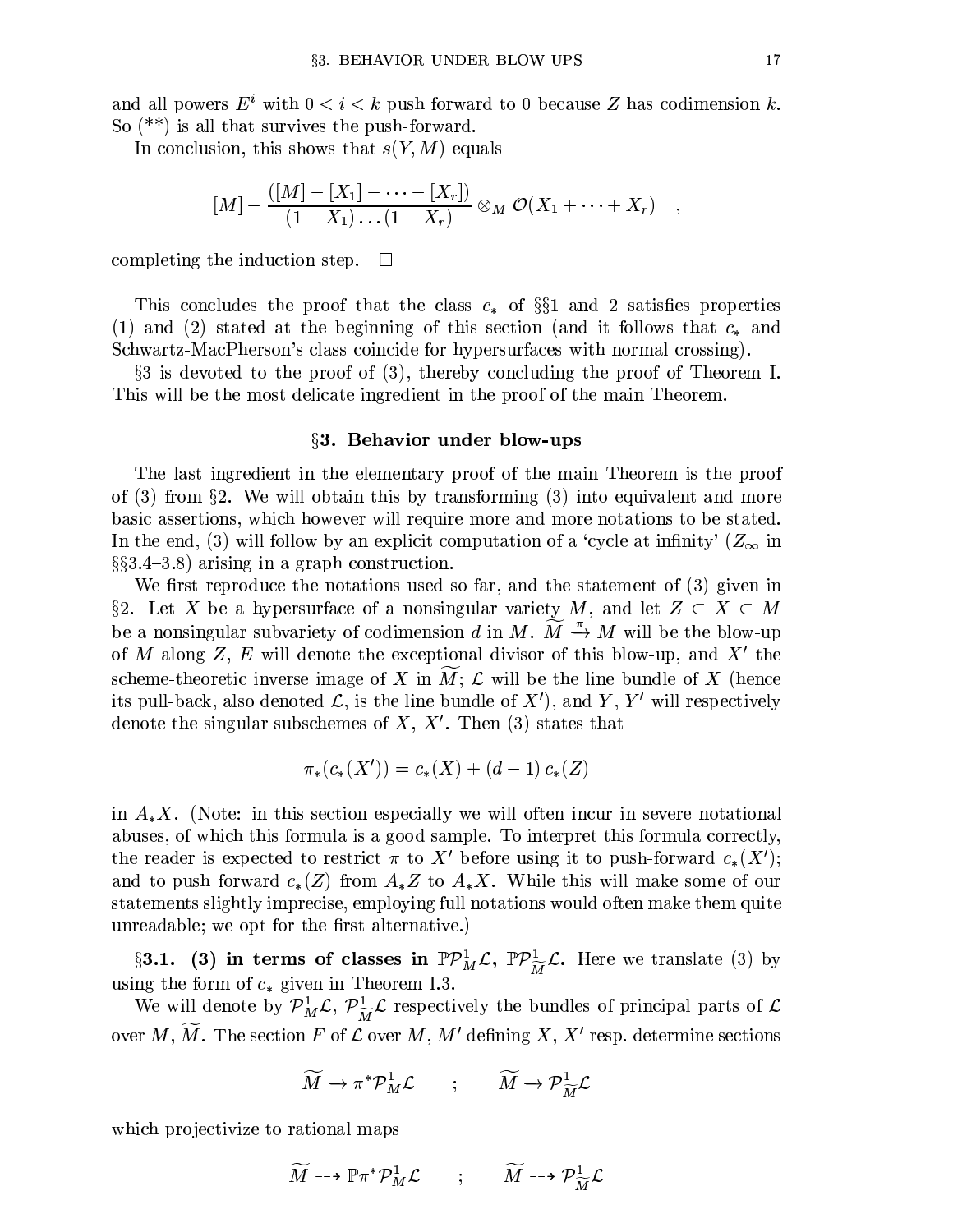and all powers  $E^i$  with  $0 < i < k$  push forward to 0 because Z has codimension k. So  $(**)$  is all that survives the push-forward.

In conclusion, this shows that  $s(Y, M)$  equals

$$
[M] - \frac{([M] - [X_1] - \cdots - [X_r])}{(1 - X_1) \cdots (1 - X_r)} \otimes_M \mathcal{O}(X_1 + \cdots + X_r)
$$

completing the induction step.  $\Box$ 

This concludes the proof that the class  $c_*$  of §§1 and 2 satisfies properties (1) and (2) stated at the beginning of this section (and it follows that  $c_*$  and Schwartz-MacPherson's class coincide for hypersurfaces with normal crossing).

 $\S3$  is devoted to the proof of (3), thereby concluding the proof of Theorem I. This will be the most delicate ingredient in the proof of the main Theorem.

#### §3. Behavior under blow-ups

The last ingredient in the elementary proof of the main Theorem is the proof of (3) from §2. We will obtain this by transforming (3) into equivalent and more basic assertions, which however will require more and more notations to be stated. In the end, (3) will follow by an explicit computation of a 'cycle at infinity'  $(Z_{\infty}$  in  $\S$ \$3.4-3.8) arising in a graph construction.

We first reproduce the notations used so far, and the statement of (3) given in §2. Let X be a hypersurface of a nonsingular variety M, and let  $Z \subset X \subset M$ be a nonsingular subvariety of codimension d in M.  $M \stackrel{\pi}{\rightarrow} M$  will be the blow-up of M along Z, E will denote the exceptional divisor of this blow-up, and  $X'$  the scheme-theoretic inverse image of X in M;  $\mathcal L$  will be the line bundle of X (hence its pull-back, also denoted  $\mathcal{L}$ , is the line bundle of  $X'$ , and Y, Y' will respectively denote the singular subschemes of  $X, X'$ . Then (3) states that

$$
\pi_*(c_*(X')) = c_*(X) + (d-1)c_*(Z)
$$

in  $A_{*}X$ . (Note: in this section especially we will often incur in severe notational abuses, of which this formula is a good sample. To interpret this formula correctly, the reader is expected to restrict  $\pi$  to X' before using it to push-forward  $c_*(X')$ ; and to push forward  $c_*(Z)$  from  $A_*Z$  to  $A_*X$ . While this will make some of our statements slightly imprecise, employing full notations would often make them quite unreadable; we opt for the first alternative.)

§3.1. (3) in terms of classes in  $\mathbb{P} \mathcal{P}_M^1 \mathcal{L}$ ,  $\mathbb{P} \mathcal{P}_{\widetilde{M}}^1 \mathcal{L}$ . Here we translate (3) by using the form of  $c_*$  given in Theorem I.3.

We will denote by  $\mathcal{P}_{M}^{1}\mathcal{L}, \mathcal{P}_{\widetilde{M}}^{1}\mathcal{L}$  respectively the bundles of principal parts of  $\mathcal{L}$ over M,  $\widetilde{M}$ . The section F of  $\mathcal L$  over M, M' defining X, X' resp. determine sections

$$
\widetilde{M} \to \pi^* \mathcal{P}_M^1 \mathcal{L} \qquad ; \qquad \widetilde{M} \to \mathcal{P}_{\widetilde{M}}^1 \mathcal{L}
$$

which projectivize to rational maps

$$
\widetilde{M} \dashrightarrow \mathbb{P} \pi^* \mathcal{P}_M^1 \mathcal{L} \qquad ; \qquad \widetilde{M} \dashrightarrow \mathcal{P}_{\widetilde{M}}^1 \mathcal{L}
$$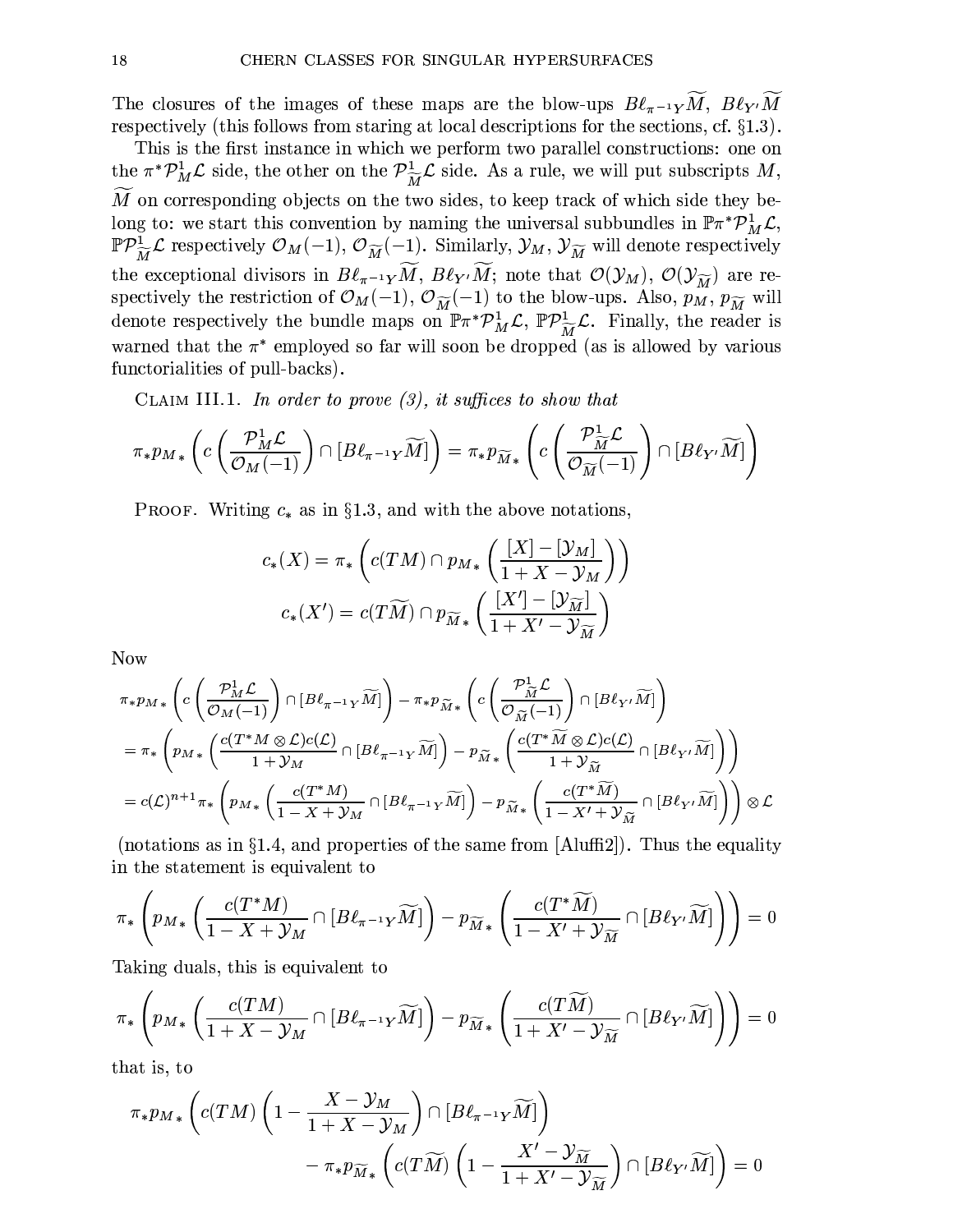The closures of the images of these maps are the blow-ups  $B\ell_{\pi^{-1}Y}\widetilde{M}$ ,  $B\ell_{Y'}\widetilde{M}$ respectively (this follows from staring at local descriptions for the sections, cf.  $\S1.3$ ).

This is the first instance in which we perform two parallel constructions: one on the  $\pi^* \mathcal{P}_M^1 \mathcal{L}$  side, the other on the  $\mathcal{P}_{\widetilde{M}}^1 \mathcal{L}$  side. As a rule, we will put subscripts M,  $\widetilde{M}$  on corresponding objects on the two sides, to keep track of which side they belong to: we start this convention by naming the universal subbundles in  $\mathbb{P} \pi^* \mathcal{P}_M^1 \mathcal{L}$ ,  $\mathbb{P} \mathcal{P}^1_{\widetilde{M}} \mathcal{L}$  respectively  $\mathcal{O}_M(-1)$ ,  $\mathcal{O}_{\widetilde{M}}(-1)$ . Similarly,  $\mathcal{Y}_M$ ,  $\mathcal{Y}_{\widetilde{M}}$  will denote respectively the exceptional divisors in  $B\ell_{\pi^{-1}Y}\widetilde{M}$ ,  $B\ell_{Y'}\widetilde{M}$ ; note that  $\mathcal{O}(\mathcal{Y}_M)$ ,  $\mathcal{O}(\mathcal{Y}_{\widetilde{M}})$  are respectively the restriction of  $\mathcal{O}_M(-1)$ ,  $\mathcal{O}_{\widetilde{M}}(-1)$  to the blow-ups. Also,  $p_M$ ,  $p_{\widetilde{M}}$  will denote respectively the bundle maps on  $\mathbb{P} \pi^* \mathcal{P}_M^1 \mathcal{L}$ ,  $\mathbb{P} \mathcal{P}_M^1 \mathcal{L}$ . Finally, the reader is warned that the  $\pi^*$  employed so far will soon be dropped (as is allowed by various functorialities of pull-backs).

CLAIM III.1. In order to prove  $(3)$ , it suffices to show that

$$
\pi_* p_{M*} \left( c \left( \frac{\mathcal{P}_M^1 \mathcal{L}}{\mathcal{O}_M(-1)} \right) \cap \left[ B \ell_{\pi^{-1} Y} \widetilde{M} \right] \right) = \pi_* p_{\widetilde{M}*} \left( c \left( \frac{\mathcal{P}_{\widetilde{M}}^1 \mathcal{L}}{\mathcal{O}_{\widetilde{M}}(-1)} \right) \cap \left[ B \ell_{Y'} \widetilde{M} \right] \right)
$$

**PROOF.** Writing  $c_*$  as in §1.3, and with the above notations,

$$
c_*(X) = \pi_* \left( c(TM) \cap p_{M*} \left( \frac{[X] - [\mathcal{Y}_M]}{1 + X - \mathcal{Y}_M} \right) \right)
$$

$$
c_*(X') = c(T\widetilde{M}) \cap p_{\widetilde{M}*} \left( \frac{[X'] - [\mathcal{Y}_{\widetilde{M}}]}{1 + X' - \mathcal{Y}_{\widetilde{M}}} \right)
$$

**Now** 

$$
\pi * p_{M*} \left( c \left( \frac{\mathcal{P}_{M}^{1} \mathcal{L}}{\mathcal{O}_{M}(-1)} \right) \cap [B \ell_{\pi^{-1} Y} \widetilde{M}] \right) - \pi * p_{\widetilde{M}*} \left( c \left( \frac{\mathcal{P}_{\widetilde{M}}^{1} \mathcal{L}}{\mathcal{O}_{\widetilde{M}}(-1)} \right) \cap [B \ell_{Y'} \widetilde{M}] \right)
$$
\n
$$
= \pi_* \left( p_{M*} \left( \frac{c(T^* M \otimes \mathcal{L}) c(\mathcal{L})}{1 + \mathcal{Y}_{M}} \cap [B \ell_{\pi^{-1} Y} \widetilde{M}] \right) - p_{\widetilde{M}*} \left( \frac{c(T^* \widetilde{M} \otimes \mathcal{L}) c(\mathcal{L})}{1 + \mathcal{Y}_{\widetilde{M}}} \cap [B \ell_{Y'} \widetilde{M}] \right) \right)
$$
\n
$$
= c(\mathcal{L})^{n+1} \pi_* \left( p_{M*} \left( \frac{c(T^* M)}{1 - X + \mathcal{Y}_{M}} \cap [B \ell_{\pi^{-1} Y} \widetilde{M}] \right) - p_{\widetilde{M}*} \left( \frac{c(T^* \widetilde{M})}{1 - X' + \mathcal{Y}_{\widetilde{M}}} \cap [B \ell_{Y'} \widetilde{M}] \right) \right) \otimes \mathcal{L}
$$

(notations as in §1.4, and properties of the same from  $[A\text{luffi2}]$ ). Thus the equality in the statement is equivalent to

$$
\pi_*\left(p_{M*}\left(\frac{c(T^*M)}{1-X+\mathcal{Y}_M}\cap[B\ell_{\pi^{-1}Y}\widetilde{M}]\right)-p_{\widetilde{M}*}\left(\frac{c(T^*\widetilde{M})}{1-X'+\mathcal{Y}_{\widetilde{M}}}\cap[B\ell_{Y'}\widetilde{M}]\right)\right)=0
$$

Taking duals, this is equivalent to

$$
\pi_*\left(p_{M*}\left(\frac{c(TM)}{1+X-\mathcal{Y}_M}\cap [B\ell_{\pi^{-1}Y}\widetilde{M}]\right)-p_{\widetilde{M}*}\left(\frac{c(T\widetilde{M})}{1+X'-\mathcal{Y}_{\widetilde{M}}}\cap [B\ell_{Y'}\widetilde{M}]\right)\right)=0
$$

that is, to

$$
\pi_* p_{M*} \left( c(T M) \left( 1 - \frac{X - \mathcal{Y}_M}{1 + X - \mathcal{Y}_M} \right) \cap \left[ B \ell_{\pi^{-1} Y} \widetilde{M} \right] \right) - \pi_* p_{\widetilde{M}*} \left( c(T \widetilde{M}) \left( 1 - \frac{X' - \mathcal{Y}_{\widetilde{M}}}{1 + X' - \mathcal{Y}_{\widetilde{M}}} \right) \cap \left[ B \ell_{Y'} \widetilde{M} \right] \right) = 0
$$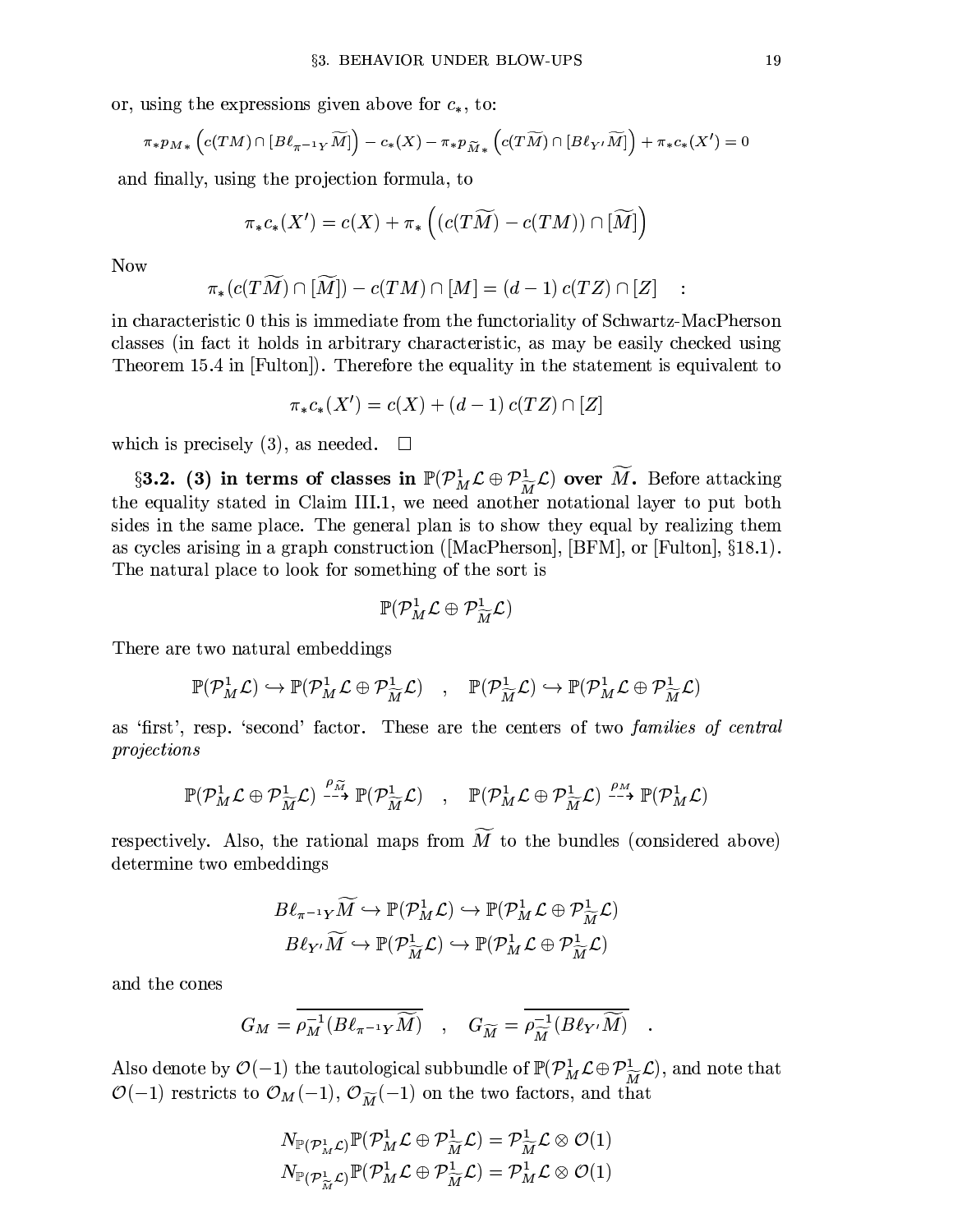or, using the expressions given above for  $c_*,$  to:

$$
\pi_* p_{M*} \left( c(T M) \cap [B \ell_{\pi^{-1} Y} \widetilde{M}] \right) - c_* (X) - \pi_* p_{\widetilde{M}*} \left( c(T \widetilde{M}) \cap [B \ell_{Y'} \widetilde{M}] \right) + \pi_* c_* (X') = 0
$$

and finally, using the projection formula, to

$$
\pi_*c_*(X')=c(X)+\pi_*\left((c(T\widetilde M)-c(TM))\cap[\widetilde M]\right)
$$

**Now** 

$$
\pi_*(c(T\widetilde{M})\cap[\widetilde{M}])-c(TM)\cap[M]=(d-1)\,c(TZ)\cap[Z]
$$

in characteristic 0 this is immediate from the functoriality of Schwartz-MacPherson classes (in fact it holds in arbitrary characteristic, as may be easily checked using Theorem 15.4 in [Fulton]). Therefore the equality in the statement is equivalent to

$$
\pi_* c_*(X') = c(X) + (d-1) c(TZ) \cap [Z]
$$

which is precisely  $(3)$ , as needed.  $\Box$ 

§3.2. (3) in terms of classes in  $\mathbb{P}(\mathcal{P}_{M}^{1} \mathcal{L} \oplus \mathcal{P}_{\widetilde{M}}^{1} \mathcal{L})$  over  $\widetilde{M}$ . Before attacking the equality stated in Claim III.1, we need another notational layer to put both sides in the same place. The general plan is to show they equal by realizing them as cycles arising in a graph construction ([MacPherson], [BFM], or [Fulton],  $\S 18.1$ ]. The natural place to look for something of the sort is

$$
\mathbb{P}(\mathcal{P}_{M}^{1}\mathcal{L}\oplus \mathcal{P}_{\widetilde{M}}^{1}\mathcal{L})
$$

There are two natural embeddings

$$
\mathbb{P}(\mathcal{P}^1_M\mathcal{L})\hookrightarrow \mathbb{P}(\mathcal{P}^1_M\mathcal{L}\oplus \mathcal{P}^1_{\widetilde{M}}\mathcal{L})\quad,\quad \mathbb{P}(\mathcal{P}^1_{\widetilde{M}}\mathcal{L})\hookrightarrow \mathbb{P}(\mathcal{P}^1_M\mathcal{L}\oplus \mathcal{P}^1_{\widetilde{M}}\mathcal{L})
$$

as 'first', resp. 'second' factor. These are the centers of two *families of central* projections

$$
\mathbb{P}(\mathcal{P}_M^1 \mathcal{L} \oplus \mathcal{P}_{\widetilde{M}}^1 \mathcal{L}) \xrightarrow{\rho_{\widetilde{M}}} \mathbb{P}(\mathcal{P}_{\widetilde{M}}^1 \mathcal{L}) , \quad \mathbb{P}(\mathcal{P}_M^1 \mathcal{L} \oplus \mathcal{P}_{\widetilde{M}}^1 \mathcal{L}) \xrightarrow{\rho_M} \mathbb{P}(\mathcal{P}_M^1 \mathcal{L})
$$

respectively. Also, the rational maps from  $\widetilde{M}$  to the bundles (considered above) determine two embeddings

$$
\begin{aligned} B\ell_{\pi^{-1}Y}\widetilde{M} &\hookrightarrow \mathbb{P}(\mathcal{P}^1_M\mathcal{L}) \hookrightarrow \mathbb{P}(\mathcal{P}^1_M\mathcal{L} \oplus \mathcal{P}^1_{\widetilde{M}}\mathcal{L}) \\ B\ell_{Y'}\widetilde{M} &\hookrightarrow \mathbb{P}(\mathcal{P}^1_{\widetilde{M}}\mathcal{L}) \hookrightarrow \mathbb{P}(\mathcal{P}^1_M\mathcal{L} \oplus \mathcal{P}^1_{\widetilde{M}}\mathcal{L}) \end{aligned}
$$

and the cones

$$
G_M = \overline{\rho_M^{-1}(B\ell_{\pi^{-1}Y}\widetilde{M})} \quad , \quad G_{\widetilde{M}} = \overline{\rho_{\widetilde{M}}^{-1}(B\ell_{Y'}\widetilde{M})}
$$

Also denote by  $\mathcal{O}(-1)$  the tautological subbundle of  $\mathbb{P}(\mathcal{P}_{M}^{1} \mathcal{L} \oplus \mathcal{P}_{\widetilde{M}}^{1} \mathcal{L})$ , and note that  $\mathcal{O}(-1)$  restricts to  $\mathcal{O}_M(-1)$ ,  $\mathcal{O}_{\widetilde{M}}(-1)$  on the two factors, and that

$$
N_{\mathbb{P}(\mathcal{P}_M^1 \mathcal{L})} \mathbb{P}(\mathcal{P}_M^1 \mathcal{L} \oplus \mathcal{P}_{\widetilde{M}}^1 \mathcal{L}) = \mathcal{P}_{\widetilde{M}}^1 \mathcal{L} \otimes \mathcal{O}(1)
$$
  

$$
N_{\mathbb{P}(\mathcal{P}_{\widetilde{M}}^1 \mathcal{L})} \mathbb{P}(\mathcal{P}_M^1 \mathcal{L} \oplus \mathcal{P}_{\widetilde{M}}^1 \mathcal{L}) = \mathcal{P}_M^1 \mathcal{L} \otimes \mathcal{O}(1)
$$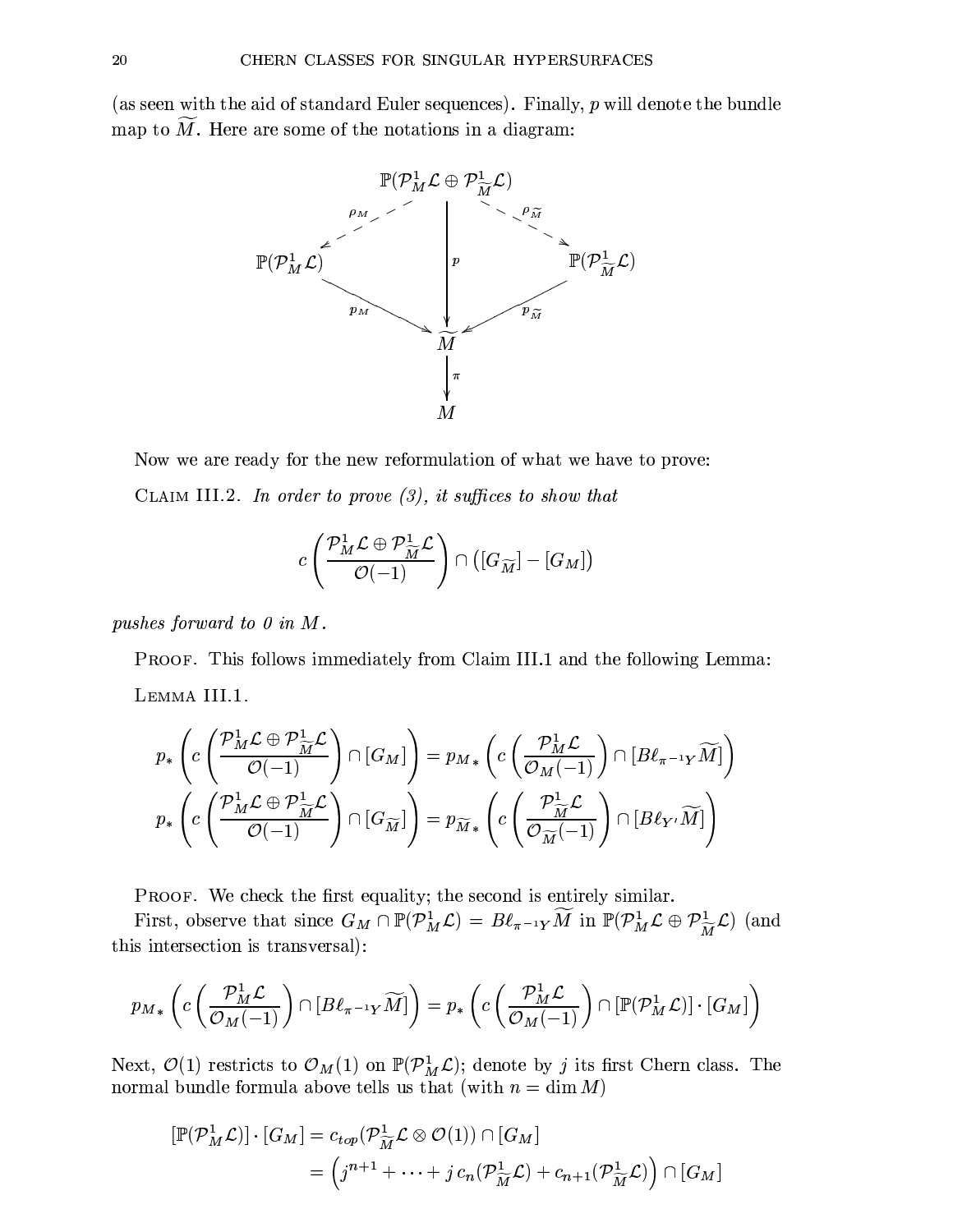(as seen with the aid of standard Euler sequences). Finally,  $p$  will denote the bundle map to  $\widetilde{M}$ . Here are some of the notations in a diagram:



Now we are ready for the new reformulation of what we have to prove: CLAIM III.2. In order to prove  $(3)$ , it suffices to show that

$$
c\left(\frac{\mathcal{P}_{M}^{1}\mathcal{L}\oplus\mathcal{P}_{\widetilde{M}}^{1}\mathcal{L}}{\mathcal{O}(-1)}\right)\cap\left([G_{\widetilde{M}}]-[G_{M}]\right)
$$

pushes forward to  $0$  in  $M$ .

PROOF. This follows immediately from Claim III.1 and the following Lemma: LEMMA III.1.

$$
p_*\left(c\left(\frac{\mathcal{P}_M^1 \mathcal{L} \oplus \mathcal{P}_{\widetilde{M}}^1 \mathcal{L}}{\mathcal{O}(-1)}\right) \cap [G_M]\right) = p_{M*}\left(c\left(\frac{\mathcal{P}_M^1 \mathcal{L}}{\mathcal{O}_M(-1)}\right) \cap [B\ell_{\pi^{-1}Y}\widetilde{M}]\right)
$$

$$
p_*\left(c\left(\frac{\mathcal{P}_M^1 \mathcal{L} \oplus \mathcal{P}_{\widetilde{M}}^1 \mathcal{L}}{\mathcal{O}(-1)}\right) \cap [G_{\widetilde{M}}]\right) = p_{\widetilde{M}*}\left(c\left(\frac{\mathcal{P}_{\widetilde{M}}^1 \mathcal{L}}{\mathcal{O}_{\widetilde{M}}(-1)}\right) \cap [B\ell_{Y'}\widetilde{M}]\right)
$$

PROOF. We check the first equality; the second is entirely similar.

First, observe that since  $G_M \cap \mathbb{P}(\mathcal{P}_M^1 \mathcal{L}) = B\ell_{\pi^{-1}Y} \widetilde{M}$  in  $\mathbb{P}(\mathcal{P}_M^1 \mathcal{L} \oplus \mathcal{P}_{\widetilde{M}}^1 \mathcal{L})$  (and this intersection is transversal):

$$
p_{M*}\left(c\left(\frac{\mathcal{P}_{M}^{1}\mathcal{L}}{\mathcal{O}_{M}(-1)}\right)\cap[B\ell_{\pi^{-1}Y}\widetilde{M}]\right)=p_{*}\left(c\left(\frac{\mathcal{P}_{M}^{1}\mathcal{L}}{\mathcal{O}_{M}(-1)}\right)\cap[\mathbb{P}(\mathcal{P}_{M}^{1}\mathcal{L})]\cdot[G_{M}]\right)
$$

Next,  $\mathcal{O}(1)$  restricts to  $\mathcal{O}_M(1)$  on  $\mathbb{P}(\mathcal{P}_M^1 \mathcal{L})$ ; denote by j its first Chern class. The normal bundle formula above tells us that (with  $n = \dim M$ )

$$
[\mathbb{P}(\mathcal{P}_M^1 \mathcal{L})] \cdot [G_M] = c_{top}(\mathcal{P}_{\widetilde{M}}^1 \mathcal{L} \otimes \mathcal{O}(1)) \cap [G_M]
$$
  
= 
$$
(j^{n+1} + \dots + j c_n(\mathcal{P}_{\widetilde{M}}^1 \mathcal{L}) + c_{n+1}(\mathcal{P}_{\widetilde{M}}^1 \mathcal{L}) ) \cap [G_M]
$$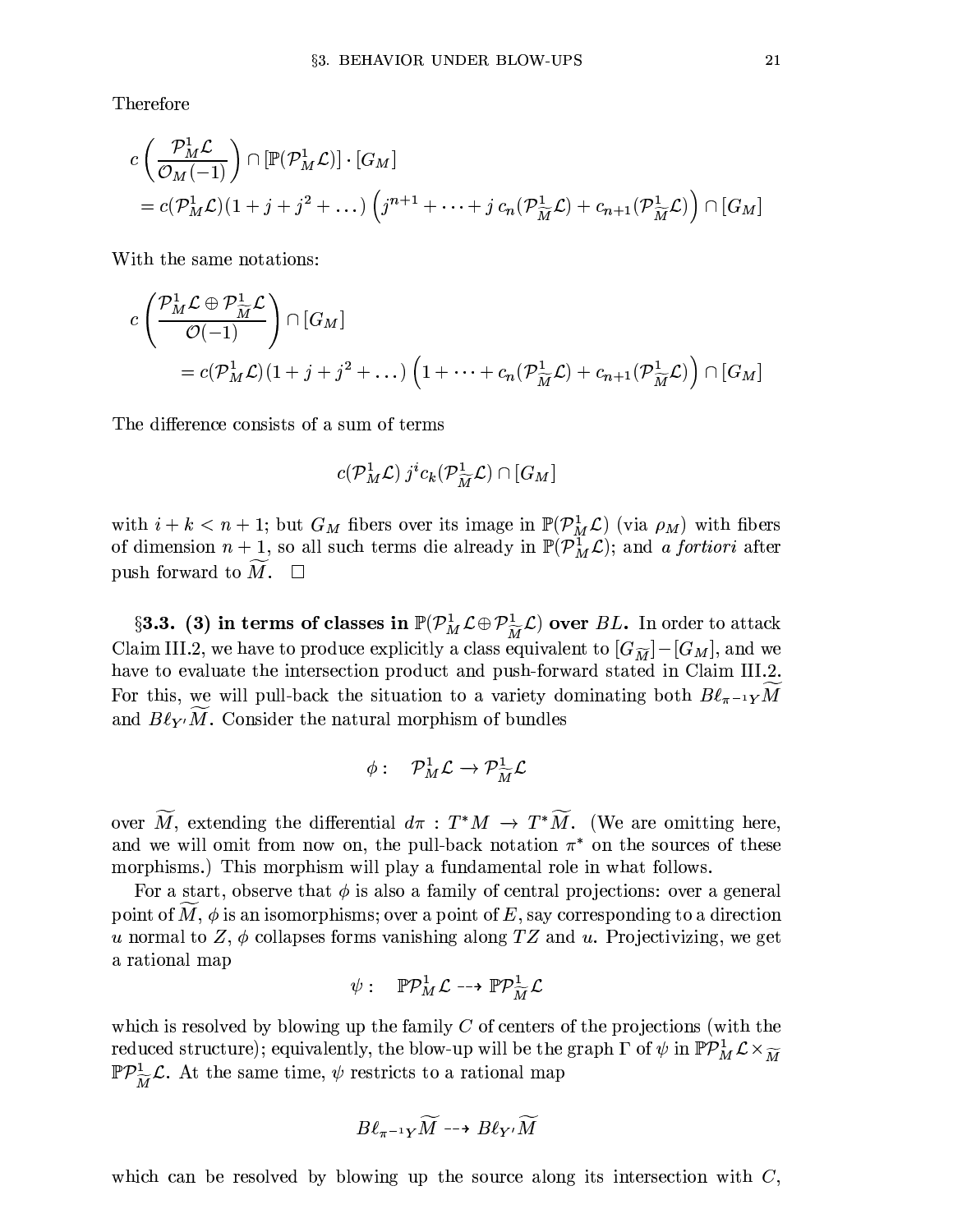Therefore

$$
c\left(\frac{\mathcal{P}_{M}^{1}\mathcal{L}}{\mathcal{O}_{M}(-1)}\right) \cap \left[\mathbb{P}(\mathcal{P}_{M}^{1}\mathcal{L})\right] \cdot \left[G_{M}\right]
$$
  
=  $c(\mathcal{P}_{M}^{1}\mathcal{L})(1+j+j^{2}+\dots)\left(j^{n+1}+\dots+j c_{n}(\mathcal{P}_{\widetilde{M}}^{1}\mathcal{L})+c_{n+1}(\mathcal{P}_{\widetilde{M}}^{1}\mathcal{L})\right) \cap \left[G_{M}\right]$ 

With the same notations:

$$
c \left( \frac{\mathcal{P}_{M}^{1} \mathcal{L} \oplus \mathcal{P}_{\widetilde{M}}^{1} \mathcal{L}}{\mathcal{O}(-1)} \right) \cap [G_{M}]
$$
  
=  $c(\mathcal{P}_{M}^{1} \mathcal{L})(1+j+j^{2}+\dots)\left(1+\dots+c_{n}(\mathcal{P}_{\widetilde{M}}^{1} \mathcal{L})+c_{n+1}(\mathcal{P}_{\widetilde{M}}^{1} \mathcal{L})\right) \cap [G_{M}]$ 

The difference consists of a sum of terms

$$
c(\mathcal{P}^1_M\mathcal{L})\,j^ic_k(\mathcal{P}^1_{\widetilde{M}}\mathcal{L})\cap [G_M]
$$

with  $i + k < n + 1$ ; but  $G_M$  fibers over its image in  $\mathbb{P}(\mathcal{P}_M^1 \mathcal{L})$  (via  $\rho_M$ ) with fibers of dimension  $n+1$ , so all such terms die already in  $\mathbb{P}(\mathcal{P}_{M}^{1}\mathcal{L})$ ; and a fortiori after push forward to  $\widetilde{M}$ .  $\square$ 

§3.3. (3) in terms of classes in  $\mathbb{P}(\mathcal{P}_{M}^1 \mathcal{L} \oplus \mathcal{P}_{\widetilde{M}}^1 \mathcal{L})$  over BL. In order to attack Claim III.2, we have to produce explicitly a class equivalent to  $|G_{\widetilde{M}}|$  –  $|G_M|$ , and we have to evaluate the intersection product and push-forward stated in Claim III.2. For this, we will pull-back the situation to a variety dominating both  $B\ell_{\pi^{-1}Y}M$ and  $B\ell_{Y'}\tilde{M}$ . Consider the natural morphism of bundles

$$
\phi:\quad {\mathcal P}^1_M{\mathcal L}\to {\mathcal P}^1_{\widetilde{M}}{\mathcal L}
$$

over  $\widetilde{M}$ , extending the differential  $d\pi$ :  $T^*M \to T^*\widetilde{M}$ . (We are omitting here, and we will omit from now on, the pull-back notation  $\pi^*$  on the sources of these morphisms.) This morphism will play a fundamental role in what follows.

For a start, observe that  $\phi$  is also a family of central projections: over a general point of M,  $\phi$  is an isomorphisms; over a point of E, say corresponding to a direction u normal to  $Z$ ,  $\phi$  collapses forms vanishing along TZ and u. Projectivizing, we get a rational map

$$
\psi: \quad \mathbb{P}\mathcal{P}^1_M\mathcal{L} \dashrightarrow \mathbb{P}\mathcal{P}^1_{\widetilde{M}}\mathcal{L}
$$

which is resolved by blowing up the family  $C$  of centers of the projections (with the reduced structure); equivalently, the blow-up will be the graph  $\Gamma$  of  $\psi$  in  $\mathbb{P} \mathcal{P}_M^1 \mathcal{L} \times \widetilde{M}$  $\mathbb{P}P_{\widetilde{M}}^1\mathcal{L}$ . At the same time,  $\psi$  restricts to a rational map

$$
B\ell_{\pi^{-1}Y}\widetilde{M} \dashrightarrow B\ell_{Y'}\widetilde{M}
$$

which can be resolved by blowing up the source along its intersection with  $C$ ,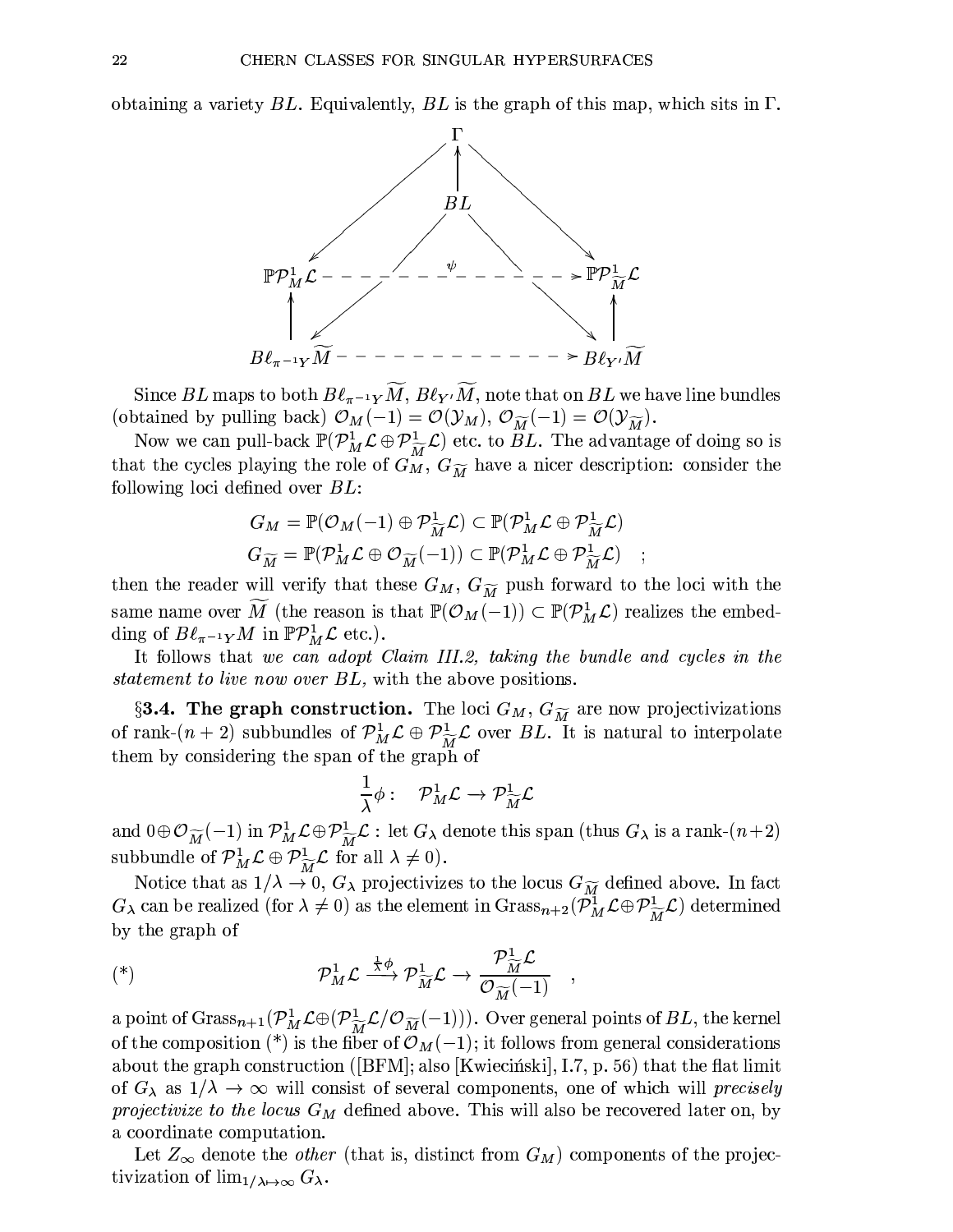obtaining a variety  $BL$ . Equivalently,  $BL$  is the graph of this map, which sits in  $\Gamma$ .



Since BL maps to both  $B\ell_{\pi^{-1}Y}M$ ,  $B\ell_{Y'}M$ , note that on BL we have line bundles (obtained by pulling back)  $\mathcal{O}_M(-1) = \mathcal{O}(\mathcal{Y}_M), \mathcal{O}_{\widetilde{M}}(-1) = \mathcal{O}(\mathcal{Y}_{\widetilde{M}}).$ 

Now we can pull-back  $\mathbb{P}(\mathcal{P}_{M}^{1} \mathcal{L} \oplus \mathcal{P}_{\widetilde{M}}^{1} \mathcal{L})$  etc. to *BL*. The advantage of doing so is that the cycles playing the role of  $G_M^{\pi}$ ,  $G_{\widetilde{M}}$  have a nicer description: consider the following loci defined over  $BL$ :

$$
G_M = \mathbb{P}(\mathcal{O}_M(-1) \oplus \mathcal{P}_{\widetilde{M}}^1 \mathcal{L}) \subset \mathbb{P}(\mathcal{P}_M^1 \mathcal{L} \oplus \mathcal{P}_{\widetilde{M}}^1 \mathcal{L})
$$

$$
G_{\widetilde{M}} = \mathbb{P}(\mathcal{P}_M^1 \mathcal{L} \oplus \mathcal{O}_{\widetilde{M}}(-1)) \subset \mathbb{P}(\mathcal{P}_M^1 \mathcal{L} \oplus \mathcal{P}_{\widetilde{M}}^1 \mathcal{L})
$$

then the reader will verify that these  $G_M$ ,  $G_{\widetilde{M}}$  push forward to the loci with the same name over  $\widetilde{M}$  (the reason is that  $\mathbb{P}(\mathcal{O}_M(-1)) \subset \mathbb{P}(\mathcal{P}_M^1 \mathcal{L})$  realizes the embedding of  $B\ell_{\pi^{-1}Y}M$  in  $\mathbb{P}P^1_M\mathcal{L}$  etc.).

It follows that we can adopt Claim III.2, taking the bundle and cycles in the *statement to live now over BL*, with the above positions.

§3.4. The graph construction. The loci  $G_M$ ,  $G_{\widetilde{M}}$  are now projectivizations of rank- $(n+2)$  subbundles of  $\mathcal{P}_{M}^{1}\mathcal{L}\oplus\mathcal{P}_{\widetilde{M}}^{1}\mathcal{L}$  over BL. It is natural to interpolate them by considering the span of the graph of

$$
\frac{1}{\lambda}\phi: \quad \mathcal{P}_{M}^{1}\mathcal{L} \rightarrow \mathcal{P}_{\widetilde{M}}^{1}\mathcal{L}
$$

and  $0 \oplus \mathcal{O}_{\widetilde{M}}(-1)$  in  $\mathcal{P}_{M}^{1}\mathcal{L} \oplus \mathcal{P}_{\widetilde{M}}^{1}\mathcal{L}$ : let  $G_{\lambda}$  denote this span (thus  $G_{\lambda}$  is a rank- $(n+2)$ subbundle of  $\mathcal{P}_M^1 \mathcal{L} \oplus \mathcal{P}_{\widetilde{M}}^1 \mathcal{L}$  for all  $\lambda \neq 0$ .

Notice that as  $1/\lambda \to 0$ ,  $G_{\lambda}$  projectivizes to the locus  $G_{\widetilde{M}}$  defined above. In fact  $G_{\lambda}$  can be realized (for  $\lambda \neq 0$ ) as the element in  $Grass_{n+2}(\mathcal{P}_{M}^{1} \mathcal{L} \oplus \mathcal{P}_{\widetilde{M}}^{\perp} \mathcal{L})$  determined by the graph of

$$
(\text{(*)}) \qquad \mathcal{P}_{M}^{1} \mathcal{L} \xrightarrow{\frac{1}{\lambda} \phi} \mathcal{P}_{\widetilde{M}}^{1} \mathcal{L} \to \frac{\mathcal{P}_{\widetilde{M}}^{1} \mathcal{L}}{\mathcal{O}_{\widetilde{M}}(-1)}
$$

a point of  $Grass_{n+1}(\mathcal{P}_{M}^{1}\mathcal{L}\oplus(\mathcal{P}_{\widetilde{M}}^{1}\mathcal{L}/\mathcal{O}_{\widetilde{M}}(-1)))$ . Over general points of BL, the kernel of the composition (\*) is the fiber of  $\mathcal{O}_M(-1)$ ; it follows from general considerations about the graph construction ([BFM]; also [Kwiecinski], I.7, p. 56) that the flat limit of  $G_{\lambda}$  as  $1/\lambda \rightarrow \infty$  will consist of several components, one of which will *precisely* projectivize to the locus  $G_M$  defined above. This will also be recovered later on, by a coordinate computation.

Let  $Z_{\infty}$  denote the *other* (that is, distinct from  $G_M$ ) components of the projectivization of  $\lim_{1/\lambda \mapsto \infty} G_{\lambda}$ .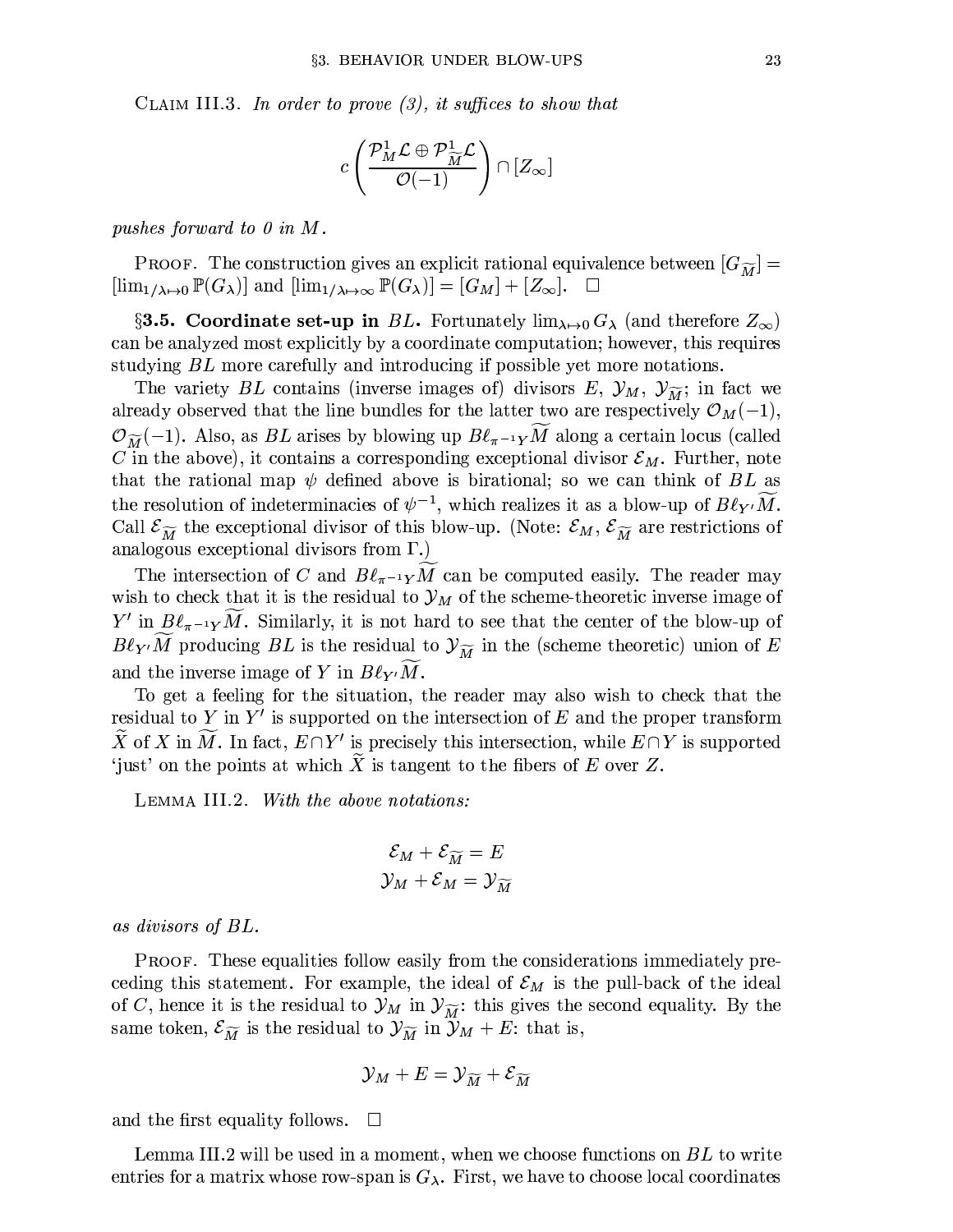CLAIM III.3. In order to prove  $(3)$ , it suffices to show that

$$
c\left(\frac{\mathcal{P}_{M}^{1}\mathcal{L}\oplus\mathcal{P}_{\widetilde{M}}^1\mathcal{L}}{\mathcal{O}(-1)}\right)\cap[Z_{\infty}]
$$

pushes forward to  $0$  in  $M$ .

**PROOF.** The construction gives an explicit rational equivalence between  $[G_{\widetilde{M}}]$  =  $[\lim_{1/\lambda \mapsto 0} \mathbb{P}(G_{\lambda})]$  and  $[\lim_{1/\lambda \mapsto \infty} \mathbb{P}(G_{\lambda})] = [G_M] + [Z_{\infty}]$ .  $\Box$ 

§3.5. Coordinate set-up in BL. Fortunately  $\lim_{\lambda\to 0} G_{\lambda}$  (and therefore  $Z_{\infty}$ ) can be analyzed most explicitly by a coordinate computation; however, this requires studying BL more carefully and introducing if possible yet more notations.

The variety BL contains (inverse images of) divisors E,  $\mathcal{Y}_M$ ,  $\mathcal{Y}_{\widetilde{M}}$ ; in fact we already observed that the line bundles for the latter two are respectively  $\mathcal{O}_M(-1)$ ,  $\mathcal{O}_{\widetilde{M}}(-1)$ . Also, as BL arises by blowing up  $B\ell_{\pi^{-1}Y}M$  along a certain locus (called C in the above), it contains a corresponding exceptional divisor  $\mathcal{E}_M$ . Further, note that the rational map  $\psi$  defined above is birational; so we can think of BL as the resolution of indeterminacies of  $\psi^{-1}$ , which realizes it as a blow-up of  $B\ell_{Y'}\tilde{M}$ . Call  $\mathcal{E}_{\widetilde{M}}$  the exceptional divisor of this blow-up. (Note:  $\mathcal{E}_M$ ,  $\mathcal{E}_{\widetilde{M}}$  are restrictions of analogous exceptional divisors from  $\Gamma$ .)

The intersection of C and  $B\ell_{\pi^{-1}Y}M$  can be computed easily. The reader may wish to check that it is the residual to  $\mathcal{Y}_M$  of the scheme-theoretic inverse image of  $Y'$  in  $B\ell_{\pi^{-1}Y}M$ . Similarly, it is not hard to see that the center of the blow-up of  $B\ell_{Y'}\widetilde{M}$  producing BL is the residual to  $\mathcal{Y}_{\widetilde{M}}$  in the (scheme theoretic) union of E and the inverse image of Y in  $B\ell_{Y'}M$ .

To get a feeling for the situation, the reader may also wish to check that the residual to Y in Y' is supported on the intersection of E and the proper transform  $\widetilde{X}$  of X in  $\widetilde{M}$ . In fact,  $E \cap Y'$  is precisely this intersection, while  $E \cap Y$  is supported 'just' on the points at which  $\widetilde{X}$  is tangent to the fibers of E over Z.

LEMMA III.2. With the above notations:

$$
\mathcal{E}_M + \mathcal{E}_{\widetilde{M}} = E
$$
  

$$
\mathcal{Y}_M + \mathcal{E}_M = \mathcal{Y}_{\widetilde{M}}
$$

as divisors of  $BL.$ 

**PROOF.** These equalities follow easily from the considerations immediately preceding this statement. For example, the ideal of  $\mathcal{E}_M$  is the pull-back of the ideal of C, hence it is the residual to  $\mathcal{Y}_M$  in  $\mathcal{Y}_{\widetilde{M}}$ : this gives the second equality. By the same token,  $\mathcal{E}_{\widetilde{M}}$  is the residual to  $\mathcal{Y}_{\widetilde{M}}$  in  $\widetilde{\mathcal{Y}}_M + E$ : that is,

$$
\mathcal{Y}_M + E = \mathcal{Y}_{\widetilde M} + \mathcal{E}_{\widetilde M}
$$

and the first equality follows.  $\Box$ 

Lemma III.2 will be used in a moment, when we choose functions on BL to write entries for a matrix whose row-span is  $G_{\lambda}$ . First, we have to choose local coordinates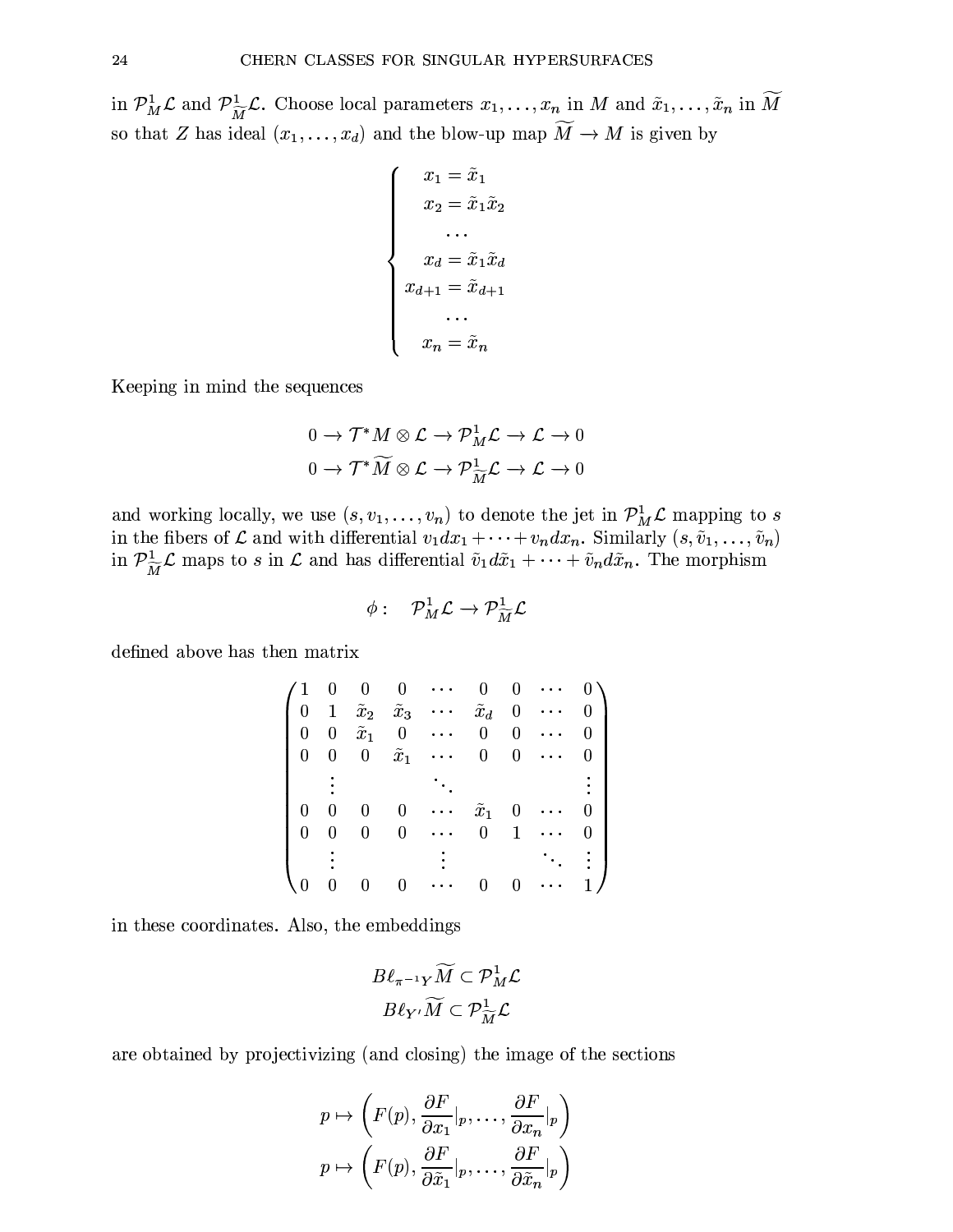in  $\mathcal{P}_M^1 \mathcal{L}$  and  $\mathcal{P}_{\widetilde{M}}^1 \mathcal{L}$ . Choose local parameters  $x_1, \ldots, x_n$  in M and  $\tilde{x}_1, \ldots, \tilde{x}_n$  in  $\widetilde{M}$ so that Z has ideal  $(x_1, \ldots, x_d)$  and the blow-up map  $\widetilde{M} \to M$  is given by

$$
\begin{cases}\nx_1 = \tilde{x}_1 \\
x_2 = \tilde{x}_1 \tilde{x}_2 \\
\dots \\
x_d = \tilde{x}_1 \tilde{x}_d \\
x_{d+1} = \tilde{x}_{d+1} \\
\dots \\
x_n = \tilde{x}_n\n\end{cases}
$$

Keeping in mind the sequences

$$
0 \to \mathcal{T}^*M \otimes \mathcal{L} \to \mathcal{P}_M^1 \mathcal{L} \to \mathcal{L} \to 0
$$

$$
0 \to \mathcal{T}^*\widetilde{M} \otimes \mathcal{L} \to \mathcal{P}_{\widetilde{M}}^1 \mathcal{L} \to \mathcal{L} \to 0
$$

and working locally, we use  $(s, v_1, \ldots, v_n)$  to denote the jet in  $\mathcal{P}_M^1 \mathcal{L}$  mapping to s in the fibers of  $\mathcal L$  and with differential  $v_1dx_1 + \cdots + v_n dx_n$ . Similarly  $(s, \tilde{v}_1, \ldots, \tilde{v}_n)$ <br>in  $\mathcal P_{\widetilde{M}}^1\mathcal L$  maps to s in  $\mathcal L$  and has differential  $\tilde{v}_1d\tilde{x}_1 + \cdots + \tilde{v}_nd\tilde{x}_n$ . The morphism

$$
\phi:\quad {\cal P}_M^1{\cal L}\to {\cal P}_{\widetilde{M}}^1{\cal L}
$$

defined above has then matrix

|              |                |                |                               | $0 \quad 0 \quad 0 \quad \cdots \quad 0$                  |                 | 0            | $\mathbf{r}$ , $\mathbf{r}$ , $\mathbf{r}$ , $\mathbf{r}$ | $0\setminus$   |
|--------------|----------------|----------------|-------------------------------|-----------------------------------------------------------|-----------------|--------------|-----------------------------------------------------------|----------------|
|              |                |                |                               | 0 1 $\tilde{x}_2$ $\tilde{x}_3$                           | $\tilde{x}_d=0$ |              | $\ddotsc$                                                 | $\overline{0}$ |
| $\mathbf{0}$ |                |                | $0 \quad \tilde{x}_1 \quad 0$ | $\sim 1000$                                               | $\overline{0}$  | $0 -$        | $\cdots$                                                  | $\theta$       |
| $\mathbf{0}$ |                |                |                               | $0 \quad 0 \quad \tilde{x}_1 \quad \cdots \quad 0$        |                 | 0            | $\mathbf{r} \leftarrow \mathbf{r}$                        | $\overline{0}$ |
|              |                |                |                               |                                                           |                 |              |                                                           |                |
| 0            | $\overline{0}$ | $\mathbf{0}^-$ | $\vert 0 \vert$               | $\mathbf{r}$ , $\mathbf{r}$ , $\mathbf{r}$ , $\mathbf{r}$ | $\tilde{x}_1=0$ |              | $\ddotsc$                                                 | 0              |
| $\mathbf{0}$ | $\mathbf{0}$   | $0^-$          |                               | $0 \cdots$                                                | $\overline{0}$  | $\mathbf{1}$ | $\sim 100$ km s $^{-1}$                                   | 0              |
|              |                |                |                               |                                                           |                 |              |                                                           |                |
| \ 0          | $\mathbf{0}$   | $\mathbf 0$    | $\vert 0 \vert$               | $\sim 100$                                                | $\mathbf{0}$    | $0 -$        | $\epsilon \rightarrow \infty$                             | 1/             |
|              |                |                |                               |                                                           |                 |              |                                                           |                |

in these coordinates. Also, the embeddings

$$
B\ell_{\pi^{-1}Y}M\subset \mathcal{P}_M^1\mathcal{L}
$$

$$
B\ell_{Y'}\widetilde{M}\subset \mathcal{P}_{\widetilde{M}}^1\mathcal{L}
$$

are obtained by projectivizing (and closing) the image of the sections

$$
p \mapsto \left(F(p), \frac{\partial F}{\partial x_1}|_p, \dots, \frac{\partial F}{\partial x_n}|_p\right)
$$

$$
p \mapsto \left(F(p), \frac{\partial F}{\partial \tilde{x}_1}|_p, \dots, \frac{\partial F}{\partial \tilde{x}_n}|_p\right)
$$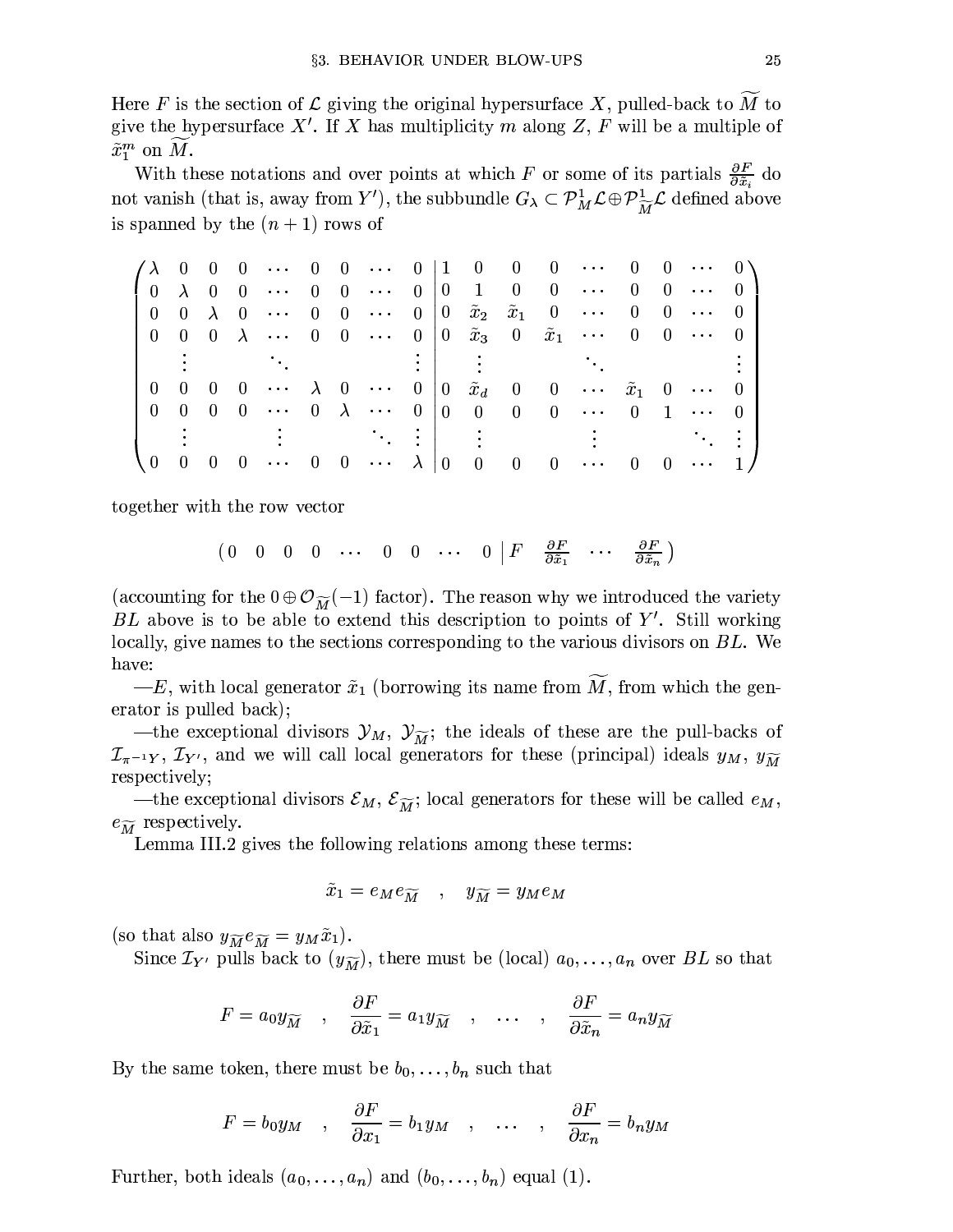Here F is the section of  $\mathcal L$  giving the original hypersurface X, pulled-back to  $\overline M$  to give the hypersurface  $X'$ . If X has multiplicity m along Z, F will be a multiple of  $\tilde{x}_1^m$  on M.

With these notations and over points at which F or some of its partials  $\frac{\partial F}{\partial \tilde{x}_i}$  do not vanish (that is, away from Y'), the subbundle  $G_{\lambda} \subset \mathcal{P}_{M}^{1} \mathcal{L} \oplus \mathcal{P}_{\widetilde{M}}^{1} \mathcal{L}$  defined above is spanned by the  $(n+1)$  rows of

| $\lambda \rightarrow 0$ |                |     |                                                                                                               |  |                       |  |                          |                | $0\quad 0\quad \cdots\quad 0\quad 0\quad \cdots\quad 0\quad  1\quad 0\quad 0\quad 0\quad \cdots\quad 0\quad 0\quad \cdots\quad 0\ \rangle$                   |                |    |                            |  |
|-------------------------|----------------|-----|---------------------------------------------------------------------------------------------------------------|--|-----------------------|--|--------------------------|----------------|--------------------------------------------------------------------------------------------------------------------------------------------------------------|----------------|----|----------------------------|--|
|                         |                |     |                                                                                                               |  |                       |  |                          |                | $\begin{pmatrix} 0 & \lambda & 0 & 0 & \cdots & 0 & 0 & \cdots & 0 &  0 & 1 & 0 & 0 & \cdots \end{pmatrix}$                                                  | $\overline{0}$ |    | $0 \cdots 0$               |  |
|                         |                |     | $0 \quad 0 \quad \lambda \quad 0 \quad \cdots \quad 0 \quad 0 \quad \cdots \quad 0 \quad 0 \quad \tilde{x}_2$ |  |                       |  |                          |                | $\tilde{x}_1$ 0 $\cdots$ 0                                                                                                                                   |                |    | $0 \cdots 0$               |  |
|                         |                |     |                                                                                                               |  |                       |  |                          |                | $0 \quad 0 \quad 0 \quad \lambda \quad \cdots \quad 0 \quad 0 \quad \cdots \quad 0 \quad 0 \quad \tilde{x}_3 \quad 0 \quad \tilde{x}_1 \quad \cdots \quad 0$ |                |    | $0 \cdots 0$               |  |
|                         |                |     |                                                                                                               |  |                       |  |                          |                |                                                                                                                                                              |                |    |                            |  |
| $0\quad 0$              |                | - 0 |                                                                                                               |  |                       |  |                          |                |                                                                                                                                                              |                |    |                            |  |
| $0\quad 0$              |                |     |                                                                                                               |  |                       |  |                          |                | $0 \quad 0 \quad \cdots \quad 0 \quad \lambda \quad \cdots \quad 0 \quad 0 \quad 0 \quad 0 \quad 0 \quad \cdots \quad 0 \quad 1 \quad \cdots \quad 0$        |                |    |                            |  |
|                         |                |     |                                                                                                               |  |                       |  |                          |                |                                                                                                                                                              |                |    |                            |  |
| \ 0                     | $\overline{0}$ | -0  | $0 \cdots 0$                                                                                                  |  | $0 \cdots \lambda  0$ |  | $\overline{\phantom{0}}$ | $\overline{0}$ | $0 \cdots 0$                                                                                                                                                 |                | -0 | $\sim$ 100 $\pm$ 100 $\pm$ |  |

together with the row vector

$$
\begin{array}{ccccccccccccccccc}\n(0 & 0 & 0 & 0 & \cdots & 0 & 0 & \cdots & 0 & F & \frac{\partial F}{\partial \tilde{x}_1} & \cdots & \frac{\partial F}{\partial \tilde{x}_n}\n\end{array}
$$

(accounting for the  $0 \oplus \mathcal{O}_{\widetilde{M}}(-1)$  factor). The reason why we introduced the variety BL above is to be able to extend this description to points of  $Y'$ . Still working locally, give names to the sections corresponding to the various divisors on  $BL$ . We have:

 $-E$ , with local generator  $\tilde{x}_1$  (borrowing its name from  $\tilde{M}$ , from which the generator is pulled back);

—the exceptional divisors  $\mathcal{Y}_M$ ,  $\mathcal{Y}_{\widetilde{M}}$ ; the ideals of these are the pull-backs of  $\mathcal{I}_{\pi^{-1}Y}, \mathcal{I}_{Y'}$ , and we will call local generators for these (principal) ideals  $y_M, y_{\widetilde{M}}$ respectively;

—the exceptional divisors  $\mathcal{E}_M$ ,  $\mathcal{E}_{\widetilde{M}}$ ; local generators for these will be called  $e_M$ ,  $e_{\widetilde{M}}$  respectively.

Lemma III.2 gives the following relations among these terms:

$$
\tilde{x}_1 = e_M e_{\widetilde{M}} \quad , \quad y_{\widetilde{M}} = y_M e_M
$$

(so that also  $y_{\widetilde{M}}e_{\widetilde{M}} = y_M\tilde{x}_1$ ).

Since  $\mathcal{I}_{Y'}$  pulls back to  $(y_{\widetilde{M}})$ , there must be (local)  $a_0, \ldots, a_n$  over BL so that

$$
F = a_0 y_{\widetilde{M}} \quad , \quad \frac{\partial F}{\partial \tilde{x}_1} = a_1 y_{\widetilde{M}} \quad , \quad \dots \quad , \quad \frac{\partial F}{\partial \tilde{x}_n} = a_n y_{\widetilde{M}}
$$

By the same token, there must be  $b_0, \ldots, b_n$  such that

$$
F = b_0 y_M \quad , \quad \frac{\partial F}{\partial x_1} = b_1 y_M \quad , \quad \dots \quad , \quad \frac{\partial F}{\partial x_n} = b_n y_M
$$

Further, both ideals  $(a_0, \ldots, a_n)$  and  $(b_0, \ldots, b_n)$  equal (1).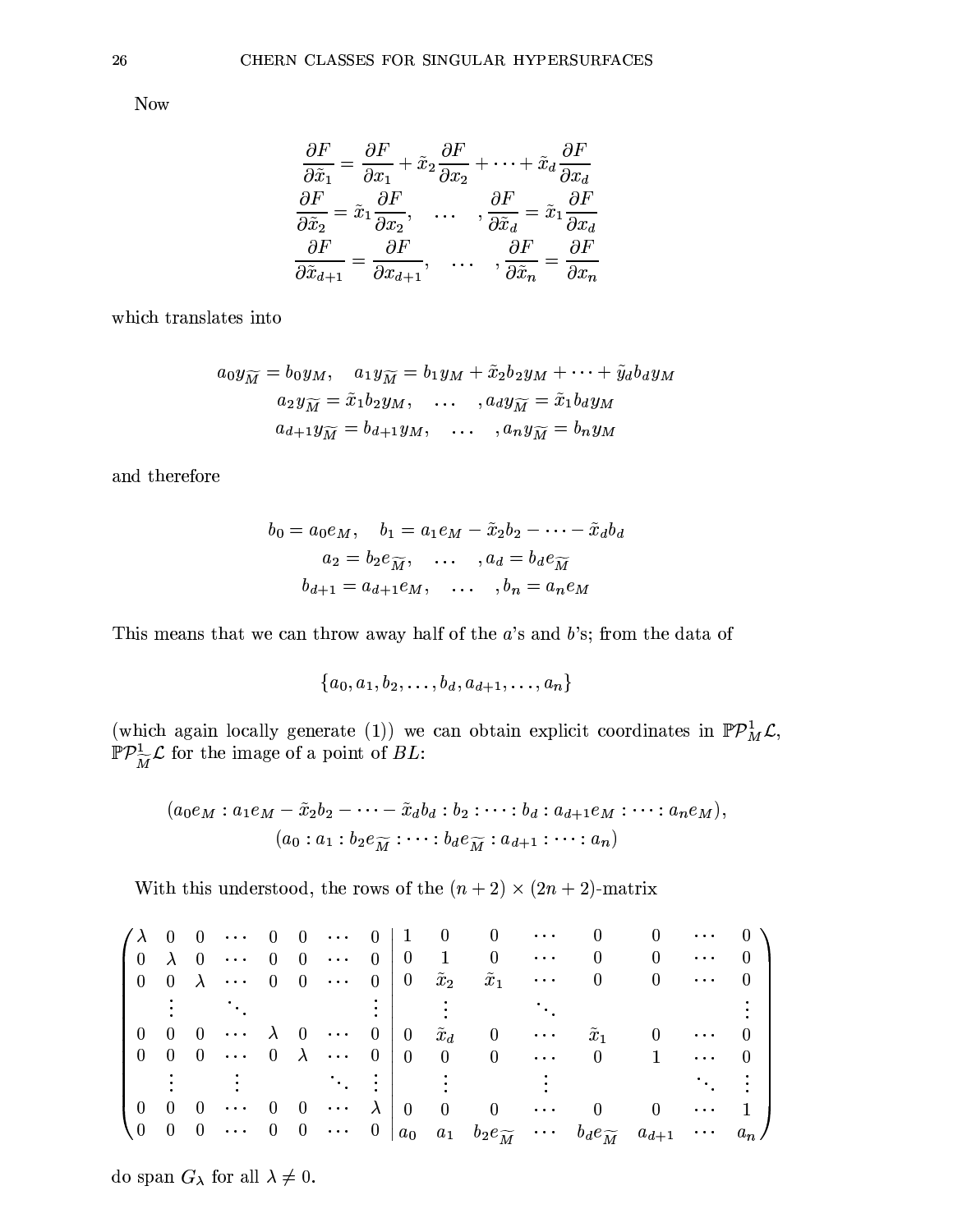**Now** 

$$
\frac{\partial F}{\partial \tilde{x}_1} = \frac{\partial F}{\partial x_1} + \tilde{x}_2 \frac{\partial F}{\partial x_2} + \dots + \tilde{x}_d \frac{\partial F}{\partial x_d}
$$
\n
$$
\frac{\partial F}{\partial \tilde{x}_2} = \tilde{x}_1 \frac{\partial F}{\partial x_2}, \qquad \dots \qquad , \frac{\partial F}{\partial \tilde{x}_d} = \tilde{x}_1 \frac{\partial F}{\partial x_d}
$$
\n
$$
\frac{\partial F}{\partial \tilde{x}_{d+1}} = \frac{\partial F}{\partial x_{d+1}}, \qquad \dots \qquad , \frac{\partial F}{\partial \tilde{x}_n} = \frac{\partial F}{\partial x_n}
$$

which translates into

$$
a_0 y_{\widetilde{M}} = b_0 y_M, \quad a_1 y_{\widetilde{M}} = b_1 y_M + \widetilde{x}_2 b_2 y_M + \cdots + \widetilde{y}_d b_d y_M
$$

$$
a_2 y_{\widetilde{M}} = \widetilde{x}_1 b_2 y_M, \quad \dots \quad, a_d y_{\widetilde{M}} = \widetilde{x}_1 b_d y_M
$$

$$
a_{d+1} y_{\widetilde{M}} = b_{d+1} y_M, \quad \dots \quad, a_n y_{\widetilde{M}} = b_n y_M
$$

and therefore

$$
b_0 = a_0 e_M, \quad b_1 = a_1 e_M - \tilde{x}_2 b_2 - \dots - \tilde{x}_d b_d
$$

$$
a_2 = b_2 e_{\widetilde{M}}, \quad \dots \quad, a_d = b_d e_{\widetilde{M}}
$$

$$
b_{d+1} = a_{d+1} e_M, \quad \dots \quad, b_n = a_n e_M
$$

This means that we can throw away half of the  $a$ 's and  $b$ 's; from the data of

$$
\{a_0,a_1,b_2,\ldots,b_d,a_{d+1},\ldots,a_n\}
$$

(which again locally generate (1)) we can obtain explicit coordinates in  $\mathbb{P} \mathcal{P}^1_M \mathcal{L}$ ,  $\mathbb{P} \mathcal{P}^1_{\widetilde{M}} \mathcal{L}$  for the image of a point of  $BL$ :

$$
(a_0e_M: a_1e_M-\tilde{x}_2b_2-\cdots-\tilde{x}_db_d:b_2:\cdots:b_d:a_{d+1}e_M:\cdots:a_ne_M),
$$
  

$$
(a_0:a_1:b_2e_{\widetilde{M}}:\cdots:b_de_{\widetilde{M}}:a_{d+1}:\cdots:a_n)
$$

With this understood, the rows of the  $(n + 2) \times (2n + 2)$ -matrix

do span  $G_{\lambda}$  for all  $\lambda \neq 0$ .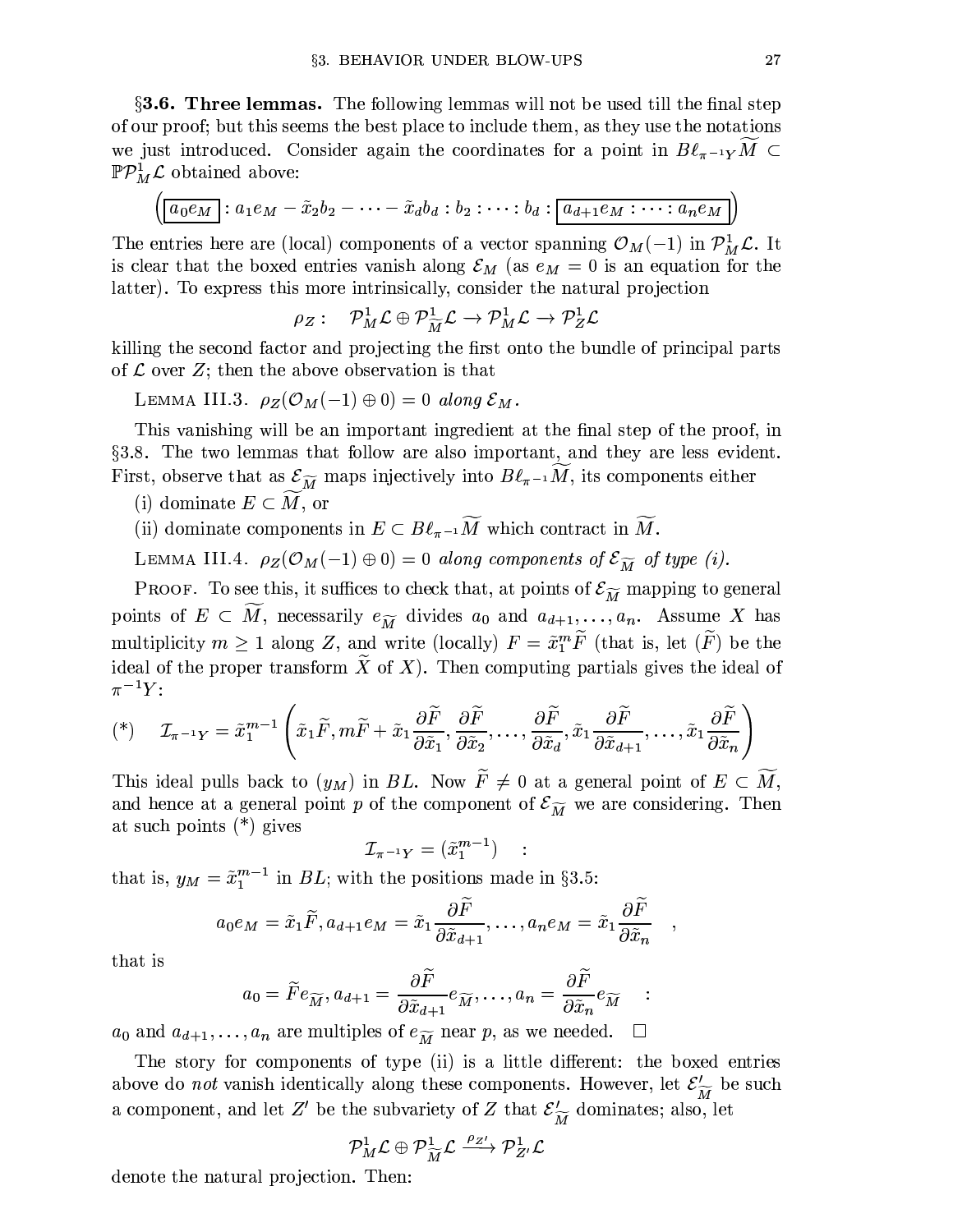**§3.6. Three lemmas.** The following lemmas will not be used till the final step of our proof; but this seems the best place to include them, as they use the notations we just introduced. Consider again the coordinates for a point in  $B\ell_{\pi^{-1}Y}M \subset$  $\mathbb{P} \mathcal{P}_M^1 \mathcal{L}$  obtained above:

$$
\left(\boxed{a_0e_M} : a_1e_M - \tilde{x}_2b_2 - \cdots - \tilde{x}_db_d : b_2 : \cdots : b_d : \boxed{a_{d+1}e_M : \cdots : a_ne_M}
$$

The entries here are (local) components of a vector spanning  $\mathcal{O}_M(-1)$  in  $\mathcal{P}_M^1 \mathcal{L}$ . It is clear that the boxed entries vanish along  $\mathcal{E}_M$  (as  $e_M = 0$  is an equation for the latter). To express this more intrinsically, consider the natural projection

$$
\rho_Z: \quad {\mathcal P}^1_M {\mathcal L} \oplus {\mathcal P}^1_{\widetilde{M}} {\mathcal L} \to {\mathcal P}^1_M {\mathcal L} \to {\mathcal P}^1_Z {\mathcal L}
$$

killing the second factor and projecting the first onto the bundle of principal parts of  $\mathcal L$  over  $Z$ ; then the above observation is that

LEMMA III.3.  $\rho_Z(\mathcal{O}_M(-1) \oplus 0) = 0$  along  $\mathcal{E}_M$ .

This vanishing will be an important ingredient at the final step of the proof, in §3.8. The two lemmas that follow are also important, and they are less evident. First, observe that as  $\mathcal{E}_{\widetilde{M}}$  maps injectively into  $B\ell_{\pi^{-1}}M$ , its components either

- (i) dominate  $E \subset M$ , or
- (ii) dominate components in  $E \subset B\ell_{\pi^{-1}}\widetilde{M}$  which contract in  $\widetilde{M}$ .

LEMMA III.4.  $\rho_Z(\mathcal{O}_M(-1) \oplus 0) = 0$  along components of  $\mathcal{E}_{\widetilde{M}}$  of type (i).

PROOF. To see this, it suffices to check that, at points of  $\mathcal{E}_{\widetilde{M}}$  mapping to general points of  $E \subset M$ , necessarily  $e_{\widetilde{M}}$  divides  $a_0$  and  $a_{d+1}, \ldots, a_n$ . Assume X has multiplicity  $m \geq 1$  along Z, and write (locally)  $F = \tilde{x}_1^m \tilde{F}$  (that is, let  $(\tilde{F})$  be the ideal of the proper transform  $\tilde{X}$  of X). Then computing partials gives the ideal of  $\pi^{-1}Y$ :

$$
(\mathbf{A}) \quad \mathcal{I}_{\pi^{-1}Y} = \tilde{x}_1^{m-1} \left( \tilde{x}_1 \tilde{F}, m \tilde{F} + \tilde{x}_1 \frac{\partial \tilde{F}}{\partial \tilde{x}_1}, \frac{\partial \tilde{F}}{\partial \tilde{x}_2}, \dots, \frac{\partial \tilde{F}}{\partial \tilde{x}_d}, \tilde{x}_1 \frac{\partial \tilde{F}}{\partial \tilde{x}_{d+1}}, \dots, \tilde{x}_1 \frac{\partial \tilde{F}}{\partial \tilde{x}_n} \right)
$$

This ideal pulls back to  $(y_M)$  in BL. Now  $\widetilde{F} \neq 0$  at a general point of  $E \subset \widetilde{M}$ , and hence at a general point p of the component of  $\mathcal{E}_{\widetilde{M}}$  we are considering. Then at such points  $(*)$  gives

$$
{\cal I}_{\pi^{-1}Y}=(\tilde{x}_1^{m-1})\quad:
$$

that is,  $y_M = \tilde{x}_1^{m-1}$  in  $BL$ ; with the positions made in §3.5:

$$
a_0 e_M = \tilde{x}_1 \tilde{F}, a_{d+1} e_M = \tilde{x}_1 \frac{\partial \tilde{F}}{\partial \tilde{x}_{d+1}}, \dots, a_n e_M = \tilde{x}_1 \frac{\partial \tilde{F}}{\partial \tilde{x}_n}
$$

that is

$$
a_0 = \widetilde{F}e_{\widetilde{M}}, a_{d+1} = \frac{\partial \widetilde{F}}{\partial \widetilde{x}_{d+1}} e_{\widetilde{M}}, \dots, a_n = \frac{\partial \widetilde{F}}{\partial \widetilde{x}_n} e_{\widetilde{M}} \quad :
$$

 $a_0$  and  $a_{d+1}, \ldots, a_n$  are multiples of  $e_{\widetilde{M}}$  near p, as we needed.  $\overline{\phantom{a}}$ 

The story for components of type (ii) is a little different: the boxed entries above do *not* vanish identically along these components. However, let  $\mathcal{E}'_{\widetilde{M}}$  be such a component, and let Z' be the subvariety of Z that  $\mathcal{E}'_{\widetilde{M}}$  dominates; also, let

$$
{\mathcal{P}}^1_M{\mathcal{L}}\oplus {\mathcal{P}}^1_{\widetilde{M}}{\mathcal{L}}\xrightarrow{\rho_{Z'}} {\mathcal{P}}^1_{Z'}{\mathcal{L}}
$$

denote the natural projection. Then: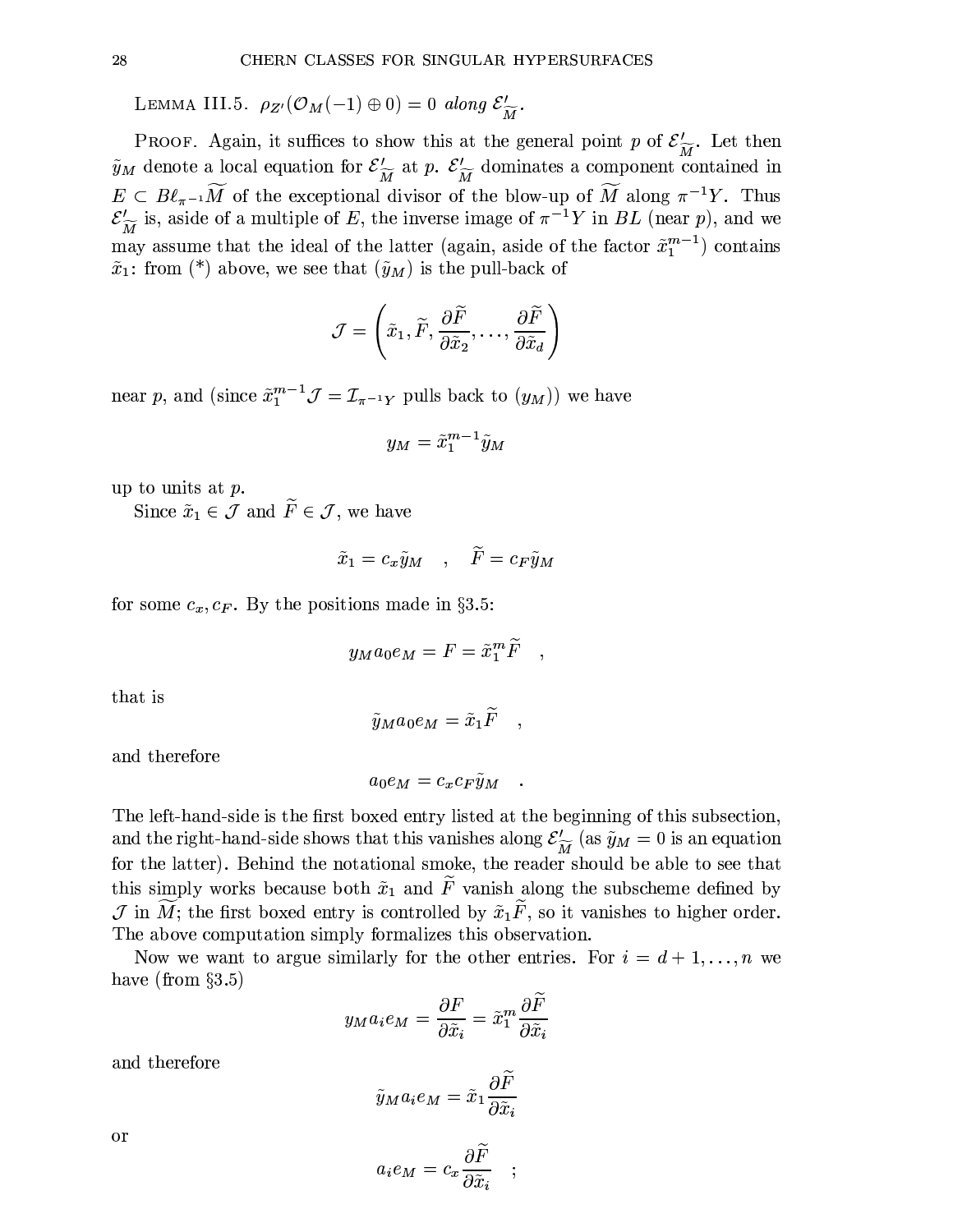LEMMA III.5.  $\rho_{Z'}(\mathcal{O}_M(-1) \oplus 0) = 0$  along  $\mathcal{E}'_{\widetilde{M}}$ .

PROOF. Again, it suffices to show this at the general point p of  $\mathcal{E}'_{\widetilde{M}}$ . Let then  $\tilde{y}_M$  denote a local equation for  $\mathcal{E}'_{\widetilde{M}}$  at p.  $\mathcal{E}'_{\widetilde{M}}$  dominates a component contained in  $E \subset B\ell_{\pi^{-1}}\widetilde{M}$  of the exceptional divisor of the blow-up of  $\widetilde{M}$  along  $\pi^{-1}Y$ . Thus  $\mathcal{E}'_{\widetilde{M}}$  is, aside of a multiple of E, the inverse image of  $\pi^{-1}Y$  in BL (near p), and we may assume that the ideal of the latter (again, aside of the factor  $\tilde{x}_1^{m-1}$ ) contains  $\tilde{x}_1$ : from (\*) above, we see that  $(\tilde{y}_M)$  is the pull-back of

$$
\mathcal{J}=\left(\tilde{x}_1,\widetilde{F},\frac{\partial\widetilde{F}}{\partial\tilde{x}_2},\ldots,\frac{\partial\widetilde{F}}{\partial\tilde{x}_d}\right)
$$

near p, and (since  $\tilde{x}_1^{m-1} \mathcal{J} = \mathcal{I}_{\pi^{-1}Y}$  pulls back to  $(y_M)$ ) we have

$$
y_M = \tilde{x}_1^{m-1} \tilde{y}_M
$$

up to units at  $p$ .

Since  $\tilde{x}_1 \in \mathcal{J}$  and  $\tilde{F} \in \mathcal{J}$ , we have

$$
\tilde{x}_1 = c_x \tilde{y}_M \quad , \quad \tilde{F} = c_F \tilde{y}_M
$$

for some  $c_x, c_F$ . By the positions made in §3.5:

$$
y_M a_0 e_M = F = \tilde{x}_1^m \widetilde{F}
$$

that is

$$
\tilde{y}_M a_0 e_M = \tilde{x}_1 \widetilde{F}
$$

and therefore

$$
a_0e_M=c_xc_F\tilde{y}_M
$$

The left-hand-side is the first boxed entry listed at the beginning of this subsection, and the right-hand-side shows that this vanishes along  $\mathcal{E}'_{\widetilde{M}}$  (as  $\widetilde{y}_M = 0$  is an equation for the latter). Behind the notational smoke, the reader should be able to see that this simply works because both  $\tilde{x}_1$  and  $\tilde{F}$  vanish along the subscheme defined by  $\mathcal J$  in  $\widetilde{M}$ ; the first boxed entry is controlled by  $\tilde x_1\tilde F$ , so it vanishes to higher order. The above computation simply formalizes this observation.

Now we want to argue similarly for the other entries. For  $i = d + 1, \ldots, n$  we have (from  $\S 3.5$ )

$$
y_M a_i e_M = \frac{\partial F}{\partial \tilde{x}_i} = \tilde{x}_1^m \frac{\partial \tilde{F}}{\partial \tilde{x}_i}
$$

and therefore

$$
\tilde{y}_M a_i e_M = \tilde{x}_1 \frac{\partial \tilde{F}}{\partial \tilde{x}_i}
$$

$$
a_i e_M = c_x \frac{\partial \widetilde{F}}{\partial \tilde{x}_i} \quad ; \quad
$$

or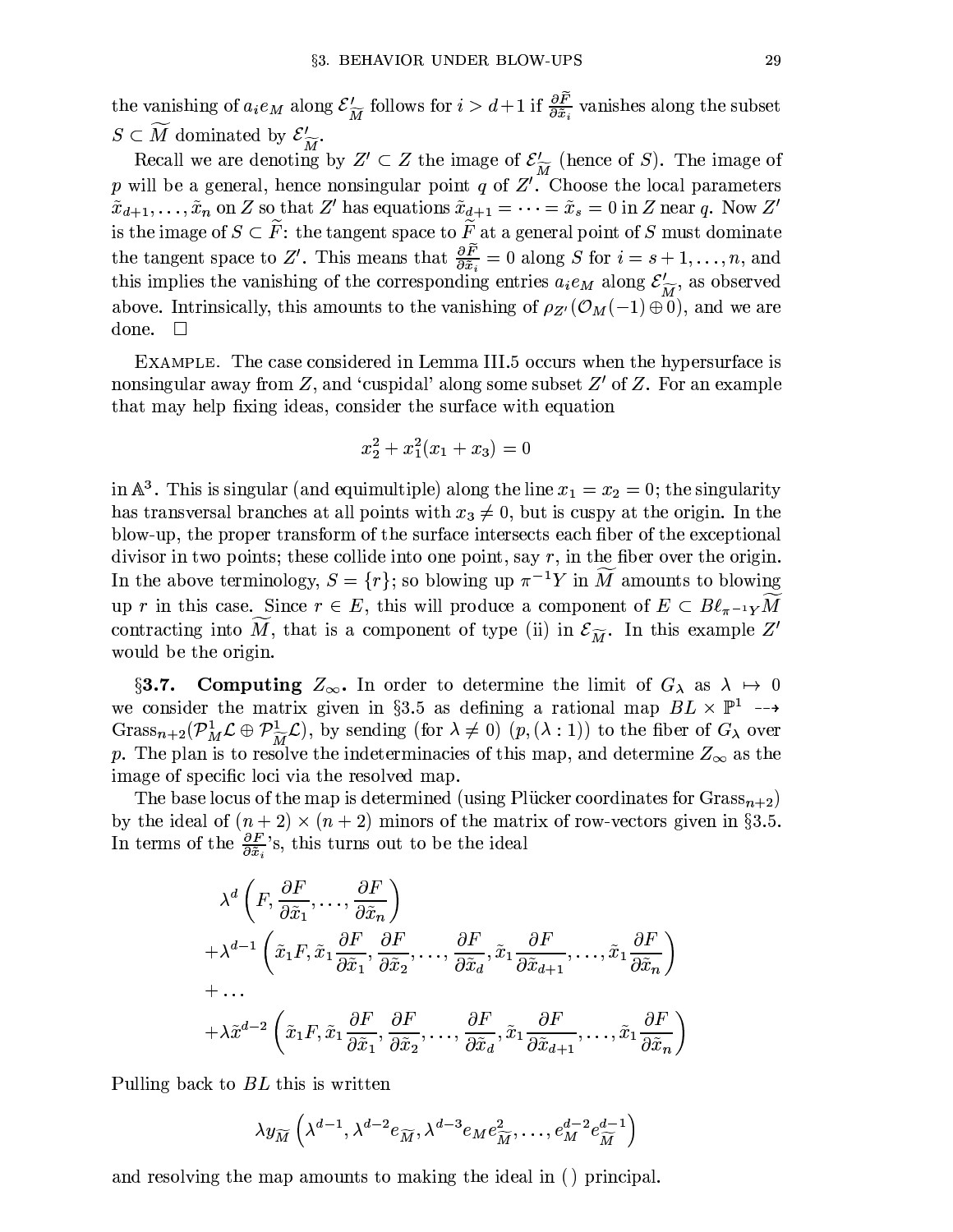the vanishing of  $a_i e_M$  along  $\mathcal{E}'_{\widetilde{M}}$  follows for  $i > d+1$  if  $\frac{\partial \widetilde{F}}{\partial \widetilde{x}_i}$  vanishes along the subset  $S \subset \widetilde{M}$  dominated by  $\mathcal{E}'_{\widetilde{M}}$ .

Recall we are denoting by  $Z' \subset Z$  the image of  $\mathcal{E}'_{\widetilde{M}}$  (hence of S). The image of p will be a general, hence nonsingular point q of  $Z'$ . Choose the local parameters  $\tilde{x}_{d+1}, \ldots, \tilde{x}_n$  on Z so that Z' has equations  $\tilde{x}_{d+1} = \cdots = \tilde{x}_s = 0$  in Z near q. Now Z' is the image of  $S \subset \tilde{F}$ : the tangent space to  $\tilde{F}$  at a general point of S must dominate the tangent space to Z'. This means that  $\frac{\partial \tilde{F}}{\partial \tilde{x}_i} = 0$  along S for  $i = s + 1, \ldots, n$ , and this implies the vanishing of the corresponding entries  $a_i e_M$  along  $\mathcal{E}'_{\widetilde{M}}$ , as observed above. Intrinsically, this amounts to the vanishing of  $\rho_{Z'}(\mathcal{O}_M(-1) \oplus 0)$ , and we are done.  $\Box$ 

EXAMPLE. The case considered in Lemma III.5 occurs when the hypersurface is nonsingular away from  $Z$ , and 'cuspidal' along some subset  $Z'$  of  $Z$ . For an example that may help fixing ideas, consider the surface with equation

$$
x_2^2 + x_1^2(x_1 + x_3) = 0
$$

in  $\mathbb{A}^3$ . This is singular (and equimultiple) along the line  $x_1 = x_2 = 0$ ; the singularity has transversal branches at all points with  $x_3 \neq 0$ , but is cuspy at the origin. In the blow-up, the proper transform of the surface intersects each fiber of the exceptional divisor in two points; these collide into one point, say  $r$ , in the fiber over the origin. In the above terminology,  $S = \{r\}$ ; so blowing up  $\pi^{-1}Y$  in  $\widetilde{M}$  amounts to blowing up r in this case. Since  $r \in E$ , this will produce a component of  $E \subset B\ell_{\pi^{-1}Y}M$ contracting into  $\overline{M}$ , that is a component of type (ii) in  $\mathcal{E}_{\widetilde{M}}$ . In this example  $Z'$ would be the origin.

**Computing**  $Z_{\infty}$ . In order to determine the limit of  $G_{\lambda}$  as  $\lambda \mapsto 0$  $\S3.7.$ we consider the matrix given in §3.5 as defining a rational map  $BL \times \mathbb{P}^1 \longrightarrow$ Grass<sub>n+2</sub>( $\mathcal{P}_{M}^{1}\mathcal{L} \oplus \mathcal{P}_{\widetilde{M}}^{1}\mathcal{L}$ ), by sending (for  $\lambda \neq 0$ )  $(p, (\lambda : 1))$  to the fiber of  $G_{\lambda}$  over p. The plan is to resolve the indeterminacies of this map, and determine  $Z_{\infty}$  as the image of specific loci via the resolved map.

The base locus of the map is determined (using Plücker coordinates for  $Grass_{n+2}$ ) by the ideal of  $(n+2) \times (n+2)$  minors of the matrix of row-vectors given in §3.5. In terms of the  $\frac{\partial F}{\partial \tilde{x}_i}$ 's, this turns out to be the ideal

$$
\lambda^{d}\left(F, \frac{\partial F}{\partial \tilde{x}_{1}}, \dots, \frac{\partial F}{\partial \tilde{x}_{n}}\right) \n+ \lambda^{d-1}\left(\tilde{x}_{1}F, \tilde{x}_{1}\frac{\partial F}{\partial \tilde{x}_{1}}, \frac{\partial F}{\partial \tilde{x}_{2}}, \dots, \frac{\partial F}{\partial \tilde{x}_{d}}, \tilde{x}_{1}\frac{\partial F}{\partial \tilde{x}_{d+1}}, \dots, \tilde{x}_{1}\frac{\partial F}{\partial \tilde{x}_{n}}\right) \n+ \dots \n+ \lambda \tilde{x}^{d-2}\left(\tilde{x}_{1}F, \tilde{x}_{1}\frac{\partial F}{\partial \tilde{x}_{1}}, \frac{\partial F}{\partial \tilde{x}_{2}}, \dots, \frac{\partial F}{\partial \tilde{x}_{d}}, \tilde{x}_{1}\frac{\partial F}{\partial \tilde{x}_{d+1}}, \dots, \tilde{x}_{1}\frac{\partial F}{\partial \tilde{x}_{n}}\right)
$$

Pulling back to *BL* this is written

$$
\lambda y_{\widetilde{M}}\left(\lambda^{d-1},\lambda^{d-2}e_{\widetilde{M}},\lambda^{d-3}e_{M}e_{\widetilde{M}}^{2},\ldots,e_{M}^{d-2}e_{\widetilde{M}}^{d-1}\right)
$$

and resolving the map amounts to making the ideal in () principal.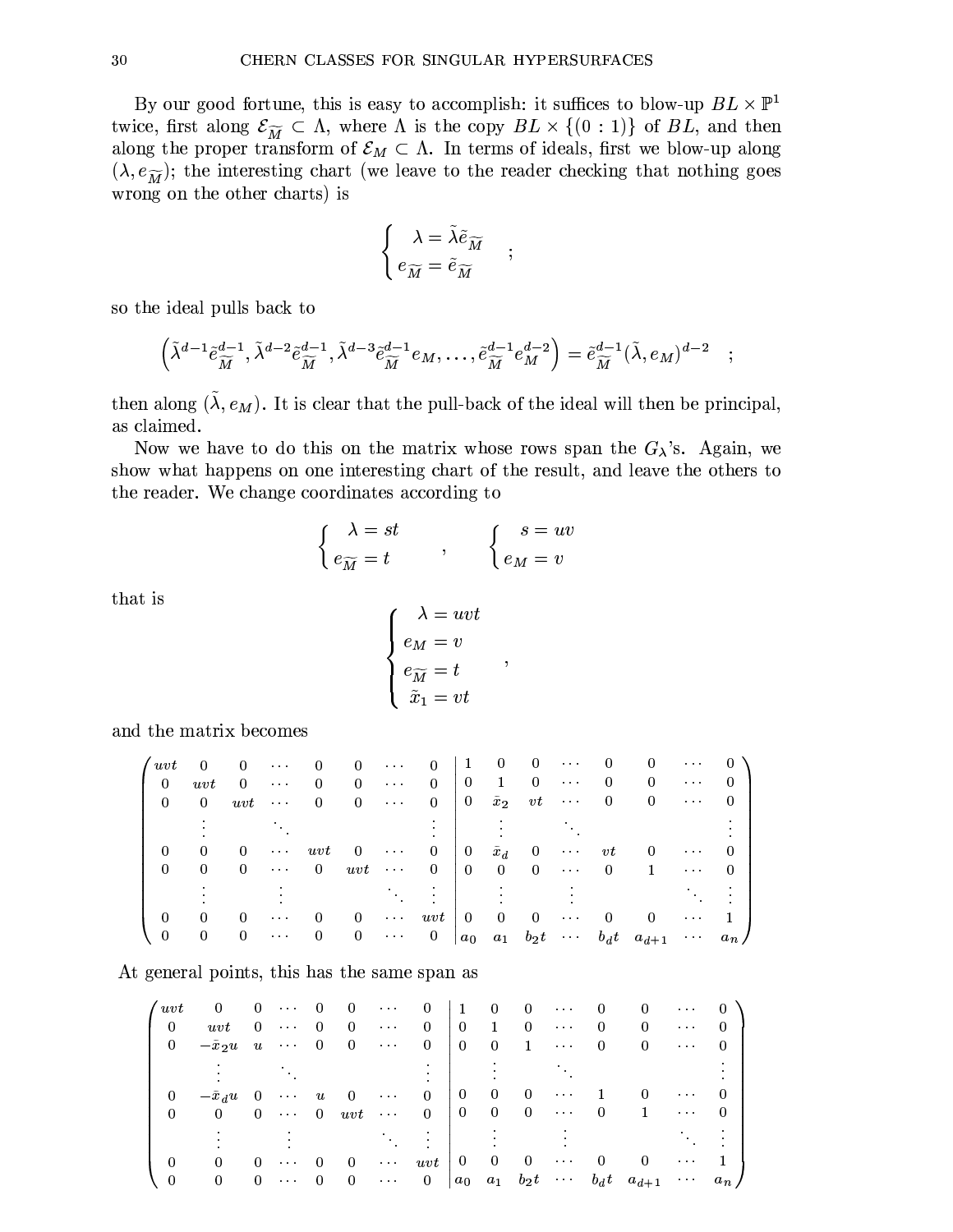By our good fortune, this is easy to accomplish: it suffices to blow-up  $BL \times \mathbb{P}^1$ twice, first along  $\mathcal{E}_{\widetilde{M}} \subset \Lambda$ , where  $\Lambda$  is the copy  $BL \times \{(0 : 1)\}\$  of  $BL$ , and then along the proper transform of  $\mathcal{E}_M \subset \Lambda$ . In terms of ideals, first we blow-up along  $(\lambda, e_{\widetilde{M}})$ ; the interesting chart (we leave to the reader checking that nothing goes wrong on the other charts) is

$$
\left\{ \begin{array}{l} \lambda = \tilde{\lambda} \tilde{e}_{\widetilde{M}} \\ e_{\widetilde{M}} = \tilde{e}_{\widetilde{M}} \end{array} \right.
$$

 $\ddot{,}$ 

so the ideal pulls back to

$$
\left(\tilde{\lambda}^{d-1}\tilde{e}^{d-1}_{\widetilde{M}}, \tilde{\lambda}^{d-2}\tilde{e}^{d-1}_{\widetilde{M}}, \tilde{\lambda}^{d-3}\tilde{e}^{d-1}_{\widetilde{M}}e_M, \ldots, \tilde{e}^{d-1}_{\widetilde{M}}e^{d-2}_M\right) = \tilde{e}^{d-1}_{\widetilde{M}}(\tilde{\lambda}, e_M)^{d-2}
$$

then along  $(\tilde{\lambda}, e_M)$ . It is clear that the pull-back of the ideal will then be principal, as claimed.

Now we have to do this on the matrix whose rows span the  $G_{\lambda}$ 's. Again, we show what happens on one interesting chart of the result, and leave the others to the reader. We change coordinates according to

$$
\begin{cases}\n\lambda = st \\
e_{\widetilde{M}} = t\n\end{cases}, \qquad\n\begin{cases}\n s = uv \\
e_M = v\n\end{cases}
$$

that is

$$
\begin{cases}\n\lambda = uvt \\
e_M = v \\
e_{\widetilde{M}} = t \\
\widetilde{x}_1 = vt\n\end{cases}
$$

and the matrix becomes

| $\sqrt{u}$ | $\theta$ | $\theta$ | $\sim$ $\sim$ $\sim$ | $\cup$   | $\theta$ | $\cdots$                         | $\cup$   | п              | O             | $\cup$         | $\cdots$             |          | 0                     | $\cdots$             |          |
|------------|----------|----------|----------------------|----------|----------|----------------------------------|----------|----------------|---------------|----------------|----------------------|----------|-----------------------|----------------------|----------|
| $\bf{0}$   | uvt      | 0        | $\cdots$             | $\Omega$ | 0        | $\cdots$                         | 0        | $\mathbf{0}$   |               | $\Omega$       | $\cdots$             | 0        | $\Omega$              | $\cdots$             |          |
|            | 0        | uvt      | $\cdots$             | $\Omega$ | 0        | $\cdots$                         | $\Omega$ | $\overline{0}$ | $\tilde{x}_2$ | vt             | $\sim$ $\sim$ $\sim$ | 0        | $\theta$              | $\cdots$             | $\left($ |
|            |          |          |                      |          |          |                                  |          |                |               |                |                      |          |                       |                      |          |
| $\Omega$   | $\Omega$ | $\theta$ | $\sim$ $\sim$ $\sim$ | uvt      | U        | $\cdots$                         | $\Omega$ | $\overline{0}$ | $\tilde{x}_d$ | $\theta$       | $\sim$ $\sim$ $\sim$ | vt       | $\Omega$              | $\cdots$             | $\left($ |
| $\Omega$   | 0        | $\Omega$ | $\cdots$             | $\Omega$ | uvt      | $\bullet$ .<br><br><br>$\bullet$ | 0        | $\Omega$       | $\mathbf{0}$  | $\overline{0}$ | $\sim$ $\sim$ $\sim$ | 0        |                       | $\cdots$             |          |
|            |          |          |                      |          |          |                                  |          |                |               |                |                      |          |                       |                      |          |
|            | 0        | $\Omega$ | $\cdots$             |          | $\cup$   | $\cdots$                         | uvt      | $\Omega$       | $\Omega$      | $\Omega$       | $\cdots$             | $\Omega$ | $\Omega$              | $\cdots$             |          |
|            | 0        | $\theta$ | $\cdots$             | 0        | 0        | $\cdots$                         | $\theta$ | $a_0$          | $a_1$         |                | $b_2t$               |          | $b_d t \quad a_{d+1}$ | $\sim$ $\sim$ $\sim$ | $a_n$    |

At general points, this has the same span as

| $\sqrt{u}$ | $\theta$ | $\Omega$ | $\sim$ $\sim$ $\sim$ | $\qquad \qquad 0$ | $\overline{\phantom{0}}$            | $\sim$ $\sim$ $\sim$    | 0              | - 1            | $\Omega$                 | $\overline{\mathbf{0}}$ | $\sim 100$ km s $^{-1}$ |          | 0                     | $\sim$ $\sim$ $\sim$             |         |
|------------|----------|----------|----------------------|-------------------|-------------------------------------|-------------------------|----------------|----------------|--------------------------|-------------------------|-------------------------|----------|-----------------------|----------------------------------|---------|
| 0          | uvt      | $\theta$ | $\sim$ $\sim$ $\sim$ | $\theta$          | $\theta$                            | $\sim$ $\sim$ $\sim$    | $\theta$       | $\Omega$       | $\mathbf{1}$             | $\Omega$                | $\sim$ $\sim$ $\sim$    | 0        |                       | $\sim$ $\sim$ $\sim$             |         |
| 0          | $-x_2u$  |          | $u \cdots 0$         |                   | $\overline{0}$                      | $\sim$ 100 km s $^{-1}$ | $\Omega$       | $+0$           | $\overline{\phantom{0}}$ | -1                      | $\sim$ $\sim$ $\sim$    | 0        |                       | $\bullet$ .<br><br><br>$\bullet$ |         |
|            |          |          |                      |                   |                                     |                         |                |                |                          |                         |                         |          |                       |                                  |         |
|            | $-x_d u$ | - 0      | $\sim$ $\sim$ $\sim$ | $\boldsymbol{u}$  | $\theta$                            | $\sim$ $\sim$ $\sim$    | $\Omega$       | $\overline{0}$ | $\overline{0}$           | $\overline{0}$          | $\cdots$                |          |                       | $\cdots$                         |         |
| 0          | $\Omega$ |          |                      |                   | $0 \cdots 0 \quad uvt \quad \cdots$ |                         | $\Omega$       | $\overline{0}$ | $\overline{0}$           | $0 \cdots$              |                         | $\Omega$ | 1                     | $\sim$ $\sim$ $\sim$             |         |
|            |          |          |                      |                   |                                     |                         |                |                |                          |                         |                         |          |                       |                                  |         |
|            | $\Omega$ | 0        | $\sim$ $\sim$ $\sim$ | $\left($          | $\left($                            |                         | $\cdots$ uvt   | $\pm 0$        | $\mathbf{0}$             | $\bf{0}$                | $\sim$ $\sim$ $\sim$    |          |                       | $\cdots$                         |         |
|            | $\Omega$ | $\Omega$ | $\sim$ $\sim$ $\sim$ |                   | $\theta$                            | $\sim$ $\sim$ $\sim$    | $\overline{0}$ |                |                          | $a_0$ $a_1$ $b_2t$      |                         |          | $b_d t \quad a_{d+1}$ | $\sim$ $\sim$ $\sim$             | $a_n$ / |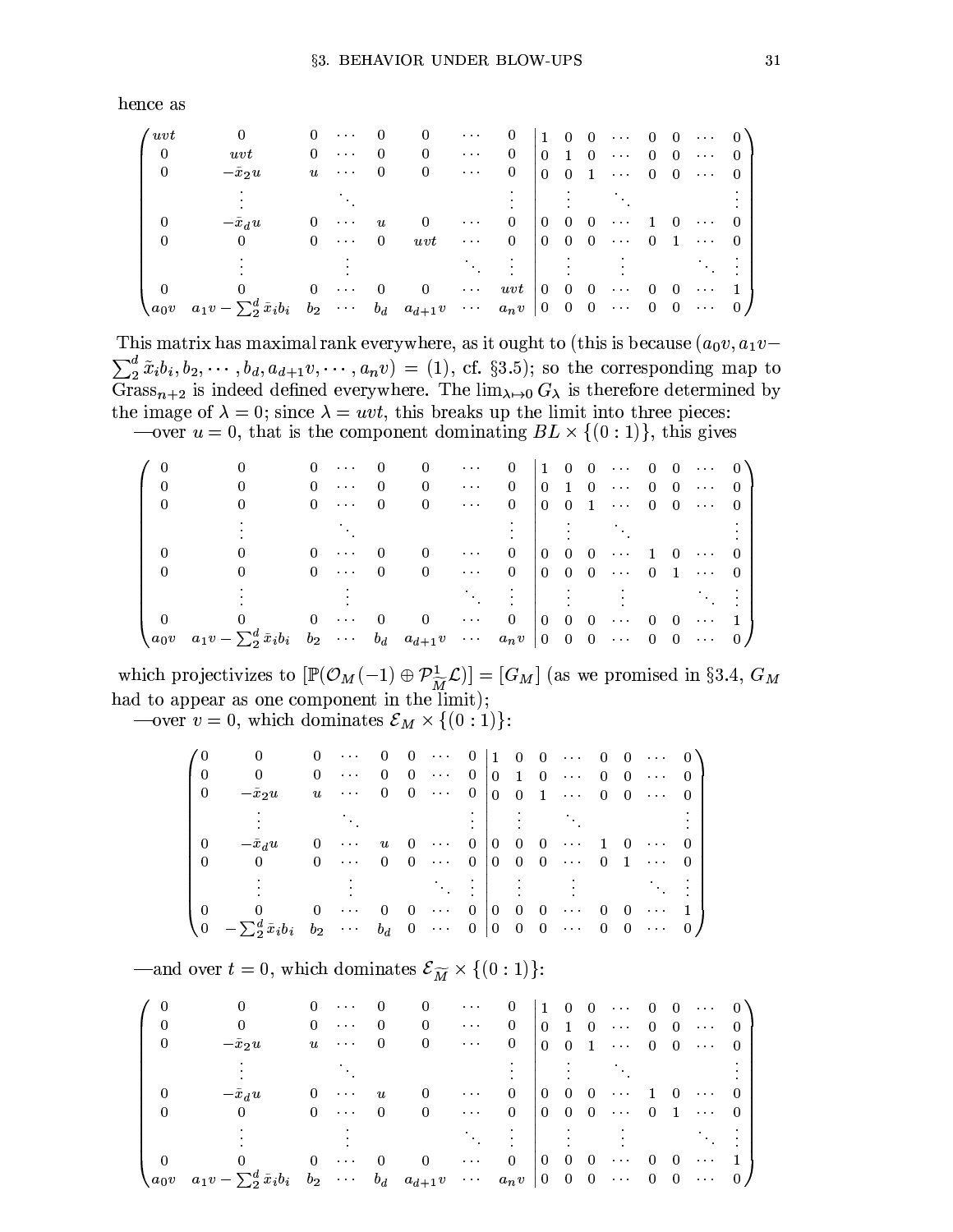hence as

| $^\prime\,wt$  |                                                                                   | $\begin{array}{c} 0 \end{array}$ | $\bullet$ .<br><br><br>$\bullet$ |              | $\left( \right)$ | $\cdots$             | $\overline{0}$ | $\begin{pmatrix} 1 & 0 \end{pmatrix}$ |                                            | $\overline{0}$ | $\sim$ $\sim$ $\sim$ $\sim$                 | $\Omega$         | $\overline{0}$ | $\sim$ 100 $\sim$ 100 $\sim$     | $\sim 0$ <sup><math>\lambda</math></sup> |
|----------------|-----------------------------------------------------------------------------------|----------------------------------|----------------------------------|--------------|------------------|----------------------|----------------|---------------------------------------|--------------------------------------------|----------------|---------------------------------------------|------------------|----------------|----------------------------------|------------------------------------------|
| $\overline{0}$ | uvt                                                                               | $\theta$                         | $\sim$ $\sim$ $\sim$             | $\theta$     | $\cup$           | $\sim$ $\sim$ $\sim$ | 0              |                                       | $0\quad 1$                                 | $\overline{0}$ | $\sim 100$ km s $^{-1}$                     | $\Omega$         | $\overline{0}$ | $\cdots$ 0                       |                                          |
| $\Omega$       | $-\tilde{x}_2u$                                                                   | $\boldsymbol{u}$                 | $\sim$ $\sim$ $\sim$             | $\theta$     | 0                | $\sim$ 100 $\sim$    | 0              | $\Omega$                              | $\begin{array}{c} 0 \end{array}$           | $\mathbf{1}$   | $\sim$ 100 km s $^{-1}$                     |                  |                | $0 \quad 0 \quad \cdots \quad 0$ |                                          |
|                |                                                                                   |                                  |                                  |              |                  |                      |                |                                       |                                            |                |                                             |                  |                |                                  |                                          |
|                | $-\tilde{x}_du$                                                                   | $\theta$                         | $\bullet$ .<br><br><br>$\bullet$ | u            |                  | $\cdots$             | $\Omega$       | $\overline{0}$                        | $\overline{0}$                             | $\overline{0}$ | $\sim$ $\sim$ $\sim$                        |                  | $\Omega$       | $\cdots$ 0                       |                                          |
| $\theta$       | $\Omega$                                                                          | $\Omega$                         | $\sim$ $\sim$ $\sim$             | $\mathbf{0}$ | uvt              | $\sim$ $\sim$        | $\overline{0}$ |                                       | $\begin{array}{ccc} 0 & 0 & 0 \end{array}$ |                | $\ldots$ .                                  |                  |                | $0 \quad 1 \quad \cdots \quad 0$ |                                          |
|                |                                                                                   |                                  |                                  |              |                  |                      |                |                                       |                                            |                |                                             |                  |                |                                  |                                          |
|                |                                                                                   | $\Omega$                         | $\cdots$                         | $\Omega$     | $\theta$         | $\sim$ $\sim$ $\sim$ | $uvt$ 0 0      |                                       |                                            | $\overline{0}$ | $\bullet$ .<br><br><br><br><br><br><br><br> | $\left( \right)$ | -0             | $\cdots$ .                       |                                          |
| $a_0v$         | $a_1v - \sum_2^d \tilde{x}_i b_i$ $b_2$ $\cdots$ $b_d$ $a_{d+1}v$ $\cdots$ $a_nv$ |                                  |                                  |              |                  |                      |                |                                       | $\begin{vmatrix} 0 & 0 & 0 \end{vmatrix}$  |                | $\sim$ $\sim$ $\sim$                        | $\mathbf{0}$     | $\overline{0}$ | $\cdots$ 0                       |                                          |

This matrix has maximal rank everywhere, as it ought to (this is because  $(a_0v, a_1v \sum_{2}^{d} \tilde{x}_{i} b_{i}, b_{2}, \dots, b_{d}, a_{d+1} v, \dots, a_{n} v$  = (1), cf. §3.5); so the corresponding map to Grass<sub>n+2</sub> is indeed defined everywhere. The  $\lim_{\lambda \to 0} G_{\lambda}$  is therefore determined by the image of  $\lambda = 0$ ; since  $\lambda = uvt$ , this breaks up the limit into three pieces:

—over  $u = 0$ , that is the component dominating  $BL \times \{(0:1)\}\)$ , this gives

|        |                                                                        |          | $\sim 100$ and $\sim 100$ | 0        | $\cup$   | $\sim 100$ km s $^{-1}$                       | $\cup$         |                 | $\begin{pmatrix} 1 & 0 & 0 \end{pmatrix}$ |                | $\cdots$ 0                  |          | $\overline{0}$ | $\cdots$ 0                   |          |
|--------|------------------------------------------------------------------------|----------|---------------------------|----------|----------|-----------------------------------------------|----------------|-----------------|-------------------------------------------|----------------|-----------------------------|----------|----------------|------------------------------|----------|
|        |                                                                        |          | $0 \cdots$                | $\Omega$ |          | $\sim$ $\sim$ $\sim$                          | $\overline{0}$ | $\overline{0}$  | $\blacksquare$                            | $\overline{0}$ | $\cdots$ 0                  |          | $\overline{0}$ | $\sim$ 100 $\sim$ 100 $\sim$ | $\Omega$ |
|        |                                                                        |          | $0 \cdots$                | $\theta$ | $\Omega$ | $\sim$ $\sim$ $\sim$                          | $\Omega$       | O               | $\overline{0}$                            |                | $1 \cdots 0$                |          |                | $0 \cdots$                   |          |
|        |                                                                        |          |                           |          |          |                                               |                |                 |                                           |                |                             |          |                |                              |          |
|        |                                                                        |          | $\sim$ $\sim$ $\sim$      | $\Omega$ |          | $\cdots$                                      | $\mathbf{0}$   | $\overline{0}$  | $\overline{0}$                            | $\overline{0}$ | $\sim 100$ km s $^{-1}$     | -1       | -0             | $\sim$ $\sim$ $\sim$         |          |
|        |                                                                        | $\Omega$ | $\cdots$ 0                |          | $\theta$ | $\bullet$ , $\bullet$ , $\bullet$ , $\bullet$ | $\overline{0}$ | $\Omega$        | $\overline{0}$                            |                |                             |          |                | $0 \cdots 0 1 \cdots 0$      |          |
|        |                                                                        |          |                           |          |          |                                               |                |                 |                                           |                |                             |          |                |                              |          |
|        |                                                                        | $\Omega$ | $\sim$ $\sim$ $\sim$      | $\Omega$ |          | $\sim$ $\sim$ $\sim$                          | $\overline{0}$ | $\overline{0}$  | - 0                                       | $\overline{0}$ | $\sim$ $\sim$ $\sim$ $\sim$ | $\theta$ | -0             | $\cdots$                     |          |
| $a_0v$ | $a_1v-\sum_2^d\tilde{x}_ib_i$ $b_2$ $\cdots$ $b_d$ $a_{d+1}v$ $\cdots$ |          |                           |          |          |                                               | $a_n v$        | $\vert 0 \vert$ | $0\quad 0$                                |                | $\cdots$ 0                  |          | $\overline{0}$ | $\cdots$ 0                   |          |

which projectivizes to  $[\mathbb{P}(\mathcal{O}_M(-1) \oplus \mathcal{P}_{\widetilde{M}}^1 \mathcal{L})] = [G_M]$  (as we promised in §3.4,  $G_M$ ) had to appear as one component in the limit);

—over  $v = 0$ , which dominates  $\mathcal{E}_M \times \{(0:1)\}\$ :

|                                     |                                                                                                                                              |                          | $0 \cdots$                                                               | $\overline{0}$   |                |                                     |                           |  |                                                        |                | $0 \cdots 0 \mid 1 \mid 0 \mid 0 \cdots 0 \mid 0 \cdots 0$                                                 |  |
|-------------------------------------|----------------------------------------------------------------------------------------------------------------------------------------------|--------------------------|--------------------------------------------------------------------------|------------------|----------------|-------------------------------------|---------------------------|--|--------------------------------------------------------|----------------|------------------------------------------------------------------------------------------------------------|--|
|                                     | $\overline{0}$                                                                                                                               | 0                        | $\bullet$ , $\bullet$ , $\bullet$ , $\bullet$                            | $\overline{0}$   | 0              |                                     |                           |  |                                                        |                | $\cdots$ 0 0 1 0 $\cdots$ 0 0 $\cdots$ 0                                                                   |  |
| $\begin{matrix} 1 & 0 \end{matrix}$ | $-\tilde{x}_2u$                                                                                                                              |                          | $u$                                                                      |                  |                |                                     |                           |  |                                                        |                | $0 \quad 0 \quad \cdots \quad 0 \quad 0 \quad 0 \quad 1 \quad \cdots \quad 0 \quad 0 \quad \cdots \quad 0$ |  |
|                                     |                                                                                                                                              |                          |                                                                          |                  |                |                                     |                           |  |                                                        |                |                                                                                                            |  |
|                                     | $-\tilde{x}_du$                                                                                                                              | 0                        | $\bullet$ .<br><br>$\bullet$                                             | $\boldsymbol{u}$ | $\overline{0}$ | $\bullet$ , $\bullet$ , $\bullet$ . | $0\parallel 0\parallel 0$ |  |                                                        |                | $0 \cdots 1 0 \cdots 0$                                                                                    |  |
| $\Omega$                            | $\overline{0}$                                                                                                                               | 0                        | $\mathbf{z}$ , $\mathbf{z}$ , $\mathbf{z}$ , $\mathbf{z}$ , $\mathbf{z}$ | $\overline{0}$   | $\overline{0}$ |                                     |                           |  |                                                        |                | $\cdots$ 0 0 0 0 $\cdots$ 0 1 $\cdots$ 0                                                                   |  |
|                                     |                                                                                                                                              |                          |                                                                          |                  |                |                                     |                           |  |                                                        |                |                                                                                                            |  |
|                                     | 0                                                                                                                                            | $\overline{\phantom{0}}$ | $\bullet$ . $\bullet$                                                    | $\Omega$         | $\overline{0}$ | $\cdots$ .                          | $0+$                      |  | $\begin{bmatrix} 0 & 0 & 0 & \cdots & 0 \end{bmatrix}$ | $\overline{0}$ | $\cdots$ 1.                                                                                                |  |
|                                     | $\begin{pmatrix} 0 & -\sum_2^d \tilde{x}_ib_i & b_2 & \cdots & b_d & 0 & \cdots & 0 & 0 & 0 & 0 & \cdots & 0 & 0 & \cdots & 0 \end{pmatrix}$ |                          |                                                                          |                  |                |                                     |                           |  |                                                        |                |                                                                                                            |  |

—and over  $t = 0$ , which dominates  $\mathcal{E}_{\widetilde{M}} \times \{(0:1)\}\$ :

|               |                                                                                   | 0        | $\sim$ $\sim$ $\sim$ | O        | $\cup$         | $\cdots$                    | U              |                |                                           |                 |                                                           |                |          | $\begin{pmatrix} 1 & 0 & 0 & \cdots & 0 & 0 & \cdots & 0 \end{pmatrix}$ |  |
|---------------|-----------------------------------------------------------------------------------|----------|----------------------|----------|----------------|-----------------------------|----------------|----------------|-------------------------------------------|-----------------|-----------------------------------------------------------|----------------|----------|-------------------------------------------------------------------------|--|
|               |                                                                                   |          | $0 \cdots$           | $\Omega$ | $\theta$       | $\cdots$ .                  | $\overline{0}$ |                | $0\quad1$                                 | $\vert 0 \vert$ | $\sim$ 100 km s $^{-1}$                                   | $\theta$       |          | $0 \cdots 0$                                                            |  |
| $\Omega$      | $-\tilde{x}_2u$                                                                   |          | $u \cdots$           | $\Omega$ | $\theta$       | $\sim 1000$                 | $\theta$       | $\Omega$       | $\Omega$                                  | $\mathbf{1}$    | $\cdots$ 0                                                |                |          | $0 \cdots 0$                                                            |  |
|               |                                                                                   |          |                      |          |                |                             |                |                |                                           |                 |                                                           |                |          |                                                                         |  |
|               | $-\tilde{x}_du$                                                                   | 0        | $\cdots$             | u        |                | $\sim$ $\sim$ $\sim$        | $0^-$          | $\Omega$       | $\Box$ 0                                  | - 0             | $\sim$ $\sim$ $\sim$                                      |                | -0       | $\sim$ $\sim$ $\sim$                                                    |  |
|               |                                                                                   |          | $0 \cdots 0$         |          | $\overline{0}$ | $\sim$ $\sim$ $\sim$ $\sim$ | $0^-$          |                | $0\quad 0$                                |                 |                                                           |                |          | $0 \cdots 0 1 \cdots 0$                                                 |  |
|               |                                                                                   |          |                      |          |                |                             |                |                |                                           |                 |                                                           |                |          |                                                                         |  |
|               |                                                                                   | $\Omega$ | $\sim$ $\sim$ $\sim$ | $\Omega$ | -0             | $\sim$ $\sim$ $\sim$        | $\overline{0}$ | $\overline{0}$ | $\sim 0$                                  | - 0             | $\bullet$ , $\bullet$ , $\bullet$ , $\bullet$ , $\bullet$ | $\theta$       | $\Omega$ | $\sim$ $\sim$ $\sim$                                                    |  |
| $\sqrt{a_0v}$ | $a_1v - \sum_2^d \tilde{x}_i b_i$ $b_2$ $\cdots$ $b_d$ $a_{d+1}v$ $\cdots$ $a_nv$ |          |                      |          |                |                             |                |                | $\begin{bmatrix} 0 & 0 & 0 \end{bmatrix}$ |                 | $\sim$ 100 $\pm$ 100 $\pm$                                | $\overline{0}$ |          | $0 \cdots 0$                                                            |  |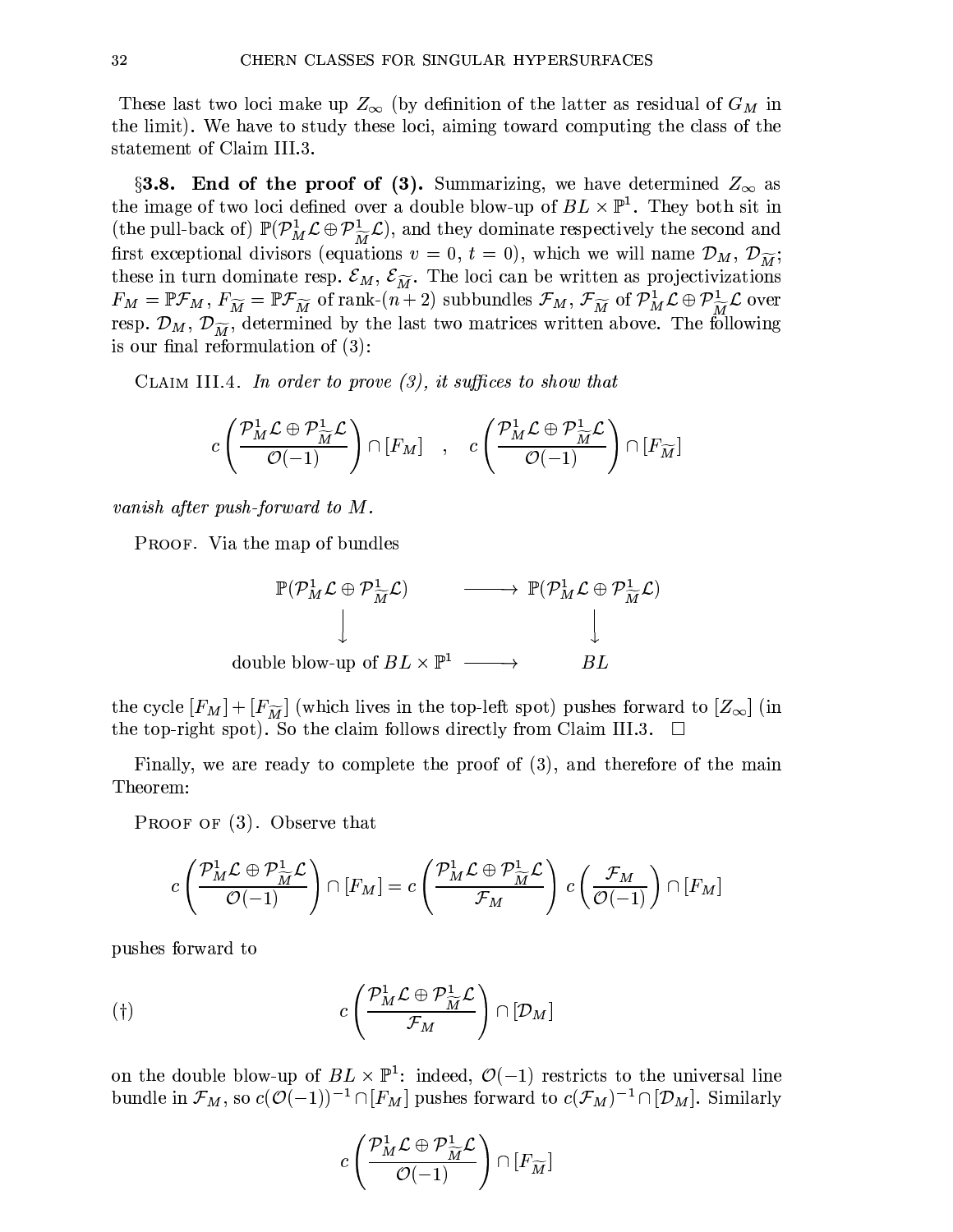These last two loci make up  $Z_{\infty}$  (by definition of the latter as residual of  $G_M$  in the limit). We have to study these loci, aiming toward computing the class of the statement of Claim III.3.

§3.8. End of the proof of (3). Summarizing, we have determined  $Z_{\infty}$  as the image of two loci defined over a double blow-up of  $BL \times \mathbb{P}^1$ . They both sit in (the pull-back of)  $\mathbb{P}(\mathcal{P}_{M}^{1} \mathcal{L} \oplus \mathcal{P}_{\widetilde{M}}^{1} \mathcal{L})$ , and they dominate respectively the second and first exceptional divisors (equations  $v = 0, t = 0$ ), which we will name  $\mathcal{D}_M$ ,  $\mathcal{D}_{\widetilde{M}}$ ; these in turn dominate resp.  $\mathcal{E}_M$ ,  $\mathcal{E}_{\widetilde{M}}$ . The loci can be written as projectivizations  $F_M = \mathbb{P} \mathcal{F}_M, F_{\widetilde{M}} = \mathbb{P} \mathcal{F}_{\widetilde{M}}$  of rank- $(n+2)$  subbundles  $\mathcal{F}_M, \mathcal{F}_{\widetilde{M}}$  of  $\mathcal{P}_M^1 \mathcal{L} \oplus \mathcal{P}_{\widetilde{M}}^1 \mathcal{L}$  over resp.  $\mathcal{D}_M$ ,  $\mathcal{D}_{\widetilde{M}}$ , determined by the last two matrices written above. The following is our final reformulation of  $(3)$ :

CLAIM III.4. In order to prove  $(3)$ , it suffices to show that

$$
c\left(\frac{\mathcal{P}_{M}^{1}\mathcal{L}\oplus\mathcal{P}_{\widetilde{M}}^{1}\mathcal{L}}{\mathcal{O}(-1)}\right)\cap[F_{M}] \quad , \quad c\left(\frac{\mathcal{P}_{M}^{1}\mathcal{L}\oplus\mathcal{P}_{\widetilde{M}}^{1}\mathcal{L}}{\mathcal{O}(-1)}\right)\cap[F_{\widetilde{M}}]
$$

vanish after push-forward to  $M$ .

**PROOF.** Via the map of bundles

$$
\mathbb{P}(\mathcal{P}_{M}^{1} \mathcal{L} \oplus \mathcal{P}_{\widetilde{M}}^{1} \mathcal{L}) \longrightarrow \mathbb{P}(\mathcal{P}_{M}^{1} \mathcal{L} \oplus \mathcal{P}_{\widetilde{M}}^{1} \mathcal{L})
$$
\ndouble blow-up of 
$$
BL \times \mathbb{P}^{1} \longrightarrow BL
$$

the cycle  $[F_M] + [F_{\widetilde{M}}]$  (which lives in the top-left spot) pushes forward to  $[Z_{\infty}]$  (in the top-right spot). So the claim follows directly from Claim III.3.

Finally, we are ready to complete the proof of (3), and therefore of the main Theorem:

**PROOF OF**  $(3)$ **. Observe that** 

$$
c\left(\frac{\mathcal{P}_{M}^{1}\mathcal{L}\oplus\mathcal{P}_{\widetilde{M}}^{1}\mathcal{L}}{\mathcal{O}(-1)}\right)\cap[F_{M}]=c\left(\frac{\mathcal{P}_{M}^{1}\mathcal{L}\oplus\mathcal{P}_{\widetilde{M}}^{1}\mathcal{L}}{\mathcal{F}_{M}}\right)\,c\left(\frac{\mathcal{F}_{M}}{\mathcal{O}(-1)}\right)\cap[F_{M}]
$$

pushes forward to

$$
(†)\qquad c\left(\frac{\mathcal{P}_{M}^{1}\mathcal{L}\oplus\mathcal{P}_{\widetilde{M}}^{1}\mathcal{L}}{\mathcal{F}_{M}}\right)\cap\left[\mathcal{D}_{M}\right]
$$

on the double blow-up of  $BL \times \mathbb{P}^1$ : indeed,  $\mathcal{O}(-1)$  restricts to the universal line bundle in  $\mathcal{F}_M$ , so  $c(\mathcal{O}(-1))^{-1} \cap [F_M]$  pushes forward to  $c(\mathcal{F}_M)^{-1} \cap [\mathcal{D}_M]$ . Similarly

$$
c\left(\frac{\mathcal{P}_{M}^{1}\mathcal{L}\oplus\mathcal{P}_{\widetilde{M}}^{1}\mathcal{L}}{\mathcal{O}(-1)}\right)\cap[F_{\widetilde{M}}]
$$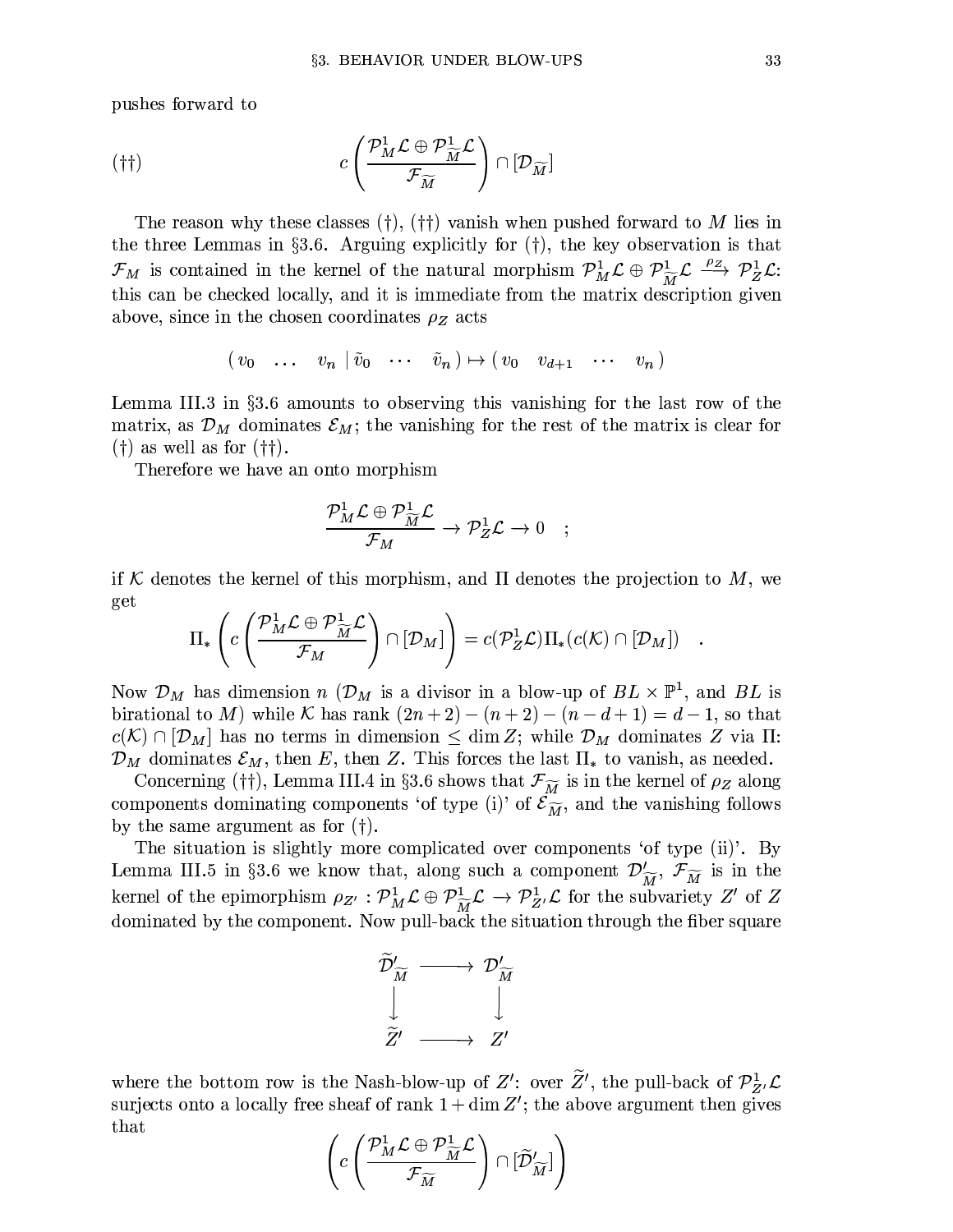pushes forward to

$$
(†\dagger) \qquad \qquad c \left( \frac{\mathcal{P}_{M}^{1} \mathcal{L} \oplus \mathcal{P}_{\widetilde{M}}^{1} \mathcal{L}}{\mathcal{F}_{\widetilde{M}}} \right) \cap [\mathcal{D}_{\widetilde{M}}]
$$

The reason why these classes  $(\dagger), (\dagger)$  vanish when pushed forward to M lies in the three Lemmas in §3.6. Arguing explicitly for  $(\dagger)$ , the key observation is that  $\mathcal{F}_M$  is contained in the kernel of the natural morphism  $\mathcal{P}_M^1 \mathcal{L} \oplus \mathcal{P}_M^1 \mathcal{L} \xrightarrow{\rho_Z} \mathcal{P}_Z^1 \mathcal{L}$ : this can be checked locally, and it is immediate from the matrix description given above, since in the chosen coordinates  $\rho_Z$  acts

$$
(v_0 \quad \ldots \quad v_n \mid \tilde{v}_0 \quad \cdots \quad \tilde{v}_n) \mapsto (v_0 \quad v_{d+1} \quad \cdots \quad v_n)
$$

Lemma III.3 in  $\S 3.6$  amounts to observing this vanishing for the last row of the matrix, as  $\mathcal{D}_M$  dominates  $\mathcal{E}_M$ ; the vanishing for the rest of the matrix is clear for  $(\dagger)$  as well as for  $(\dagger\dagger)$ .

Therefore we have an onto morphism

$$
\frac{\mathcal{P}_{M}^{1}\mathcal{L}\oplus\mathcal{P}_{\widetilde{M}}^{1}\mathcal{L}}{\mathcal{F}_{M}}\rightarrow\mathcal{P}_{Z}^{1}\mathcal{L}\rightarrow0\quad ;\quad
$$

if K denotes the kernel of this morphism, and  $\Pi$  denotes the projection to M, we get

$$
\Pi_*\left(c\left(\frac{\mathcal{P}_M^1 \mathcal{L} \oplus \mathcal{P}_{\widetilde{M}}^1 \mathcal{L}}{\mathcal{F}_M}\right) \cap [\mathcal{D}_M]\right) = c(\mathcal{P}_Z^1 \mathcal{L})\Pi_*(c(\mathcal{K}) \cap [\mathcal{D}_M])
$$

Now  $\mathcal{D}_M$  has dimension n ( $\mathcal{D}_M$  is a divisor in a blow-up of  $BL \times \mathbb{P}^1$ , and  $BL$  is birational to M) while K has rank  $(2n+2) - (n+2) - (n-d+1) = d-1$ , so that  $c(\mathcal{K}) \cap [\mathcal{D}_M]$  has no terms in dimension  $\leq \dim Z$ ; while  $\mathcal{D}_M$  dominates Z via  $\Pi$ :  $\mathcal{D}_M$  dominates  $\mathcal{E}_M$ , then E, then Z. This forces the last  $\Pi_*$  to vanish, as needed.

Concerning († † ), Lemma III.4 in §3.6 shows that  $\mathcal{F}_{\widetilde{M}}$  is in the kernel of  $\rho_Z$  along components dominating components 'of type (i)' of  $\mathcal{E}_{\widetilde{M}}$ , and the vanishing follows by the same argument as for  $(†)$ .

The situation is slightly more complicated over components 'of type (ii)'. By Lemma III.5 in §3.6 we know that, along such a component  $\mathcal{D}'_{\widetilde{M}}$ ,  $\mathcal{F}_{\widetilde{M}}$  is in the kernel of the epimorphism  $\rho_{Z'} : \mathcal{P}_{M}^1 \mathcal{L} \oplus \mathcal{P}_{\widetilde{M}}^1 \mathcal{L} \to \mathcal{P}_{Z'}^1 \mathcal{L}$  for the subvariety Z' of Z dominated by the component. Now pull-back the situation through the fiber square

$$
\begin{array}{ccc}\n\widetilde{\mathcal{D}}'_{\widetilde{M}} & \longrightarrow & \mathcal{D}'_{\widetilde{M}} \\
\downarrow & & \downarrow \\
\widetilde{Z}' & \longrightarrow & Z'\n\end{array}
$$

where the bottom row is the Nash-blow-up of Z': over  $\widetilde{Z}'$ , the pull-back of  $\mathcal{P}_{Z'}^1$ . surjects onto a locally free sheaf of rank  $1 + \dim Z'$ ; the above argument then gives that

$$
\left(c\left(\frac{\mathcal{P}_{M}^{1}\mathcal{L}\oplus\mathcal{P}_{\widetilde{M}}^{1}\mathcal{L}}{\mathcal{F}_{\widetilde{M}}}\right)\cap[\widetilde{\mathcal{D}}'_{\widetilde{M}}]\right)
$$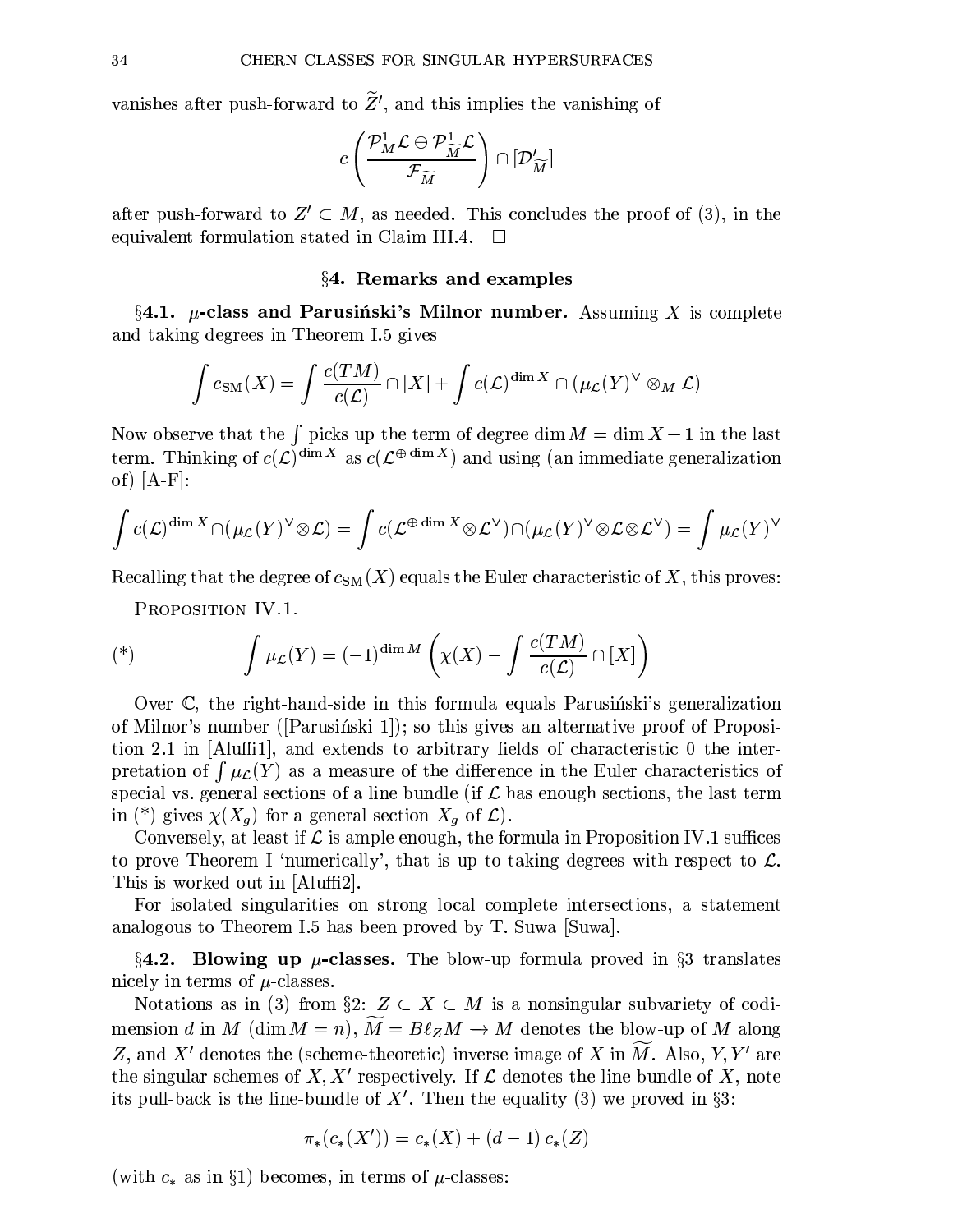vanishes after push-forward to  $\widetilde{Z}'$ , and this implies the vanishing of

$$
c\left(\frac{{\mathcal P}_M^1{\mathcal L}\oplus {\mathcal P}^1_{\widetilde{M}}{\mathcal L}}{{\mathcal F}_{\widetilde{M}}}\right)\cap [{\mathcal D}'_{\widetilde{M}}]
$$

after push-forward to  $Z' \subset M$ , as needed. This concludes the proof of (3), in the equivalent formulation stated in Claim III.4.  $\Box$ 

### §4. Remarks and examples

 $\S$ 4.1.  $\mu$ -class and Parusinski's Milnor number. Assuming X is complete and taking degrees in Theorem I.5 gives

$$
\int c_{\text{SM}}(X) = \int \frac{c(TM)}{c(\mathcal{L})} \cap [X] + \int c(\mathcal{L})^{\dim X} \cap (\mu_{\mathcal{L}}(Y)^{\vee} \otimes_M \mathcal{L})
$$

Now observe that the  $\int$  picks up the term of degree dim  $M = \dim X + 1$  in the last term. Thinking of  $c(\mathcal{L})^{\dim X}$  as  $c(\mathcal{L}^{\oplus \dim X})$  and using (an immediate generalization of)  $[A-F]$ :

$$
\int c(\mathcal{L})^{\dim X} \cap (\mu_{\mathcal{L}}(Y)^{\vee} \otimes \mathcal{L}) = \int c(\mathcal{L}^{\oplus \dim X} \otimes \mathcal{L}^{\vee}) \cap (\mu_{\mathcal{L}}(Y)^{\vee} \otimes \mathcal{L} \otimes \mathcal{L}^{\vee}) = \int \mu_{\mathcal{L}}(Y)^{\vee}
$$

Recalling that the degree of  $c_{SM}(X)$  equals the Euler characteristic of X, this proves:

PROPOSITION IV.1.

$$
(*) \qquad \int \mu_{\mathcal{L}}(Y) = (-1)^{\dim M} \left( \chi(X) - \int \frac{c(TM)}{c(\mathcal{L})} \cap [X] \right)
$$

Over C, the right-hand-side in this formula equals Parusing stiple generalization of Milnor's number ([Parusing isski]]; so this gives an alternative proof of Proposition 2.1 in [Aluffi1], and extends to arbitrary fields of characteristic 0 the interpretation of  $\int \mu_{\mathcal{L}}(Y)$  as a measure of the difference in the Euler characteristics of special vs. general sections of a line bundle (if  $\mathcal L$  has enough sections, the last term in (\*) gives  $\chi(X_g)$  for a general section  $X_g$  of  $\mathcal{L}$ ).

Conversely, at least if  $\mathcal L$  is ample enough, the formula in Proposition IV.1 suffices to prove Theorem I 'numerically', that is up to taking degrees with respect to  $\mathcal{L}$ . This is worked out in [Aluffi2].

For isolated singularities on strong local complete intersections, a statement analogous to Theorem I.5 has been proved by T. Suwa Suwa.

 $\S$ 4.2. Blowing up  $\mu$ -classes. The blow-up formula proved in  $\S$ 3 translates nicely in terms of  $\mu$ -classes.

Notations as in (3) from §2:  $Z \subset X \subset M$  is a nonsingular subvariety of codimension d in M (dim  $M = n$ ),  $\widetilde{M} = B\ell_Z M \to M$  denotes the blow-up of M along Z, and X' denotes the (scheme-theoretic) inverse image of X in  $\widetilde{M}$ . Also, Y, Y' are the singular schemes of X, X' respectively. If  $\mathcal L$  denotes the line bundle of X, note its pull-back is the line-bundle of  $X'$ . Then the equality (3) we proved in §3:

$$
\pi_*(c_*(X')) = c_*(X) + (d-1)c_*(Z)
$$

(with  $c_*$  as in §1) becomes, in terms of  $\mu$ -classes: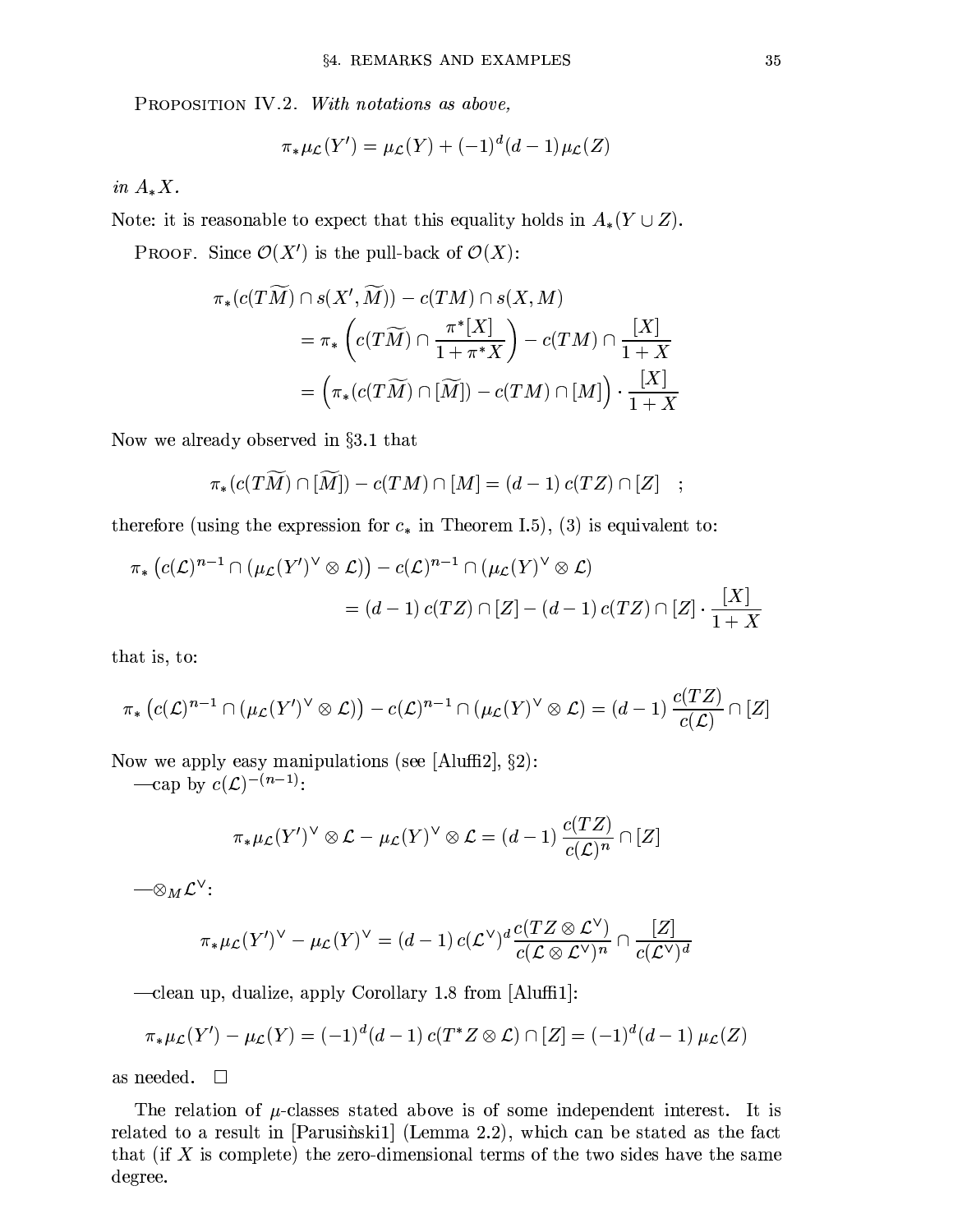PROPOSITION IV.2. With notations as above,

$$
\pi_*\mu_{\mathcal{L}}(Y') = \mu_{\mathcal{L}}(Y) + (-1)^d (d-1)\mu_{\mathcal{L}}(Z)
$$

in  $A_*X$ .

Note: it is reasonable to expect that this equality holds in  $A_*(Y \cup Z)$ .

**PROOF.** Since  $\mathcal{O}(X')$  is the pull-back of  $\mathcal{O}(X)$ :

$$
\pi_*(c(T\widetilde{M}) \cap s(X',\widetilde{M})) - c(TM) \cap s(X,M)
$$
  
= 
$$
\pi_*\left(c(T\widetilde{M}) \cap \frac{\pi^*[X]}{1+\pi^*X}\right) - c(TM) \cap \frac{[X]}{1+X}
$$
  
= 
$$
\left(\pi_*(c(T\widetilde{M}) \cap [\widetilde{M}]) - c(TM) \cap [M]\right) \cdot \frac{[X]}{1+X}
$$

Now we already observed in  $\S 3.1$  that

$$
\pi_* (c(T\widetilde{M}) \cap [\widetilde{M}]) - c(TM) \cap [M] = (d-1) c(TZ) \cap [Z] ;
$$

therefore (using the expression for  $c_*$  in Theorem I.5), (3) is equivalent to:

$$
\pi_*\left(c(\mathcal{L})^{n-1} \cap (\mu_{\mathcal{L}}(Y')^{\vee} \otimes \mathcal{L})\right) - c(\mathcal{L})^{n-1} \cap (\mu_{\mathcal{L}}(Y)^{\vee} \otimes \mathcal{L})
$$
  
=  $(d-1) c(TZ) \cap [Z] - (d-1) c(TZ) \cap [Z] \cdot \frac{[X]}{1+X}$ 

that is, to:

$$
\pi_*\left(c(\mathcal{L})^{n-1}\cap(\mu_{\mathcal{L}}(Y')^\vee\otimes\mathcal{L})\right)-c(\mathcal{L})^{n-1}\cap(\mu_{\mathcal{L}}(Y)^\vee\otimes\mathcal{L})=(d-1)\,\frac{c(TZ)}{c(\mathcal{L})}\cap[Z]
$$

Now we apply easy manipulations (see [Aluffi2],  $\S 2$ ):

—cap by  $c(\mathcal{L})^{-(n-1)}$ :

$$
\pi_*\mu_{\mathcal{L}}(Y')^{\vee} \otimes \mathcal{L} - \mu_{\mathcal{L}}(Y)^{\vee} \otimes \mathcal{L} = (d-1) \, \frac{c(TZ)}{c(\mathcal{L})^n} \cap [Z]
$$

 $-\otimes_M {\mathcal L}^\vee$ :

$$
\pi_*\mu_{\mathcal{L}}(Y')^{\vee} - \mu_{\mathcal{L}}(Y)^{\vee} = (d-1) c(\mathcal{L}^{\vee})^d \frac{c(TZ \otimes \mathcal{L}^{\vee})}{c(\mathcal{L} \otimes \mathcal{L}^{\vee})^n} \cap \frac{[Z]}{c(\mathcal{L}^{\vee})^d}
$$

-clean up, dualize, apply Corollary 1.8 from [Aluffi1]:

$$
\pi_*\mu(\Sigma Y') - \mu(\Sigma Y) = (-1)^d (d-1) c(T^*Z \otimes \mathcal{L}) \cap [Z] = (-1)^d (d-1) \mu(\Sigma)
$$

as needed.  $\Box$ 

The relation of  $\mu$ -classes stated above is of some independent interest. It is related to a result in [Parusinski1] (Lemma 2.2), which can be stated as the fact that (if  $X$  is complete) the zero-dimensional terms of the two sides have the same degree.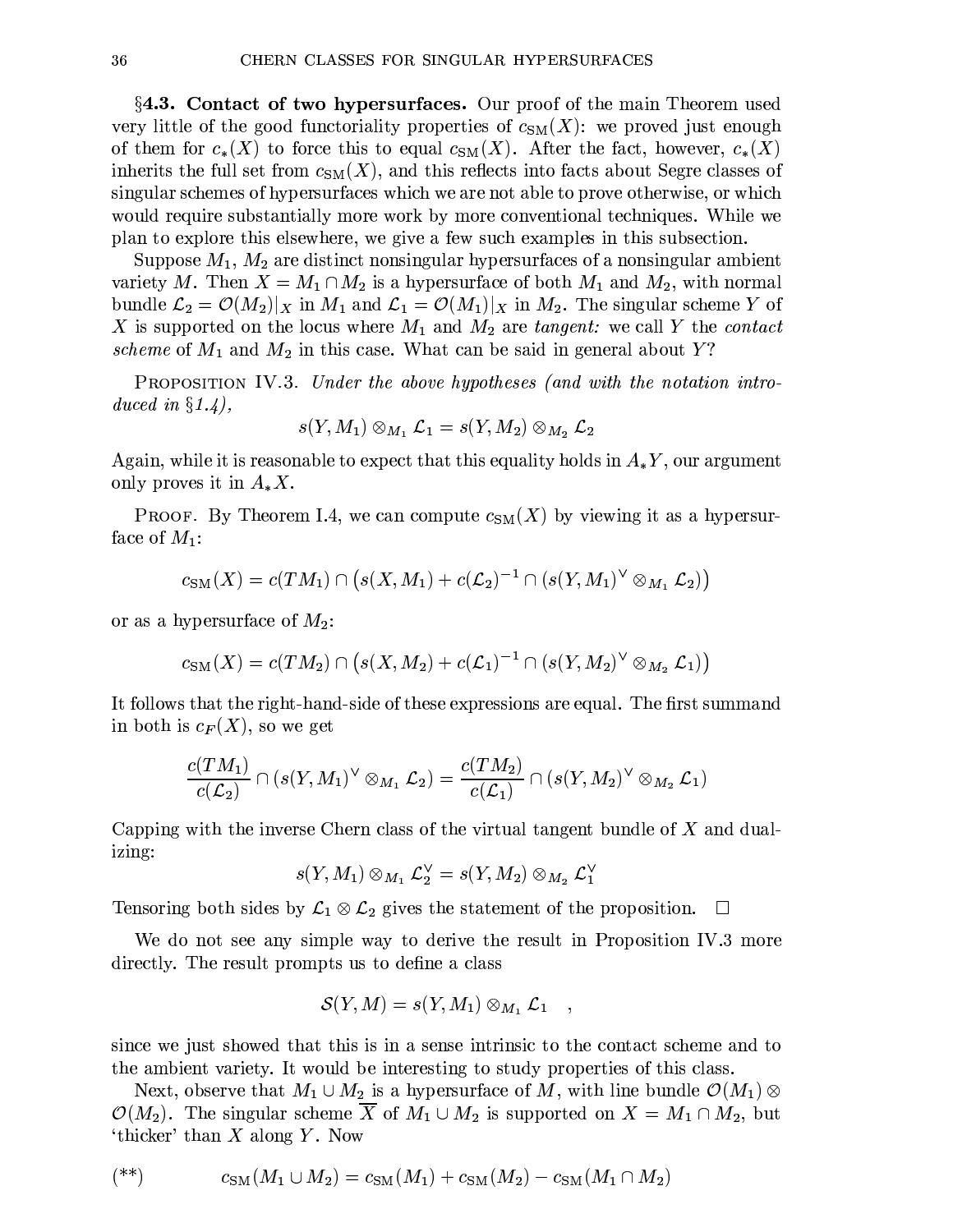**§4.3. Contact of two hypersurfaces.** Our proof of the main Theorem used very little of the good functoriality properties of  $c_{SM}(X)$ : we proved just enough of them for  $c_*(X)$  to force this to equal  $c_{SM}(X)$ . After the fact, however,  $c_*(X)$ inherits the full set from  $c_{SM}(X)$ , and this reflects into facts about Segre classes of singular schemes of hypersurfaces which we are not able to prove otherwise, or which would require substantially more work by more conventional techniques. While we plan to explore this elsewhere, we give a few such examples in this subsection.

Suppose  $M_1, M_2$  are distinct nonsingular hypersurfaces of a nonsingular ambient variety M. Then  $X = M_1 \cap M_2$  is a hypersurface of both  $M_1$  and  $M_2$ , with normal bundle  $\mathcal{L}_2 = \mathcal{O}(M_2)|_X$  in  $M_1$  and  $\mathcal{L}_1 = \mathcal{O}(M_1)|_X$  in  $M_2$ . The singular scheme Y of X is supported on the locus where  $M_1$  and  $M_2$  are tangent: we call Y the contact scheme of  $M_1$  and  $M_2$  in this case. What can be said in general about Y?

**PROPOSITION IV.3.** Under the above hypotheses (and with the notation introduced in  $\S 1.4$ ),

$$
c(Y,M_1)\otimes_{M_1}{\mathcal L}_1=s(Y,M_2)\otimes_{M_2}{\mathcal L}_2
$$

Again, while it is reasonable to expect that this equality holds in  $A_{*}Y$ , our argument only proves it in  $A_*X$ .

**PROOF.** By Theorem I.4, we can compute  $c_{SM}(X)$  by viewing it as a hypersurface of  $M_1$ :

$$
c_{\text{SM}}(X) = c(TM_1) \cap (s(X, M_1) + c(\mathcal{L}_2)^{-1} \cap (s(Y, M_1)^{\vee} \otimes_{M_1} \mathcal{L}_2))
$$

or as a hypersurface of  $M_2$ :

Š

$$
c_{\mathrm{SM}}(X) = c(TM_2) \cap (s(X, M_2) + c(\mathcal{L}_1)^{-1} \cap (s(Y, M_2)^{\vee} \otimes_{M_2} \mathcal{L}_1))
$$

It follows that the right-hand-side of these expressions are equal. The first summand in both is  $c_F(X)$ , so we get

$$
\frac{c(TM_1)}{c(\mathcal{L}_2)}\cap (s(Y,M_1)^\vee\otimes_{M_1}\mathcal{L}_2)=\frac{c(TM_2)}{c(\mathcal{L}_1)}\cap (s(Y,M_2)^\vee\otimes_{M_2}\mathcal{L}_1)
$$

Capping with the inverse Chern class of the virtual tangent bundle of  $X$  and dualizing:

$$
s(Y,M_1)\otimes_{M_1}{\mathcal L}_2^{\vee}=s(Y,M_2)\otimes_{M_2}{\mathcal L}_1^{\vee}
$$

Tensoring both sides by  $\mathcal{L}_1 \otimes \mathcal{L}_2$  gives the statement of the proposition.  $\Box$ 

We do not see any simple way to derive the result in Proposition IV.3 more directly. The result prompts us to define a class

$$
\mathcal{S}(Y,M)=s(Y,M_1)\otimes_{M_1}\mathcal{L}_1
$$

since we just showed that this is in a sense intrinsic to the contact scheme and to the ambient variety. It would be interesting to study properties of this class.

Next, observe that  $M_1 \cup M_2$  is a hypersurface of M, with line bundle  $\mathcal{O}(M_1) \otimes$  $\mathcal{O}(M_2)$ . The singular scheme  $\overline{X}$  of  $M_1 \cup M_2$  is supported on  $X = M_1 \cap M_2$ , but 'thicker' than  $X$  along  $Y$ . Now

$$
(*) \t\t cSM(M1 \cup M2) = cSM(M1) + cSM(M2) - cSM(M1 \cap M2)
$$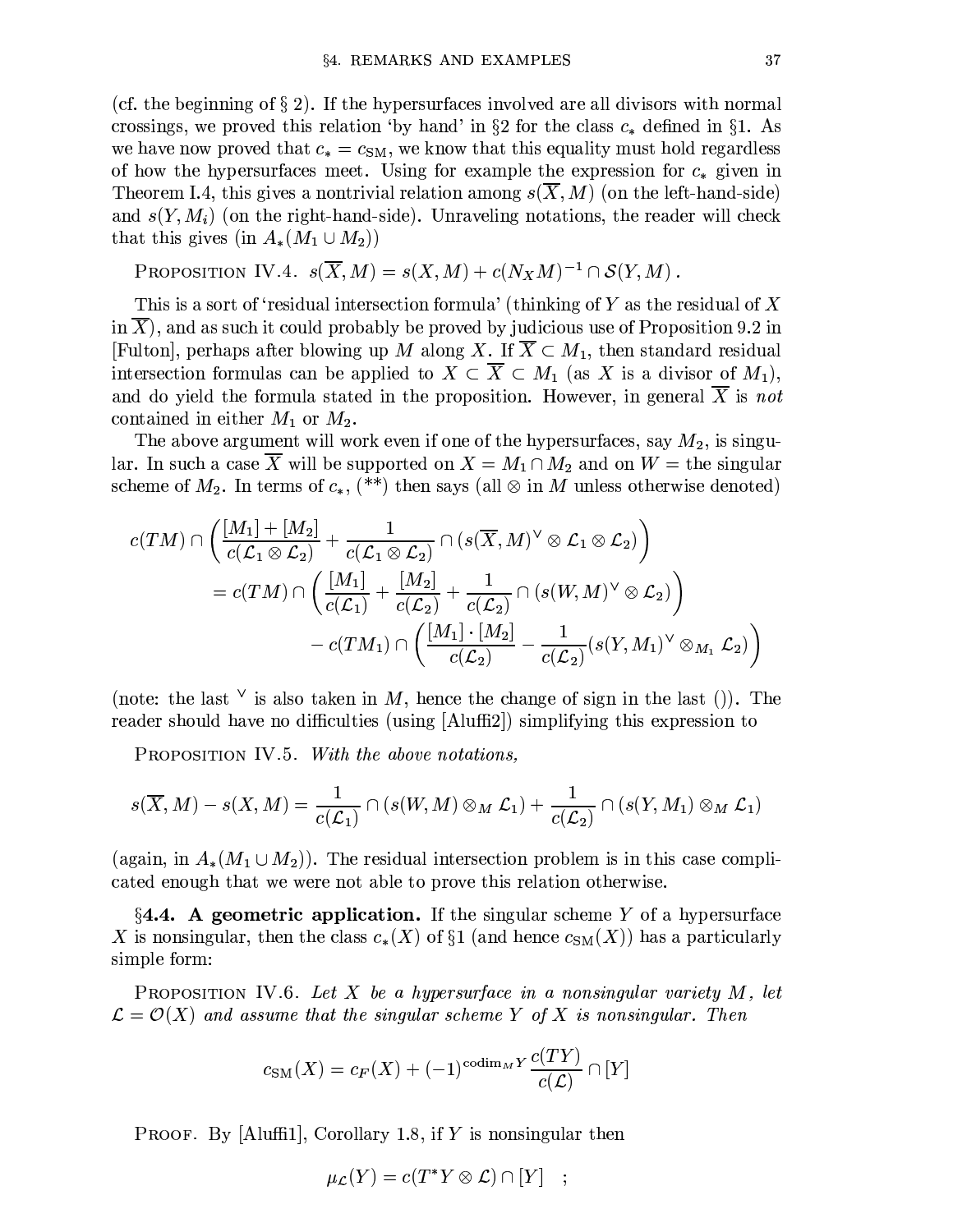(cf. the beginning of  $\S 2$ ). If the hypersurfaces involved are all divisors with normal crossings, we proved this relation 'by hand' in §2 for the class  $c_*$  defined in §1. As we have now proved that  $c_* = c_{SM}$ , we know that this equality must hold regardless of how the hypersurfaces meet. Using for example the expression for  $c_*$  given in Theorem I.4, this gives a nontrivial relation among  $s(X, M)$  (on the left-hand-side) and  $s(Y, M_i)$  (on the right-hand-side). Unraveling notations, the reader will check that this gives (in  $A_*(M_1 \cup M_2)$ )

PROPOSITION IV.4. 
$$
s(\overline{X}, M) = s(X, M) + c(N_XM)^{-1} \cap S(Y, M)
$$
.

This is a sort of 'residual intersection formula' (thinking of Y as the residual of X in  $X$ ), and as such it could probably be proved by judicious use of Proposition 9.2 in [Fulton], perhaps after blowing up M along X. If  $X \subset M_1$ , then standard residual intersection formulas can be applied to  $X \subset \overline{X} \subset M_1$  (as X is a divisor of  $M_1$ ), and do yield the formula stated in the proposition. However, in general  $\overline{X}$  is not contained in either  $M_1$  or  $M_2$ .

The above argument will work even if one of the hypersurfaces, say  $M_2$ , is singular. In such a case  $\overline{X}$  will be supported on  $X = M_1 \cap M_2$  and on  $W =$  the singular scheme of  $M_2$ . In terms of  $c_*$ , (\*\*) then says (all  $\otimes$  in M unless otherwise denoted)

$$
c(TM) \cap \left(\frac{[M_1] + [M_2]}{c(\mathcal{L}_1 \otimes \mathcal{L}_2)} + \frac{1}{c(\mathcal{L}_1 \otimes \mathcal{L}_2)} \cap (s(\overline{X}, M)^{\vee} \otimes \mathcal{L}_1 \otimes \mathcal{L}_2)\right)
$$
  
= 
$$
c(TM) \cap \left(\frac{[M_1]}{c(\mathcal{L}_1)} + \frac{[M_2]}{c(\mathcal{L}_2)} + \frac{1}{c(\mathcal{L}_2)} \cap (s(W, M)^{\vee} \otimes \mathcal{L}_2)\right)
$$

$$
- c(TM_1) \cap \left(\frac{[M_1] \cdot [M_2]}{c(\mathcal{L}_2)} - \frac{1}{c(\mathcal{L}_2)}(s(Y, M_1)^{\vee} \otimes M_1 \mathcal{L}_2)\right)
$$

(note: the last  $\vee$  is also taken in M, hence the change of sign in the last ()). The reader should have no difficulties (using [Aluffi2]) simplifying this expression to

PROPOSITION IV.5. With the above notations,

$$
s(\overline{X},M) - s(X,M) = \frac{1}{c(\mathcal{L}_1)} \cap (s(W,M) \otimes_M \mathcal{L}_1) + \frac{1}{c(\mathcal{L}_2)} \cap (s(Y,M_1) \otimes_M \mathcal{L}_1)
$$

(again, in  $A_*(M_1 \cup M_2)$ ). The residual intersection problem is in this case complicated enough that we were not able to prove this relation otherwise.

 $\S$ 4.4. A geometric application. If the singular scheme Y of a hypersurface X is nonsingular, then the class  $c_*(X)$  of §1 (and hence  $c_{SM}(X)$ ) has a particularly simple form:

PROPOSITION IV.6. Let X be a hypersurface in a nonsingular variety  $M$ , let  $\mathcal{L} = \mathcal{O}(X)$  and assume that the singular scheme Y of X is nonsingular. Then

$$
c_{\text{SM}}(X) = c_F(X) + (-1)^{\text{codim}_M Y} \frac{c(TY)}{c(\mathcal{L})} \cap [Y]
$$

**PROOF.** By [Aluffi1], Corollary 1.8, if Y is nonsingular then

$$
\mu_{\mathcal{L}}(Y) = c(T^*Y \otimes \mathcal{L}) \cap [Y] \quad ;
$$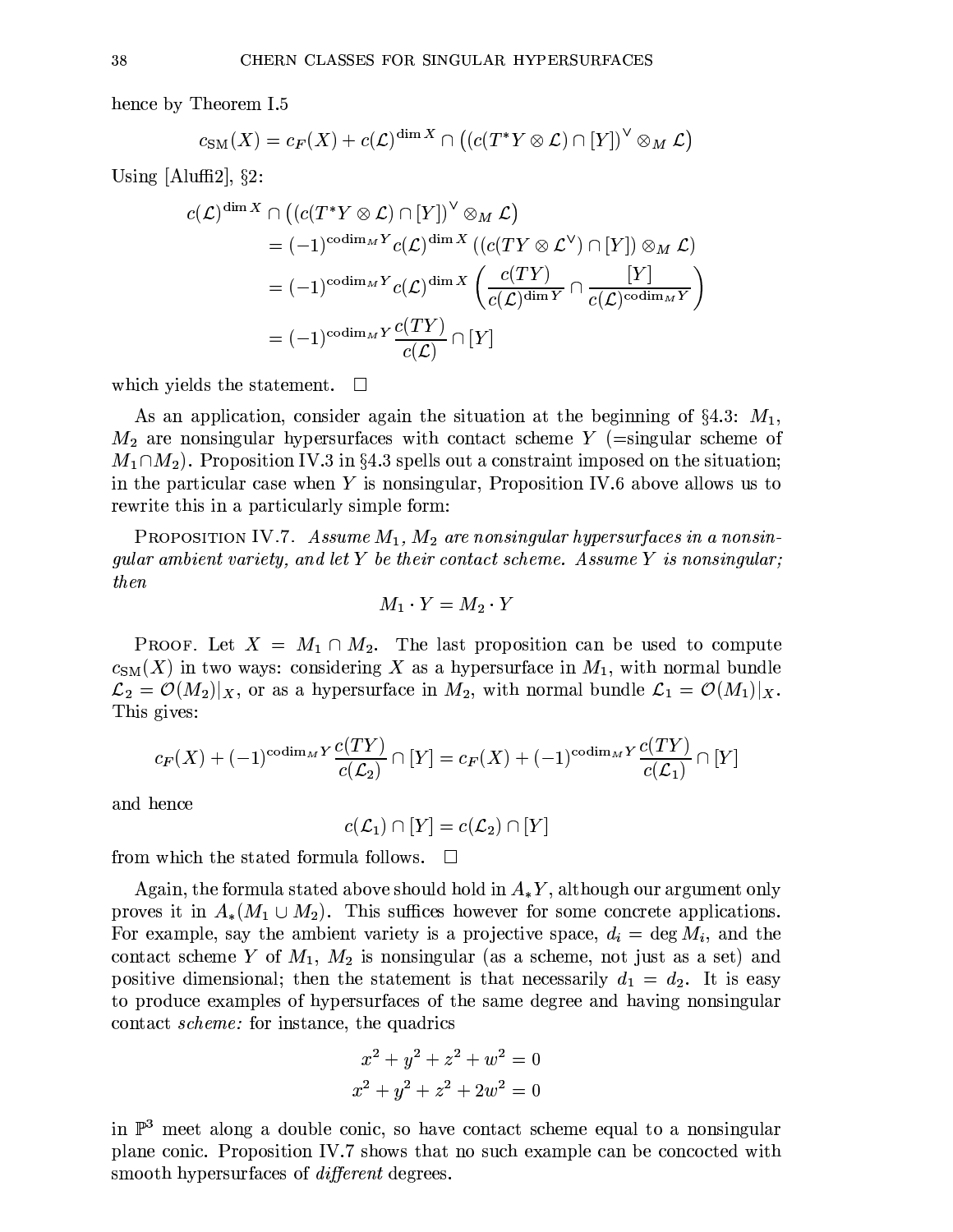hence by Theorem I.5

$$
c_{\text{SM}}(X) = c_F(X) + c(\mathcal{L})^{\dim X} \cap ((c(T^*Y \otimes \mathcal{L}) \cap [Y])^{\vee} \otimes_M \mathcal{L})
$$

Using [Aluffi2],  $\S$ 2:

$$
c(\mathcal{L})^{\dim X} \cap ((c(T^*Y \otimes \mathcal{L}) \cap [Y])^{\vee} \otimes_M \mathcal{L})
$$
  
=  $(-1)^{\operatorname{codim}_M Y} c(\mathcal{L})^{\dim X} ((c(TY \otimes \mathcal{L}^{\vee}) \cap [Y]) \otimes_M \mathcal{L})$   
=  $(-1)^{\operatorname{codim}_M Y} c(\mathcal{L})^{\dim X} \left( \frac{c(TY)}{c(\mathcal{L})^{\dim Y}} \cap \frac{[Y]}{c(\mathcal{L})^{\operatorname{codim}_M Y}} \right)$   
=  $(-1)^{\operatorname{codim}_M Y} \frac{c(TY)}{c(\mathcal{L})} \cap [Y]$ 

which yields the statement.  $\Box$ 

As an application, consider again the situation at the beginning of  $\S 4.3$ :  $M_1$ ,  $M_2$  are nonsingular hypersurfaces with contact scheme Y (=singular scheme of  $M_1 \cap M_2$ ). Proposition IV.3 in §4.3 spells out a constraint imposed on the situation; in the particular case when Y is nonsingular, Proposition IV.6 above allows us to rewrite this in a particularly simple form:

PROPOSITION IV.7. Assume  $M_1, M_2$  are nonsingular hypersurfaces in a nonsingular ambient variety, and let Y be their contact scheme. Assume Y is nonsingular; then

$$
M_1 \cdot Y = M_2 \cdot Y
$$

**PROOF.** Let  $X = M_1 \cap M_2$ . The last proposition can be used to compute  $c_{\text{SM}}(X)$  in two ways: considering X as a hypersurface in  $M_1$ , with normal bundle  $\mathcal{L}_2 = \mathcal{O}(M_2)|_X$ , or as a hypersurface in  $M_2$ , with normal bundle  $\mathcal{L}_1 = \mathcal{O}(M_1)|_X$ . This gives:

$$
c_F(X) + (-1)^{\operatorname{codim}_M Y} \frac{c(TY)}{c(\mathcal{L}_2)} \cap [Y] = c_F(X) + (-1)^{\operatorname{codim}_M Y} \frac{c(TY)}{c(\mathcal{L}_1)} \cap [Y]
$$

and hence

 $c(\mathcal{L}_1) \cap [Y] = c(\mathcal{L}_2) \cap [Y]$ 

from which the stated formula follows.  $\Box$ 

Again, the formula stated above should hold in  $A_*Y$ , although our argument only proves it in  $A_*(M_1 \cup M_2)$ . This suffices however for some concrete applications. For example, say the ambient variety is a projective space,  $d_i = \deg M_i$ , and the contact scheme Y of  $M_1$ ,  $M_2$  is nonsingular (as a scheme, not just as a set) and positive dimensional; then the statement is that necessarily  $d_1 = d_2$ . It is easy to produce examples of hypersurfaces of the same degree and having nonsingular contact *scheme*: for instance, the quadrics

$$
x^{2} + y^{2} + z^{2} + w^{2} = 0
$$
  

$$
x^{2} + y^{2} + z^{2} + 2w^{2} = 0
$$

in  $\mathbb{P}^3$  meet along a double conic, so have contact scheme equal to a nonsingular plane conic. Proposition IV.7 shows that no such example can be concocted with smooth hypersurfaces of *different* degrees.